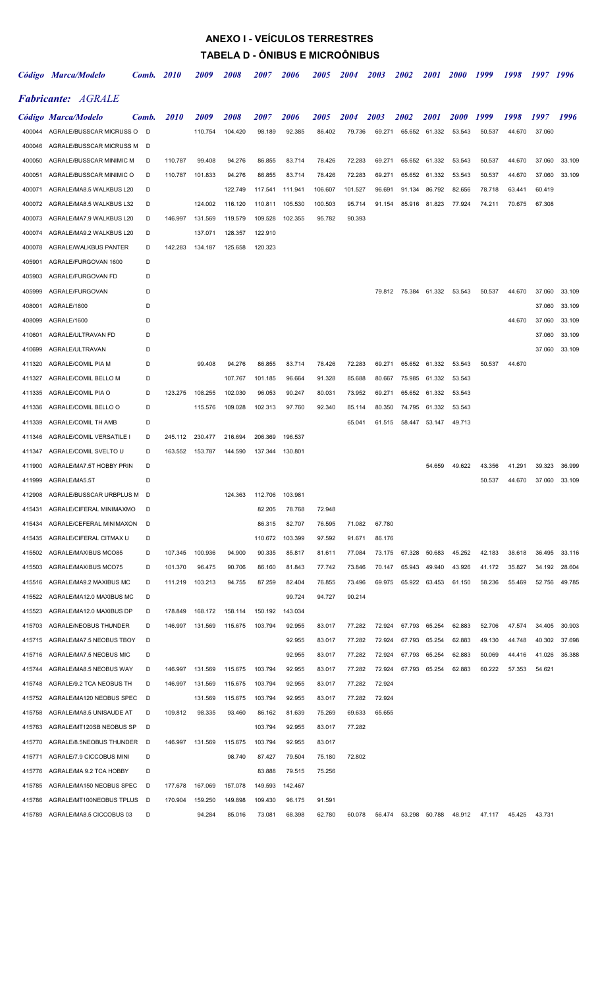# ANEXO I - VEÍCULOS TERRESTRES TABELA D - ÔNIBUS E MICROÔNIBUS

|        | Código Marca/Modelo             |       | Comb. 2010  | 2009               | <i>2008</i>        | <i><b>2007</b></i> | 2006               | <i><b>2005</b></i> | 2004    | <i><b>2003</b></i> | <i><b>2002</b></i> | <i>2001</i>   | <b>2000</b> | 1999   | 1998   | 1997 1996 |        |
|--------|---------------------------------|-------|-------------|--------------------|--------------------|--------------------|--------------------|--------------------|---------|--------------------|--------------------|---------------|-------------|--------|--------|-----------|--------|
|        | <b>Fabricante: AGRALE</b>       |       |             |                    |                    |                    |                    |                    |         |                    |                    |               |             |        |        |           |        |
|        | Código Marca/Modelo             | Comb. | <i>2010</i> | <i><b>2009</b></i> | <i><b>2008</b></i> | <i><b>2007</b></i> | <i><b>2006</b></i> | <i><b>2005</b></i> | 2004    | 2003               | 2002               | <i>2001</i>   | <b>2000</b> | 1999   | 1998   | 1997      | 1996   |
| 400044 | AGRALE/BUSSCAR MICRUSS O D      |       |             | 110.754            | 104.420            | 98.189             | 92.385             | 86.402             | 79.736  | 69.271             |                    | 65.652 61.332 | 53.543      | 50.537 | 44.670 | 37.060    |        |
| 400046 | AGRALE/BUSSCAR MICRUSS M        | D     |             |                    |                    |                    |                    |                    |         |                    |                    |               |             |        |        |           |        |
| 400050 | AGRALE/BUSSCAR MINIMIC M        | D     | 110.787     | 99.408             | 94.276             | 86.855             | 83.714             | 78.426             | 72.283  | 69.271             | 65.652             | 61.332        | 53.543      | 50.537 | 44.670 | 37.060    | 33.109 |
| 400051 | AGRALE/BUSSCAR MINIMIC O        | D     | 110.787     | 101.833            | 94.276             | 86.855             | 83.714             | 78.426             | 72.283  | 69.271             | 65.652             | 61.332        | 53.543      | 50.537 | 44.670 | 37.060    | 33.109 |
| 400071 | AGRALE/MA8.5 WALKBUS L20        | D     |             |                    | 122.749            | 117.541            | 111.941            | 106.607            | 101.527 | 96.691             | 91.134             | 86.792        | 82.656      | 78.718 | 63.441 | 60.419    |        |
| 400072 | AGRALE/MA8.5 WALKBUS L32        | D     |             | 124.002            | 116.120            | 110.811            | 105.530            | 100.503            | 95.714  | 91.154             | 85.916             | 81.823        | 77.924      | 74.211 | 70.675 | 67.308    |        |
| 400073 | AGRALE/MA7.9 WALKBUS L20        | D     | 146.997     | 131.569            | 119.579            | 109.528            | 102.355            | 95.782             | 90.393  |                    |                    |               |             |        |        |           |        |
| 400074 | AGRALE/MA9.2 WALKBUS L20        | D     |             | 137.071            | 128.357            | 122.910            |                    |                    |         |                    |                    |               |             |        |        |           |        |
| 400078 | AGRALE/WALKBUS PANTER           | D     | 142.283     | 134.187            | 125.658            | 120.323            |                    |                    |         |                    |                    |               |             |        |        |           |        |
| 405901 | AGRALE/FURGOVAN 1600            | D     |             |                    |                    |                    |                    |                    |         |                    |                    |               |             |        |        |           |        |
| 405903 | AGRALE/FURGOVAN FD              | D     |             |                    |                    |                    |                    |                    |         |                    |                    |               |             |        |        |           |        |
| 405999 | AGRALE/FURGOVAN                 | D     |             |                    |                    |                    |                    |                    |         | 79.812             |                    | 75.384 61.332 | 53.543      | 50.537 | 44.670 | 37.060    | 33.109 |
| 408001 | AGRALE/1800                     | D     |             |                    |                    |                    |                    |                    |         |                    |                    |               |             |        |        | 37.060    | 33.109 |
| 408099 | AGRALE/1600                     | D     |             |                    |                    |                    |                    |                    |         |                    |                    |               |             |        | 44.670 | 37.060    | 33.109 |
| 410601 | AGRALE/ULTRAVAN FD              | D     |             |                    |                    |                    |                    |                    |         |                    |                    |               |             |        |        | 37.060    | 33.109 |
| 410699 | AGRALE/ULTRAVAN                 | D     |             |                    |                    |                    |                    |                    |         |                    |                    |               |             |        |        | 37.060    | 33.109 |
| 411320 | AGRALE/COMIL PIA M              | D     |             | 99.408             | 94.276             | 86.855             | 83.714             | 78.426             | 72.283  | 69.271             | 65.652             | 61.332        | 53.543      | 50.537 | 44.670 |           |        |
| 411327 | AGRALE/COMIL BELLO M            | D     |             |                    | 107.767            | 101.185            | 96.664             | 91.328             | 85.688  | 80.667             | 75.985             | 61.332        | 53.543      |        |        |           |        |
| 411335 | AGRALE/COMIL PIA O              | D     | 123.275     | 108.255            | 102.030            | 96.053             | 90.247             | 80.031             | 73.952  | 69.271             | 65.652             | 61.332        | 53.543      |        |        |           |        |
| 411336 | AGRALE/COMIL BELLO O            | D     |             | 115.576            | 109.028            | 102.313            | 97.760             | 92.340             | 85.114  | 80.350             | 74.795             | 61.332        | 53.543      |        |        |           |        |
| 411339 | AGRALE/COMIL TH AMB             | D     |             |                    |                    |                    |                    |                    | 65.041  | 61.515             |                    | 58.447 53.147 | 49.713      |        |        |           |        |
| 411346 | AGRALE/COMIL VERSATILE I        | D     | 245.112     | 230.477            | 216.694            | 206.369            | 196.537            |                    |         |                    |                    |               |             |        |        |           |        |
| 411347 | AGRALE/COMIL SVELTO U           | D     | 163.552     | 153.787            | 144.590            | 137.344            | 130.801            |                    |         |                    |                    |               |             |        |        |           |        |
| 411900 | AGRALE/MA7.5T HOBBY PRIN        | D     |             |                    |                    |                    |                    |                    |         |                    |                    | 54.659        | 49.622      | 43.356 | 41.291 | 39.323    | 36.999 |
| 411999 | AGRALE/MA5.5T                   | D     |             |                    |                    |                    |                    |                    |         |                    |                    |               |             | 50.537 | 44.670 | 37.060    | 33.109 |
|        | 412908 AGRALE/BUSSCAR URBPLUS M | D     |             |                    | 124.363            | 112.706            | 103.981            |                    |         |                    |                    |               |             |        |        |           |        |
| 415431 | AGRALE/CIFERAL MINIMAXMO        | D     |             |                    |                    | 82.205             | 78.768             | 72.948             |         |                    |                    |               |             |        |        |           |        |
| 415434 | AGRALE/CEFERAL MINIMAXON        | D     |             |                    |                    | 86.315             | 82.707             | 76.595             | 71.082  | 67.780             |                    |               |             |        |        |           |        |
| 415435 | AGRALE/CIFERAL CITMAX U         | D     |             |                    |                    | 110.672            | 103.399            | 97.592             | 91.671  | 86.176             |                    |               |             |        |        |           |        |
| 415502 | AGRALE/MAXIBUS MCO85            | D     | 107.345     | 100.936            | 94.900             | 90.335             | 85.817             | 81.611             | 77.084  | 73.175             | 67.328             | 50.683        | 45.252      | 42.183 | 38.618 | 36.495    | 33.116 |
| 415503 | AGRALE/MAXIBUS MCO75            | D     | 101.370     | 96.475             | 90.706             | 86.160             | 81.843             | 77.742             | 73.846  | 70.147             | 65.943             | 49.940        | 43.926      | 41.172 | 35.827 | 34.192    | 28.604 |
| 415516 | AGRALE/MA9.2 MAXIBUS MC         | D     | 111.219     | 103.213            | 94.755             | 87.259             | 82.404             | 76.855             | 73.496  | 69.975             |                    | 65.922 63.453 | 61.150      | 58.236 | 55.469 | 52.756    | 49.785 |
| 415522 | AGRALE/MA12.0 MAXIBUS MC        | D     |             |                    |                    |                    | 99.724             | 94.727             | 90.214  |                    |                    |               |             |        |        |           |        |
| 415523 | AGRALE/MA12.0 MAXIBUS DP        | D     | 178.849     | 168.172            | 158.114            | 150.192            | 143.034            |                    |         |                    |                    |               |             |        |        |           |        |
| 415703 | AGRALE/NEOBUS THUNDER           | D     | 146.997     | 131.569            | 115.675            | 103.794            | 92.955             | 83.017             | 77.282  | 72.924             | 67.793             | 65.254        | 62.883      | 52.706 | 47.574 | 34.405    | 30.903 |
| 415715 | AGRALE/MA7.5 NEOBUS TBOY        | D     |             |                    |                    |                    | 92.955             | 83.017             | 77.282  | 72.924             | 67.793             | 65.254        | 62.883      | 49.130 | 44.748 | 40.302    | 37.698 |
| 415716 | AGRALE/MA7.5 NEOBUS MIC         | D     |             |                    |                    |                    | 92.955             | 83.017             | 77.282  | 72.924             | 67.793             | 65.254        | 62.883      | 50.069 | 44.416 | 41.026    | 35.388 |
| 415744 | AGRALE/MA8.5 NEOBUS WAY         | D     | 146.997     | 131.569            | 115.675            | 103.794            | 92.955             | 83.017             | 77.282  | 72.924             | 67.793             | 65.254        | 62.883      | 60.222 | 57.353 | 54.621    |        |
| 415748 | AGRALE/9.2 TCA NEOBUS TH        | D     | 146.997     | 131.569            | 115.675            | 103.794            | 92.955             | 83.017             | 77.282  | 72.924             |                    |               |             |        |        |           |        |
| 415752 | AGRALE/MA120 NEOBUS SPEC        | D     |             | 131.569            | 115.675            | 103.794            | 92.955             | 83.017             | 77.282  | 72.924             |                    |               |             |        |        |           |        |
| 415758 | AGRALE/MA8.5 UNISAUDE AT        | D     | 109.812     | 98.335             | 93.460             | 86.162             | 81.639             | 75.269             | 69.633  | 65.655             |                    |               |             |        |        |           |        |
| 415763 | AGRALE/MT120SB NEOBUS SP        | D     |             |                    |                    | 103.794            | 92.955             | 83.017             | 77.282  |                    |                    |               |             |        |        |           |        |
| 415770 | AGRALE/8.5NEOBUS THUNDER        | D     | 146.997     | 131.569            | 115.675            | 103.794            | 92.955             | 83.017             |         |                    |                    |               |             |        |        |           |        |
| 415771 | AGRALE/7.9 CICCOBUS MINI        | D     |             |                    | 98.740             | 87.427             | 79.504             | 75.180             | 72.802  |                    |                    |               |             |        |        |           |        |
| 415776 | AGRALE/MA 9.2 TCA HOBBY         | D     |             |                    |                    | 83.888             | 79.515             | 75.256             |         |                    |                    |               |             |        |        |           |        |
| 415785 | AGRALE/MA150 NEOBUS SPEC        | D     | 177.678     | 167.069            | 157.078            | 149.593            | 142.467            |                    |         |                    |                    |               |             |        |        |           |        |
| 415786 | AGRALE/MT100NEOBUS TPLUS        | D     | 170.904     | 159.250            | 149.898            | 109.430            | 96.175             | 91.591             |         |                    |                    |               |             |        |        |           |        |
| 415789 | AGRALE/MA8.5 CICCOBUS 03        | D     |             | 94.284             | 85.016             | 73.081             | 68.398             | 62.780             | 60.078  | 56.474             | 53.298             | 50.788        | 48.912      | 47.117 | 45.425 | 43.731    |        |
|        |                                 |       |             |                    |                    |                    |                    |                    |         |                    |                    |               |             |        |        |           |        |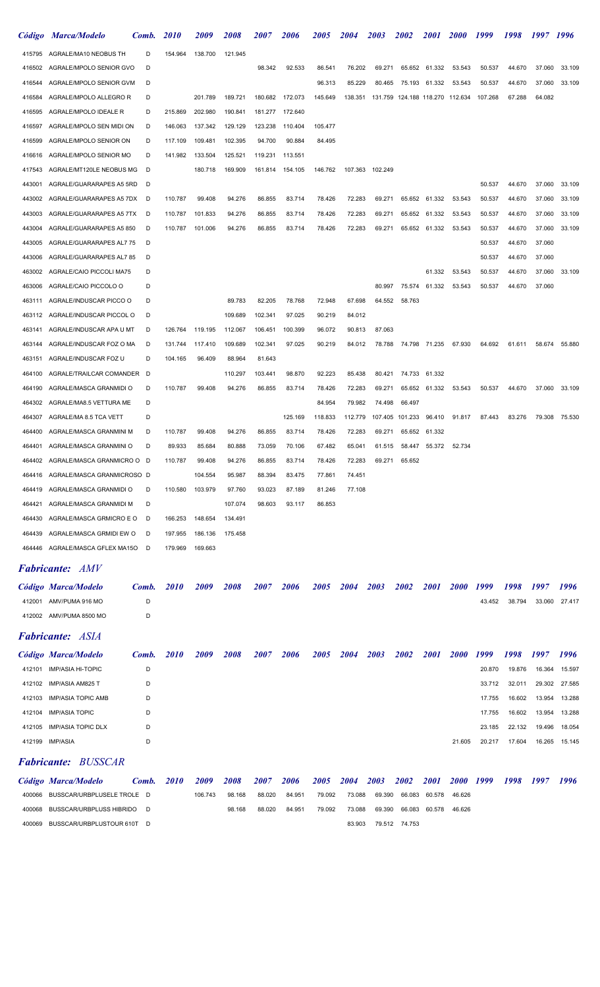|        | Código Marca/Modelo               | Comb. | <i>2010</i> | <i>2009</i>        | <i><b>2008</b></i> | <i><b>2007</b></i> | <i><b>2006</b></i> | <i><b>2005</b></i> | <i><b>2004</b></i> | <i><b>2003</b></i> | <b>2002</b>                     | <i>2001</i>   | <b>2000</b> | 1999    | 1998      | 1997   | 1996   |
|--------|-----------------------------------|-------|-------------|--------------------|--------------------|--------------------|--------------------|--------------------|--------------------|--------------------|---------------------------------|---------------|-------------|---------|-----------|--------|--------|
| 415795 | AGRALE/MA10 NEOBUS TH             | D     | 154.964     | 138.700            | 121.945            |                    |                    |                    |                    |                    |                                 |               |             |         |           |        |        |
| 416502 | AGRALE/MPOLO SENIOR GVO           | D     |             |                    |                    | 98.342             | 92.533             | 86.541             | 76.202             | 69.271             | 65.652                          | 61.332        | 53.543      | 50.537  | 44.670    | 37.060 | 33.109 |
| 416544 | AGRALE/MPOLO SENIOR GVM           | D     |             |                    |                    |                    |                    | 96.313             | 85.229             | 80.465             | 75.193                          | 61.332        | 53.543      | 50.537  | 44.670    | 37.060 | 33.109 |
| 416584 | AGRALE/MPOLO ALLEGRO R            | D     |             | 201.789            | 189.721            | 180.682            | 172.073            | 145.649            | 138.351            |                    | 131.759 124.188 118.270 112.634 |               |             | 107.268 | 67.288    | 64.082 |        |
| 416595 | AGRALE/MPOLO IDEALE R             | D     | 215.869     | 202.980            | 190.841            | 181.277            | 172.640            |                    |                    |                    |                                 |               |             |         |           |        |        |
| 416597 | AGRALE/MPOLO SEN MIDI ON          | D     | 146.063     | 137.342            | 129.129            | 123.238            | 110.404            | 105.477            |                    |                    |                                 |               |             |         |           |        |        |
| 416599 | AGRALE/MPOLO SENIOR ON            | D     | 117.109     | 109.481            | 102.395            | 94.700             | 90.884             | 84.495             |                    |                    |                                 |               |             |         |           |        |        |
| 416616 | AGRALE/MPOLO SENIOR MO            | D     | 141.982     | 133.504            | 125.521            | 119.231            | 113.551            |                    |                    |                    |                                 |               |             |         |           |        |        |
| 417543 | AGRALE/MT120LE NEOBUS MG          | D     |             | 180.718            | 169.909            | 161.814            | 154.105            | 146.762            |                    | 107.363 102.249    |                                 |               |             |         |           |        |        |
| 443001 | AGRALE/GUARARAPES A5 5RD          | D     |             |                    |                    |                    |                    |                    |                    |                    |                                 |               |             | 50.537  | 44.670    | 37.060 | 33.109 |
| 443002 | AGRALE/GUARARAPES A5 7DX          | D     | 110.787     | 99.408             | 94.276             | 86.855             | 83.714             | 78.426             | 72.283             | 69.271             | 65.652                          | 61.332        | 53.543      | 50.537  | 44.670    | 37.060 | 33.109 |
| 443003 | AGRALE/GUARARAPES A5 7TX          | D     | 110.787     | 101.833            | 94.276             | 86.855             | 83.714             | 78.426             | 72.283             | 69.271             | 65.652                          | 61.332        | 53.543      | 50.537  | 44.670    | 37.060 | 33.109 |
| 443004 | AGRALE/GUARARAPES A5 850          | D     | 110.787     | 101.006            | 94.276             | 86.855             | 83.714             | 78.426             | 72.283             | 69.271             | 65.652                          | 61.332        | 53.543      | 50.537  | 44.670    | 37.060 | 33.109 |
| 443005 | AGRALE/GUARARAPES AL7 75          | D     |             |                    |                    |                    |                    |                    |                    |                    |                                 |               |             | 50.537  | 44.670    | 37.060 |        |
| 443006 | AGRALE/GUARARAPES AL7 85          | D     |             |                    |                    |                    |                    |                    |                    |                    |                                 |               |             | 50.537  | 44.670    | 37.060 |        |
| 463002 | AGRALE/CAIO PICCOLI MA75          | D     |             |                    |                    |                    |                    |                    |                    |                    |                                 | 61.332        | 53.543      | 50.537  | 44.670    | 37.060 | 33.109 |
| 463006 | AGRALE/CAIO PICCOLO O             | D     |             |                    |                    |                    |                    |                    |                    | 80.997             | 75.574                          | 61.332        | 53.543      | 50.537  | 44.670    | 37.060 |        |
| 463111 | AGRALE/INDUSCAR PICCO O           | D     |             |                    | 89.783             | 82.205             | 78.768             | 72.948             | 67.698             | 64.552             | 58.763                          |               |             |         |           |        |        |
| 463112 | AGRALE/INDUSCAR PICCOL O          | D     |             |                    | 109.689            | 102.341            | 97.025             | 90.219             | 84.012             |                    |                                 |               |             |         |           |        |        |
| 463141 | AGRALE/INDUSCAR APA U MT          | D     | 126.764     | 119.195            | 112.067            | 106.451            | 100.399            | 96.072             | 90.813             | 87.063             |                                 |               |             |         |           |        |        |
| 463144 | AGRALE/INDUSCAR FOZ O MA          | D     | 131.744     | 117.410            | 109.689            | 102.341            | 97.025             | 90.219             | 84.012             | 78.788             |                                 | 74.798 71.235 | 67.930      | 64.692  | 61.611    | 58.674 | 55.880 |
| 463151 | AGRALE/INDUSCAR FOZ U             | D     | 104.165     | 96.409             | 88.964             | 81.643             |                    |                    |                    |                    |                                 |               |             |         |           |        |        |
| 464100 | AGRALE/TRAILCAR COMANDER          | D     |             |                    | 110.297            | 103.441            | 98.870             | 92.223             | 85.438             | 80.421             | 74.733                          | 61.332        |             |         |           |        |        |
| 464190 | AGRALE/MASCA GRANMIDI O           | D     | 110.787     | 99.408             | 94.276             | 86.855             | 83.714             | 78.426             | 72.283             | 69.271             | 65.652                          | 61.332        | 53.543      | 50.537  | 44.670    | 37.060 | 33.109 |
| 464302 | AGRALE/MA8.5 VETTURA ME           | D     |             |                    |                    |                    |                    | 84.954             | 79.982             | 74.498             | 66.497                          |               |             |         |           |        |        |
| 464307 | AGRALE/MA 8.5 TCA VETT            | D     |             |                    |                    |                    | 125.169            | 118.833            | 112,779            | 107.405            | 101.233                         | 96.410        | 91.817      | 87.443  | 83.276    | 79.308 | 75.530 |
| 464400 | AGRALE/MASCA GRANMINI M           | D     | 110.787     | 99.408             | 94.276             | 86.855             | 83.714             | 78.426             | 72.283             | 69.271             | 65.652                          | 61.332        |             |         |           |        |        |
| 464401 | AGRALE/MASCA GRANMINI O           | D     | 89.933      | 85.684             | 80.888             | 73.059             | 70.106             | 67.482             | 65.041             | 61.515             | 58.447                          | 55.372        | 52.734      |         |           |        |        |
|        | 464402 AGRALE/MASCA GRANMICRO O D |       | 110.787     | 99.408             | 94.276             | 86.855             | 83.714             | 78.426             | 72.283             | 69.271             | 65.652                          |               |             |         |           |        |        |
|        | 464416 AGRALE/MASCA GRANMICROSO D |       |             | 104.554            | 95.987             | 88.394             | 83.475             | 77.861             | 74.451             |                    |                                 |               |             |         |           |        |        |
| 464419 | AGRALE/MASCA GRANMIDI O           | D     | 110.580     | 103.979            | 97.760             | 93.023             | 87.189             | 81.246             | 77.108             |                    |                                 |               |             |         |           |        |        |
| 464421 | AGRALE/MASCA GRANMIDI M           | D     |             |                    | 107.074            | 98.603             | 93.117             | 86.853             |                    |                    |                                 |               |             |         |           |        |        |
| 464430 | AGRALE/MASCA GRMICRO E O          | D     | 166.253     | 148.654            | 134.491            |                    |                    |                    |                    |                    |                                 |               |             |         |           |        |        |
| 464439 | AGRALE/MASCA GRMIDI EW O          | D     | 197.955     | 186.136            | 175.458            |                    |                    |                    |                    |                    |                                 |               |             |         |           |        |        |
|        | 464446 AGRALE/MASCA GFLEX MA15O   | D     | 179.969     | 169.663            |                    |                    |                    |                    |                    |                    |                                 |               |             |         |           |        |        |
|        | <b>Fabricante: AMV</b>            |       |             |                    |                    |                    |                    |                    |                    |                    |                                 |               |             |         |           |        |        |
|        | Código Marca/Modelo               | Comb. | <i>2010</i> | <i><b>2009</b></i> | <i><b>2008</b></i> | <i><b>2007</b></i> | <b>2006</b>        | 2005               | <b>2004</b>        | 2003               | <b>2002</b>                     | <i>2001</i>   | 2000 1999   |         | 1998 1997 |        | 1996   |

| 412002 AMV/PUMA 8500 MO |  |
|-------------------------|--|
|                         |  |

Fabricante: ASIA

 $D$ 

|        | Código Marca/Modelo       | Comb. | <i>2010</i> | 2009 | 2008 | 2007 | 2006 | 2005 | <b>2004</b> | 2003 | 2002 | <b>2001</b> | <b>2000</b> | 1999   | 1998   | 1997          | 1996   |
|--------|---------------------------|-------|-------------|------|------|------|------|------|-------------|------|------|-------------|-------------|--------|--------|---------------|--------|
| 412101 | IMP/ASIA HI-TOPIC         | D     |             |      |      |      |      |      |             |      |      |             |             | 20.870 | 19.876 | 16.364        | 15.597 |
|        | 412102 IMP/ASIA AM825 T   | D     |             |      |      |      |      |      |             |      |      |             |             | 33.712 | 32.011 | 29.302 27.585 |        |
|        | 412103 IMP/ASIA TOPIC AMB | D     |             |      |      |      |      |      |             |      |      |             |             | 17.755 | 16.602 | 13.954        | 13.288 |
|        | 412104 IMP/ASIA TOPIC     | D     |             |      |      |      |      |      |             |      |      |             |             | 17.755 | 16.602 | 13.954        | 13.288 |
|        | 412105 IMP/ASIA TOPIC DLX | D     |             |      |      |      |      |      |             |      |      |             |             | 23.185 | 22.132 | 19.496        | 18.054 |
|        | 412199 IMP/ASIA           | D     |             |      |      |      |      |      |             |      |      |             | 21.605      | 20.217 | 17.604 | 16.265        | 15.145 |
|        |                           |       |             |      |      |      |      |      |             |      |      |             |             |        |        |               |        |

412001 AMV/PUMA 916 MO D D D D D D D D AMV/PUMA 916 MO D 43.452 38.794 33.060 27.417

# Fabricante: BUSSCAR

| Código Marca/Modelo               | Comb. | <b>2010</b> | 2009    | 2008   | 2007   | 2006   | 2005   | 2004   | 2003   | 2002          | <b>2001</b>   | <b>2000</b> | 1999 | 1998 | 1997 | 1996 |
|-----------------------------------|-------|-------------|---------|--------|--------|--------|--------|--------|--------|---------------|---------------|-------------|------|------|------|------|
| 400066 BUSSCAR/URBPLUSELE TROLE D |       |             | 106.743 | 98.168 | 88.020 | 84.951 | 79.092 | 73.088 | 69.390 |               | 66.083 60.578 | 46.626      |      |      |      |      |
| 400068 BUSSCAR/URBPLUSS HIBRIDO D |       |             |         | 98.168 | 88.020 | 84.951 | 79.092 | 73.088 | 69.390 |               | 66.083 60.578 | 46.626      |      |      |      |      |
| 400069 BUSSCAR/URBPLUSTOUR 610T D |       |             |         |        |        |        |        | 83.903 |        | 79.512 74.753 |               |             |      |      |      |      |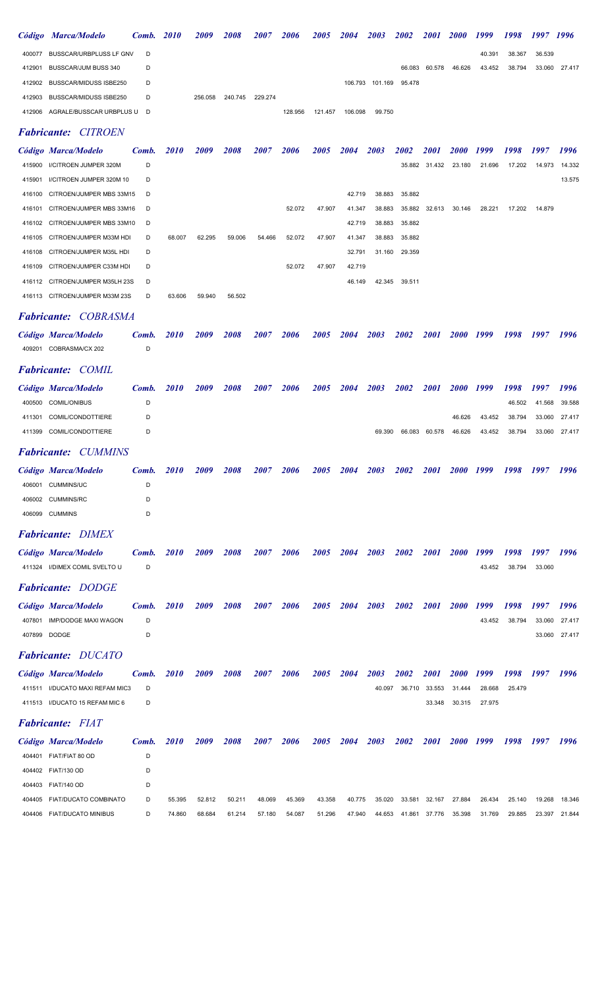|        | Código Marca/Modelo               | <b>Comb.</b> 2010 | 2009    | 2008    | 2007    | <b>2006</b> | 2005    | 2004    | 2003            | 2002   | <b>2001</b> | <b>2000</b> | 1999   | 1998   | 1997 1996 |        |
|--------|-----------------------------------|-------------------|---------|---------|---------|-------------|---------|---------|-----------------|--------|-------------|-------------|--------|--------|-----------|--------|
|        | 400077 BUSSCAR/URBPLUSS LF GNV    | D                 |         |         |         |             |         |         |                 |        |             |             | 40.391 | 38.367 | 36.539    |        |
| 412901 | BUSSCAR/JUM BUSS 340              | D                 |         |         |         |             |         |         |                 | 66.083 | 60.578      | 46.626      | 43.452 | 38.794 | 33.060    | 27.417 |
|        | 412902 BUSSCAR/MIDUSS ISBE250     | D                 |         |         |         |             |         |         | 106.793 101.169 | 95.478 |             |             |        |        |           |        |
|        | 412903 BUSSCAR/MIDUSS ISBE250     | D                 | 256.058 | 240.745 | 229.274 |             |         |         |                 |        |             |             |        |        |           |        |
|        | 412906 AGRALE/BUSSCAR URBPLUS U D |                   |         |         |         | 128.956     | 121.457 | 106.098 | 99.750          |        |             |             |        |        |           |        |

## Fabricante: CITROEN

|        | Código Marca/Modelo             | Comb. | <i>2010</i> | 2009   | 2008   | 2007   | 2006   | 2005   | <b>2004</b> | 2003   | 2002   | <i>2001</i> | <i><b>2000</b></i> | 1999   | 1998   | 1997   | 1996   |
|--------|---------------------------------|-------|-------------|--------|--------|--------|--------|--------|-------------|--------|--------|-------------|--------------------|--------|--------|--------|--------|
| 415900 | I/CITROEN JUMPER 320M           | D     |             |        |        |        |        |        |             |        | 35.882 | 31.432      | 23.180             | 21.696 | 17.202 | 14.973 | 14.332 |
| 415901 | I/CITROEN JUMPER 320M 10        | D     |             |        |        |        |        |        |             |        |        |             |                    |        |        |        | 13.575 |
| 416100 | CITROEN/JUMPER MBS 33M15        | D     |             |        |        |        |        |        | 42.719      | 38.883 | 35.882 |             |                    |        |        |        |        |
|        | 416101 CITROEN/JUMPER MBS 33M16 | D     |             |        |        |        | 52.072 | 47.907 | 41.347      | 38.883 | 35.882 | 32.613      | 30.146             | 28.221 | 17.202 | 14.879 |        |
|        | 416102 CITROEN/JUMPER MBS 33M10 | D     |             |        |        |        |        |        | 42.719      | 38.883 | 35.882 |             |                    |        |        |        |        |
|        | 416105 CITROEN/JUMPER M33M HDI  | D     | 68,007      | 62.295 | 59,006 | 54.466 | 52.072 | 47.907 | 41.347      | 38.883 | 35.882 |             |                    |        |        |        |        |
|        | 416108 CITROEN/JUMPER M35L HDI  | D     |             |        |        |        |        |        | 32.791      | 31.160 | 29.359 |             |                    |        |        |        |        |
|        | 416109 CITROEN/JUMPER C33M HDI  | D     |             |        |        |        | 52.072 | 47.907 | 42.719      |        |        |             |                    |        |        |        |        |
|        | 416112 CITROEN/JUMPER M35LH 23S | D     |             |        |        |        |        |        | 46.149      | 42.345 | 39.511 |             |                    |        |        |        |        |
|        | 416113 CITROEN/JUMPER M33M 23S  | D     | 63.606      | 59.940 | 56.502 |        |        |        |             |        |        |             |                    |        |        |        |        |

#### Fabricante: COBRASMA

| Código Marca/Modelo    | Comb. 2010 | 2009 | 2008 | 2007 | 2006 | 2005 2004 2003 2002 |  |  |  | 2001 2000 1999 1998 1997 | 1996 |
|------------------------|------------|------|------|------|------|---------------------|--|--|--|--------------------------|------|
| 409201 COBRASMA/CX 202 |            |      |      |      |      |                     |  |  |  |                          |      |

## Fabricante: COMIL

| Código Marca/Modelo      | Comb. | <i>2010</i> | 2009 | 2008 | 2007 | <b>2006</b> | 2005 | 2004 | 2003 | 2002                 | <i>2001</i> | 2000 1999 | 1998 1997     |               | 1996 |
|--------------------------|-------|-------------|------|------|------|-------------|------|------|------|----------------------|-------------|-----------|---------------|---------------|------|
| 400500 COMIL/ONIBUS      |       |             |      |      |      |             |      |      |      |                      |             |           | 46.502        | 41.568 39.588 |      |
| 411301 COMIL/CONDOTTIERE | D     |             |      |      |      |             |      |      |      |                      |             | 46.626    | 43.452 38.794 | 33.060 27.417 |      |
| 411399 COMIL/CONDOTTIERE | D     |             |      |      |      |             |      |      |      | 69.390 66.083 60.578 |             | 46.626    | 43.452 38.794 | 33.060 27.417 |      |
|                          |       |             |      |      |      |             |      |      |      |                      |             |           |               |               |      |

# Fabricante: CUMMINS

|        | Código Marca/Modelo | Comb. | <b>2010</b> | 2009 | 2008 | 2007 | 2006 | 2005 | 2004 | 2003 | 2002 | 2001 | 2000 1999 | 1998 | 1997 | 1996 |
|--------|---------------------|-------|-------------|------|------|------|------|------|------|------|------|------|-----------|------|------|------|
| 406001 | <b>CUMMINS/UC</b>   |       |             |      |      |      |      |      |      |      |      |      |           |      |      |      |
|        | 406002 CUMMINS/RC   |       |             |      |      |      |      |      |      |      |      |      |           |      |      |      |
|        | 406099 CUMMINS      |       |             |      |      |      |      |      |      |      |      |      |           |      |      |      |

## Fabricante: DIMEX

| Código Marca/Modelo           | Comb. 2010 |             | 2009 | 2008 | 2007 | 2006 | 2005 | 2004 | 2003 | 2002 | <b>2001</b> | 2000 1999 | 1998   | 1997   | 1996 |
|-------------------------------|------------|-------------|------|------|------|------|------|------|------|------|-------------|-----------|--------|--------|------|
| 411324 I/DIMEX COMIL SVELTO U |            |             |      |      |      |      |      |      |      |      |             | 43.452    | 38.794 | 33.060 |      |
| <b>Fabricante: DODGE</b>      |            |             |      |      |      |      |      |      |      |      |             |           |        |        |      |
| Código Marca/Modelo           | Comb.      | <i>2010</i> | 2009 | 2008 | 2007 | 2006 | 2005 | 2004 | 2003 | 2002 | <b>2001</b> | 2000 1999 | 1998   | 1997   | 1996 |

| 407801 | IMP/DODGE MAXI WAGON | 43.452 | 38.794 | 33.060 27.417 |  |
|--------|----------------------|--------|--------|---------------|--|
|        | 407899 DODGE         |        |        | 33.060 27.417 |  |

## Fabricante: DUCATO

| Código Marca/Modelo               | Comb. | <b>2010</b> | 2009 | 2008 | 2007 | 2006 | 2005 2004 | 2003   | 2002 2001 |        | 2000 1999 1998 1997         |        | 1996 |
|-----------------------------------|-------|-------------|------|------|------|------|-----------|--------|-----------|--------|-----------------------------|--------|------|
| 411511 I/DUCATO MAXI REFAM MIC3 D |       |             |      |      |      |      |           | 40.097 |           |        | 36.710 33.553 31.444 28.668 | 25.479 |      |
| 411513 I/DUCATO 15 REFAM MIC 6    |       |             |      |      |      |      |           |        |           | 33.348 | 30.315 27.975               |        |      |

#### Fabricante: FIAT

|        | Código Marca/Modelo          | Comb. | <i>2010</i> | 2009   | 2008   | 2007   | 2006   | 2005   | 2004   | 2003   | 2002   | <i>2001</i>   | <i>2000</i> | 1999   | 1998   | 1997   | 1996   |
|--------|------------------------------|-------|-------------|--------|--------|--------|--------|--------|--------|--------|--------|---------------|-------------|--------|--------|--------|--------|
| 404401 | FIAT/FIAT 80 OD              | D     |             |        |        |        |        |        |        |        |        |               |             |        |        |        |        |
|        | 404402 FIAT/130 OD           | D     |             |        |        |        |        |        |        |        |        |               |             |        |        |        |        |
|        | 404403 FIAT/140 OD           | D     |             |        |        |        |        |        |        |        |        |               |             |        |        |        |        |
|        | 404405 FIAT/DUCATO COMBINATO | D     | 55.395      | 52.812 | 50.211 | 48.069 | 45.369 | 43.358 | 40.775 | 35.020 |        | 33.581 32.167 | 27.884      | 26.434 | 25.140 | 19.268 | 18.346 |
|        | 404406 FIAT/DUCATO MINIBUS   |       | 74.860      | 68.684 | 61.214 | 57.180 | 54.087 | 51.296 | 47.940 | 44.653 | 41.861 | 37.776        | 35.398      | 31.769 | 29.885 | 23.397 | 21.844 |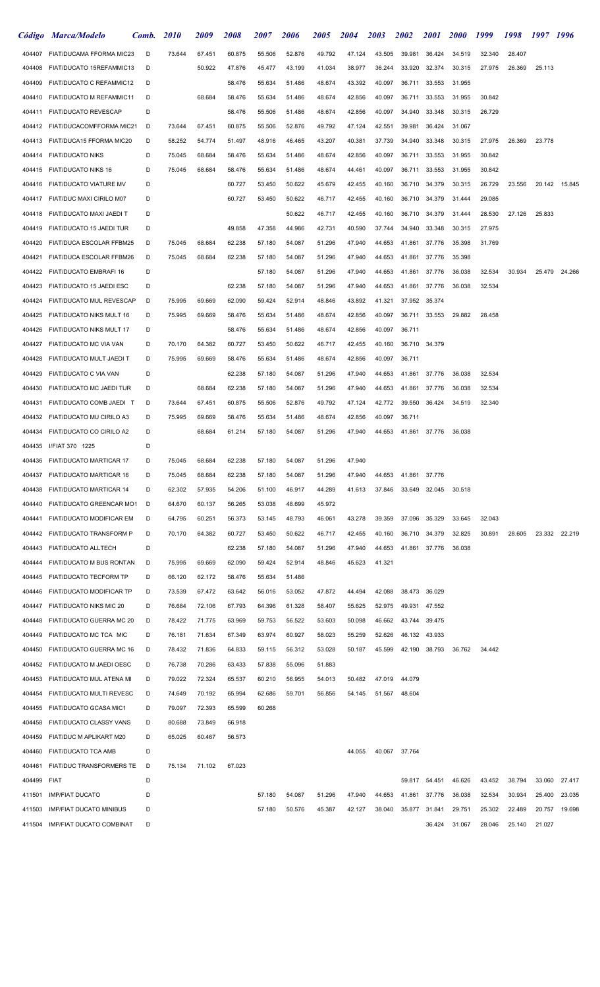|        | Código Marca/Modelo             | Comb. | <i>2010</i> | <i><b>2009</b></i> | <i><b>2008</b></i> | <i><b>2007</b></i> | 2006   | <i><b>2005</b></i> | <i><b>2004</b></i> | <i><b>2003</b></i> | <i>2002</i> | <i>2001</i>   | <b>2000</b> | 1999   | 1998   | 1997   | 1996          |
|--------|---------------------------------|-------|-------------|--------------------|--------------------|--------------------|--------|--------------------|--------------------|--------------------|-------------|---------------|-------------|--------|--------|--------|---------------|
| 404407 | FIAT/DUCAMA FFORMA MIC23        | D     | 73.644      | 67.451             | 60.875             | 55.506             | 52.876 | 49.792             | 47.124             | 43.505             | 39.981      | 36.424        | 34.519      | 32.340 | 28.407 |        |               |
| 404408 | FIAT/DUCATO 15REFAMMIC13        | D     |             | 50.922             | 47.876             | 45.477             | 43.199 | 41.034             | 38.977             | 36.244             | 33.920      | 32.374        | 30.315      | 27.975 | 26.369 | 25.113 |               |
| 404409 | FIAT/DUCATO C REFAMMIC12        | D     |             |                    | 58.476             | 55.634             | 51.486 | 48.674             | 43.392             | 40.097             | 36.711      | 33.553        | 31.955      |        |        |        |               |
| 404410 | FIAT/DUCATO M REFAMMIC11        | D     |             | 68.684             | 58.476             | 55.634             | 51.486 | 48.674             | 42.856             | 40.097             | 36.711      | 33.553        | 31.955      | 30.842 |        |        |               |
| 404411 | <b>FIAT/DUCATO REVESCAP</b>     | D     |             |                    | 58.476             | 55.506             | 51.486 | 48.674             | 42.856             | 40.097             | 34.940      | 33.348        | 30.315      | 26.729 |        |        |               |
| 404412 | FIAT/DUCACOMFFORMA MIC21        | D     | 73.644      | 67.451             | 60.875             | 55.506             | 52.876 | 49.792             | 47.124             | 42.551             | 39.981      | 36.424        | 31.067      |        |        |        |               |
| 404413 | FIAT/DUCA15 FFORMA MIC20        | D     | 58.252      | 54.774             | 51.497             | 48.916             | 46.465 | 43.207             | 40.381             | 37.739             | 34.940      | 33.348        | 30.315      | 27.975 | 26.369 | 23.778 |               |
| 404414 | <b>FIAT/DUCATO NIKS</b>         | D     | 75.045      | 68.684             | 58.476             | 55.634             | 51.486 | 48.674             | 42.856             | 40.097             | 36.711      | 33.553        | 31.955      | 30.842 |        |        |               |
| 404415 | <b>FIAT/DUCATO NIKS 16</b>      | D     | 75.045      | 68.684             | 58.476             | 55.634             | 51.486 | 48.674             | 44.461             | 40.097             | 36.711      | 33.553        | 31.955      | 30.842 |        |        |               |
| 404416 | <b>FIAT/DUCATO VIATURE MV</b>   | D     |             |                    | 60.727             | 53.450             | 50.622 | 45.679             | 42.455             | 40.160             | 36.710      | 34.379        | 30.315      | 26.729 | 23.556 |        | 20.142 15.845 |
| 404417 | FIAT/DUC MAXI CIRILO M07        | D     |             |                    | 60.727             | 53.450             | 50.622 | 46.717             | 42.455             | 40.160             | 36.710      | 34.379        | 31.444      | 29.085 |        |        |               |
| 404418 | FIAT/DUCATO MAXI JAEDI T        | D     |             |                    |                    |                    | 50.622 | 46.717             | 42.455             | 40.160             | 36.710      | 34.379        | 31.444      | 28.530 | 27.126 | 25.833 |               |
| 404419 | FIAT/DUCATO 15 JAEDI TUR        | D     |             |                    | 49.858             | 47.358             | 44.986 | 42.731             | 40.590             | 37.744             | 34.940      | 33.348        | 30.315      | 27.975 |        |        |               |
| 404420 | FIAT/DUCA ESCOLAR FFBM25        | D     | 75.045      | 68.684             | 62.238             | 57.180             | 54.087 | 51.296             | 47.940             | 44.653             | 41.861      | 37.776        | 35.398      | 31.769 |        |        |               |
| 404421 | FIAT/DUCA ESCOLAR FFBM26        | D     | 75.045      | 68.684             | 62.238             | 57.180             | 54.087 | 51.296             | 47.940             | 44.653             | 41.861      | 37.776        | 35.398      |        |        |        |               |
| 404422 | FIAT/DUCATO EMBRAFI 16          | D     |             |                    |                    | 57.180             | 54.087 | 51.296             | 47.940             | 44.653             | 41.861      | 37.776        | 36.038      | 32.534 | 30.934 | 25.479 | 24.266        |
| 404423 | FIAT/DUCATO 15 JAEDI ESC        | D     |             |                    | 62.238             | 57.180             | 54.087 | 51.296             | 47.940             | 44.653             | 41.861      | 37.776        | 36.038      | 32.534 |        |        |               |
| 404424 | FIAT/DUCATO MUL REVESCAP        | D     | 75.995      | 69.669             | 62.090             | 59.424             | 52.914 | 48.846             | 43.892             | 41.321             | 37.952      | 35.374        |             |        |        |        |               |
| 404425 | FIAT/DUCATO NIKS MULT 16        | D     | 75.995      | 69.669             | 58.476             | 55.634             | 51.486 | 48.674             | 42.856             | 40.097             | 36.711      | 33.553        | 29.882      | 28.458 |        |        |               |
| 404426 | FIAT/DUCATO NIKS MULT 17        | D     |             |                    | 58.476             | 55.634             | 51.486 | 48.674             | 42.856             | 40.097             | 36.711      |               |             |        |        |        |               |
| 404427 | FIAT/DUCATO MC VIA VAN          | D     | 70.170      | 64.382             | 60.727             | 53.450             | 50.622 | 46.717             | 42.455             | 40.160             | 36.710      | 34.379        |             |        |        |        |               |
| 404428 | FIAT/DUCATO MULT JAEDI T        | D     | 75.995      | 69.669             | 58.476             | 55.634             | 51.486 | 48.674             | 42.856             | 40.097             | 36.711      |               |             |        |        |        |               |
| 404429 | FIAT/DUCATO C VIA VAN           | D     |             |                    | 62.238             | 57.180             | 54.087 | 51.296             | 47.940             | 44.653             | 41.861      | 37.776        | 36.038      | 32.534 |        |        |               |
| 404430 | FIAT/DUCATO MC JAEDI TUR        | D     |             | 68.684             | 62.238             | 57.180             | 54.087 | 51.296             | 47.940             | 44.653             | 41.861      | 37.776        | 36.038      | 32.534 |        |        |               |
| 404431 | FIAT/DUCATO COMB JAEDI T        | D     | 73.644      | 67.451             | 60.875             | 55.506             | 52.876 | 49.792             | 47.124             | 42.772             | 39.550      | 36.424        | 34.519      | 32.340 |        |        |               |
| 404432 | FIAT/DUCATO MU CIRILO A3        | D     | 75.995      | 69.669             | 58.476             | 55.634             | 51.486 | 48.674             | 42.856             | 40.097             | 36.711      |               |             |        |        |        |               |
| 404434 | FIAT/DUCATO CO CIRILO A2        | D     |             | 68.684             | 61.214             | 57.180             | 54.087 | 51.296             | 47.940             | 44.653             | 41.861      | 37.776        | 36.038      |        |        |        |               |
| 404435 | I/FIAT 370 1225                 | D     |             |                    |                    |                    |        |                    |                    |                    |             |               |             |        |        |        |               |
| 404436 | FIAT/DUCATO MARTICAR 17         | D     | 75.045      | 68.684             | 62.238             | 57.180             | 54.087 | 51.296             | 47.940             |                    |             |               |             |        |        |        |               |
| 404437 | FIAT/DUCATO MARTICAR 16         | D     | 75.045      | 68.684             | 62.238             | 57.180             | 54.087 | 51.296             | 47.940             | 44.653             |             | 41.861 37.776 |             |        |        |        |               |
| 404438 | FIAT/DUCATO MARTICAR 14         | D     | 62.302      | 57.935             | 54.206             | 51.100             | 46.917 | 44.289             | 41.613             | 37.846             | 33.649      | 32.045        | 30.518      |        |        |        |               |
| 404440 | FIAT/DUCATO GREENCAR MO1        | D     | 64.670      | 60.137             | 56.265             | 53.038             | 48.699 | 45.972             |                    |                    |             |               |             |        |        |        |               |
| 404441 | FIAT/DUCATO MODIFICAR EM        | D     | 64.795      | 60.251             | 56.373             | 53.145             | 48.793 | 46.061             | 43.278             | 39.359             | 37.096      | 35.329        | 33.645      | 32.043 |        |        |               |
| 404442 | FIAT/DUCATO TRANSFORM P         | D     | 70.170      | 64.382             | 60.727             | 53.450             | 50.622 | 46.717             | 42.455             | 40.160             | 36.710      | 34.379        | 32.825      | 30.891 | 28.605 |        | 23.332 22.219 |
| 404443 | FIAT/DUCATO ALLTECH             | D     |             |                    | 62.238             | 57.180             | 54.087 | 51.296             | 47.940             | 44.653             | 41.861      | 37.776        | 36.038      |        |        |        |               |
| 404444 | FIAT/DUCATO M BUS RONTAN        | D     | 75.995      | 69.669             | 62.090             | 59.424             | 52.914 | 48.846             | 45.623             | 41.321             |             |               |             |        |        |        |               |
| 404445 | FIAT/DUCATO TECFORM TP          | D     | 66.120      | 62.172             | 58.476             | 55.634             | 51.486 |                    |                    |                    |             |               |             |        |        |        |               |
| 404446 | FIAT/DUCATO MODIFICAR TP        | D     | 73.539      | 67.472             | 63.642             | 56.016             | 53.052 | 47.872             | 44.494             | 42.088             |             | 38.473 36.029 |             |        |        |        |               |
| 404447 | FIAT/DUCATO NIKS MIC 20         | D     | 76.684      | 72.106             | 67.793             | 64.396             | 61.328 | 58.407             | 55.625             | 52.975             | 49.931      | 47.552        |             |        |        |        |               |
| 404448 | FIAT/DUCATO GUERRA MC 20        | D     | 78.422      | 71.775             | 63.969             | 59.753             | 56.522 | 53.603             | 50.098             | 46.662             | 43.744      | 39.475        |             |        |        |        |               |
| 404449 | FIAT/DUCATO MC TCA MIC          | D     | 76.181      | 71.634             | 67.349             | 63.974             | 60.927 | 58.023             | 55.259             | 52.626             | 46.132      | 43.933        |             |        |        |        |               |
| 404450 | FIAT/DUCATO GUERRA MC 16        | D     | 78.432      | 71.836             | 64.833             | 59.115             | 56.312 | 53.028             | 50.187             | 45.599             | 42.190      | 38.793        | 36.762      | 34.442 |        |        |               |
| 404452 | FIAT/DUCATO M JAEDI OESC        | D     | 76.738      | 70.286             | 63.433             | 57.838             | 55.096 | 51.883             |                    |                    |             |               |             |        |        |        |               |
| 404453 | FIAT/DUCATO MUL ATENA MI        | D     | 79.022      | 72.324             | 65.537             | 60.210             | 56.955 | 54.013             | 50.482             | 47.019             | 44.079      |               |             |        |        |        |               |
| 404454 | FIAT/DUCATO MULTI REVESC        | D     | 74.649      | 70.192             | 65.994             | 62.686             | 59.701 | 56.856             | 54.145             | 51.567             | 48.604      |               |             |        |        |        |               |
| 404455 | FIAT/DUCATO GCASA MIC1          | D     | 79.097      | 72.393             | 65.599             | 60.268             |        |                    |                    |                    |             |               |             |        |        |        |               |
| 404458 | FIAT/DUCATO CLASSY VANS         | D     | 80.688      | 73.849             | 66.918             |                    |        |                    |                    |                    |             |               |             |        |        |        |               |
| 404459 | FIAT/DUC M APLIKART M20         | D     | 65.025      | 60.467             | 56.573             |                    |        |                    |                    |                    |             |               |             |        |        |        |               |
| 404460 | FIAT/DUCATO TCA AMB             | D     |             |                    |                    |                    |        |                    | 44.055             | 40.067             | 37.764      |               |             |        |        |        |               |
| 404461 | FIAT/DUC TRANSFORMERS TE        | D     | 75.134      | 71.102             | 67.023             |                    |        |                    |                    |                    |             |               |             |        |        |        |               |
| 404499 | FIAT                            | D     |             |                    |                    |                    |        |                    |                    |                    | 59.817      | 54.451        | 46.626      | 43.452 | 38.794 | 33.060 | 27.417        |
| 411501 | <b>IMP/FIAT DUCATO</b>          | D     |             |                    |                    | 57.180             | 54.087 | 51.296             | 47.940             | 44.653             | 41.861      | 37.776        | 36.038      | 32.534 | 30.934 | 25.400 | 23.035        |
| 411503 | <b>IMP/FIAT DUCATO MINIBUS</b>  | D     |             |                    |                    | 57.180             | 50.576 | 45.387             | 42.127             | 38.040             |             | 35.877 31.841 | 29.751      | 25.302 | 22.489 | 20.757 | 19.698        |
| 411504 | <b>IMP/FIAT DUCATO COMBINAT</b> | D     |             |                    |                    |                    |        |                    |                    |                    |             | 36.424        | 31.067      | 28.046 | 25.140 | 21.027 |               |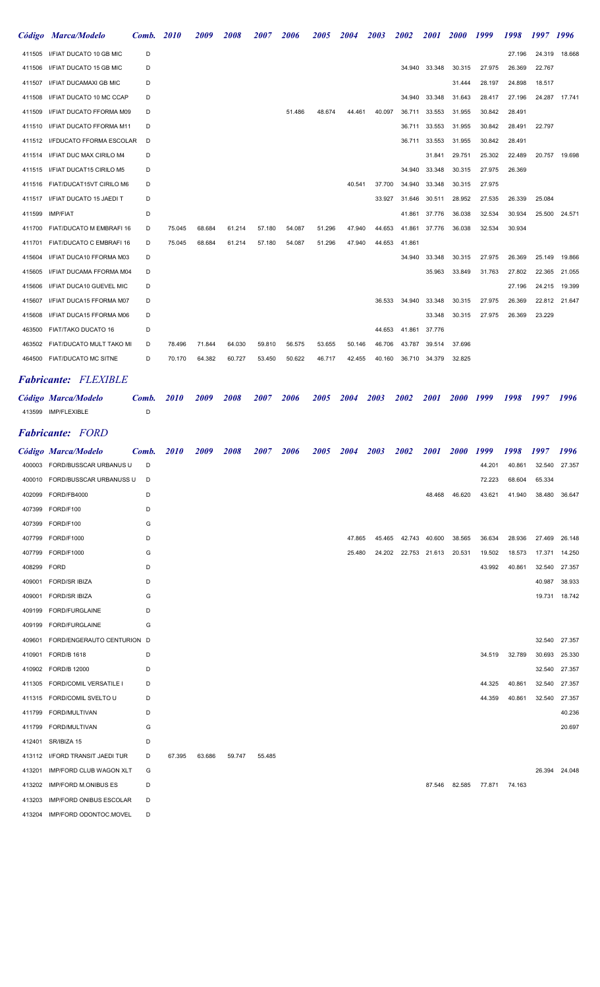|        | Código Marca/Modelo             | Comb. | <b>2010</b> | 2009   | 2008   | <i><b>2007</b></i> | <i><b>2006</b></i> | 2005   | 2004   | 2003   | 2002   | 2001          | <b>2000</b> | 1999   | 1998   | 1997   | 1996          |
|--------|---------------------------------|-------|-------------|--------|--------|--------------------|--------------------|--------|--------|--------|--------|---------------|-------------|--------|--------|--------|---------------|
| 411505 | I/FIAT DUCATO 10 GB MIC         | D     |             |        |        |                    |                    |        |        |        |        |               |             |        | 27.196 | 24.319 | 18.668        |
| 411506 | I/FIAT DUCATO 15 GB MIC         | D     |             |        |        |                    |                    |        |        |        |        | 34.940 33.348 | 30.315      | 27.975 | 26.369 | 22.767 |               |
| 411507 | I/FIAT DUCAMAXI GB MIC          | D     |             |        |        |                    |                    |        |        |        |        |               | 31.444      | 28.197 | 24.898 | 18.517 |               |
| 411508 | I/FIAT DUCATO 10 MC CCAP        | D     |             |        |        |                    |                    |        |        |        | 34.940 | 33.348        | 31.643      | 28.417 | 27.196 |        | 24.287 17.741 |
| 411509 | <b>I/FIAT DUCATO FFORMA M09</b> | D     |             |        |        |                    | 51.486             | 48.674 | 44.461 | 40.097 | 36.711 | 33.553        | 31.955      | 30.842 | 28.491 |        |               |
| 411510 | <b>I/FIAT DUCATO FFORMA M11</b> | D     |             |        |        |                    |                    |        |        |        | 36.711 | 33.553        | 31.955      | 30.842 | 28.491 | 22.797 |               |
| 411512 | <b>I/FDUCATO FFORMA ESCOLAR</b> | D     |             |        |        |                    |                    |        |        |        | 36.711 | 33.553        | 31.955      | 30.842 | 28.491 |        |               |
| 411514 | I/FIAT DUC MAX CIRILO M4        | D     |             |        |        |                    |                    |        |        |        |        | 31.841        | 29.751      | 25.302 | 22.489 | 20.757 | 19.698        |
| 411515 | I/FIAT DUCAT15 CIRILO M5        | D     |             |        |        |                    |                    |        |        |        | 34.940 | 33.348        | 30.315      | 27.975 | 26.369 |        |               |
| 411516 | FIAT/DUCAT15VT CIRILO M6        | D     |             |        |        |                    |                    |        | 40.541 | 37.700 | 34.940 | 33.348        | 30.315      | 27.975 |        |        |               |
| 411517 | I/FIAT DUCATO 15 JAEDI T        | D     |             |        |        |                    |                    |        |        | 33.927 | 31.646 | 30.511        | 28.952      | 27.535 | 26.339 | 25.084 |               |
| 411599 | <b>IMP/FIAT</b>                 | D     |             |        |        |                    |                    |        |        |        | 41.861 | 37.776        | 36.038      | 32.534 | 30.934 | 25.500 | 24.571        |
| 411700 | FIAT/DUCATO M EMBRAFI 16        | D     | 75.045      | 68.684 | 61.214 | 57.180             | 54.087             | 51.296 | 47.940 | 44.653 | 41.861 | 37.776        | 36.038      | 32.534 | 30.934 |        |               |
| 411701 | FIAT/DUCATO C EMBRAFI 16        | D     | 75.045      | 68.684 | 61.214 | 57.180             | 54.087             | 51.296 | 47.940 | 44.653 | 41.861 |               |             |        |        |        |               |
| 415604 | I/FIAT DUCA10 FFORMA M03        | D     |             |        |        |                    |                    |        |        |        | 34.940 | 33.348        | 30.315      | 27.975 | 26.369 | 25.149 | 19.866        |
| 415605 | <b>I/FIAT DUCAMA FFORMA M04</b> | D     |             |        |        |                    |                    |        |        |        |        | 35.963        | 33.849      | 31.763 | 27.802 | 22.365 | 21.055        |
| 415606 | I/FIAT DUCA10 GUEVEL MIC        | D     |             |        |        |                    |                    |        |        |        |        |               |             |        | 27.196 | 24.215 | 19.399        |
| 415607 | I/FIAT DUCA15 FFORMA M07        | D     |             |        |        |                    |                    |        |        | 36.533 | 34.940 | 33.348        | 30.315      | 27.975 | 26.369 |        | 22.812 21.647 |
| 415608 | I/FIAT DUCA15 FFORMA M06        | D     |             |        |        |                    |                    |        |        |        |        | 33.348        | 30.315      | 27.975 | 26.369 | 23.229 |               |
| 463500 | FIAT/TAKO DUCATO 16             | D     |             |        |        |                    |                    |        |        | 44.653 | 41.861 | 37.776        |             |        |        |        |               |
| 463502 | FIAT/DUCATO MULT TAKO MI        | D     | 78.496      | 71.844 | 64.030 | 59.810             | 56.575             | 53.655 | 50.146 | 46.706 | 43.787 | 39.514        | 37.696      |        |        |        |               |
| 464500 | <b>FIAT/DUCATO MC SITNE</b>     | D     | 70.170      | 64.382 | 60.727 | 53.450             | 50.622             | 46.717 | 42.455 | 40.160 | 36.710 | 34.379        | 32.825      |        |        |        |               |
|        |                                 |       |             |        |        |                    |                    |        |        |        |        |               |             |        |        |        |               |

## Fabricante: FLEXIBLE

| Código Marca/Modelo | Comb. 2010 | 2009 | 2008 | 2007 | 2006 | 2005 | 2004 | 2003 | 2002 | <b>2001</b> | 2000 1999 | 1998 | 1997 | 1996 |
|---------------------|------------|------|------|------|------|------|------|------|------|-------------|-----------|------|------|------|
| 413599 IMP/FLEXIBLE |            |      |      |      |      |      |      |      |      |             |           |      |      |      |

## Fabricante: FORD

|        | Código Marca/Modelo            | Comb. | <b>2010</b> | 2009   | 2008   | 2007   | 2006 | 2005 | 2004   | 2003   | 2002                 | 2001          | <b>2000</b> | 1999   | 1998   | 1997   | 1996   |
|--------|--------------------------------|-------|-------------|--------|--------|--------|------|------|--------|--------|----------------------|---------------|-------------|--------|--------|--------|--------|
|        | 400003 FORD/BUSSCAR URBANUS U  | D     |             |        |        |        |      |      |        |        |                      |               |             | 44.201 | 40.861 | 32.540 | 27.357 |
| 400010 | FORD/BUSSCAR URBANUSS U        | D     |             |        |        |        |      |      |        |        |                      |               |             | 72.223 | 68.604 | 65.334 |        |
| 402099 | FORD/FB4000                    | D     |             |        |        |        |      |      |        |        |                      | 48.468        | 46.620      | 43.621 | 41.940 | 38.480 | 36.647 |
| 407399 | FORD/F100                      | D     |             |        |        |        |      |      |        |        |                      |               |             |        |        |        |        |
| 407399 | FORD/F100                      | G     |             |        |        |        |      |      |        |        |                      |               |             |        |        |        |        |
| 407799 | <b>FORD/F1000</b>              | D     |             |        |        |        |      |      | 47.865 | 45.465 |                      | 42.743 40.600 | 38.565      | 36.634 | 28.936 | 27.469 | 26.148 |
| 407799 | <b>FORD/F1000</b>              | G     |             |        |        |        |      |      | 25.480 |        | 24.202 22.753 21.613 |               | 20.531      | 19.502 | 18.573 | 17.371 | 14.250 |
| 408299 | <b>FORD</b>                    | D     |             |        |        |        |      |      |        |        |                      |               |             | 43.992 | 40.861 | 32.540 | 27.357 |
| 409001 | <b>FORD/SR IBIZA</b>           | D     |             |        |        |        |      |      |        |        |                      |               |             |        |        | 40.987 | 38.933 |
| 409001 | <b>FORD/SR IBIZA</b>           | G     |             |        |        |        |      |      |        |        |                      |               |             |        |        | 19.731 | 18.742 |
| 409199 | FORD/FURGLAINE                 | D     |             |        |        |        |      |      |        |        |                      |               |             |        |        |        |        |
| 409199 | FORD/FURGLAINE                 | G     |             |        |        |        |      |      |        |        |                      |               |             |        |        |        |        |
| 409601 | FORD/ENGERAUTO CENTURION D     |       |             |        |        |        |      |      |        |        |                      |               |             |        |        | 32.540 | 27.357 |
| 410901 | <b>FORD/B 1618</b>             | D     |             |        |        |        |      |      |        |        |                      |               |             | 34.519 | 32.789 | 30.693 | 25.330 |
| 410902 | FORD/B 12000                   | D     |             |        |        |        |      |      |        |        |                      |               |             |        |        | 32.540 | 27.357 |
| 411305 | FORD/COMIL VERSATILE I         | D     |             |        |        |        |      |      |        |        |                      |               |             | 44.325 | 40.861 | 32.540 | 27.357 |
| 411315 | FORD/COMIL SVELTO U            | D     |             |        |        |        |      |      |        |        |                      |               |             | 44.359 | 40.861 | 32.540 | 27.357 |
| 411799 | FORD/MULTIVAN                  | D     |             |        |        |        |      |      |        |        |                      |               |             |        |        |        | 40.236 |
| 411799 | FORD/MULTIVAN                  | G     |             |        |        |        |      |      |        |        |                      |               |             |        |        |        | 20.697 |
| 412401 | SR/IBIZA 15                    | D     |             |        |        |        |      |      |        |        |                      |               |             |        |        |        |        |
| 413112 | I/FORD TRANSIT JAEDI TUR       | D     | 67.395      | 63.686 | 59.747 | 55.485 |      |      |        |        |                      |               |             |        |        |        |        |
| 413201 | <b>IMP/FORD CLUB WAGON XLT</b> | G     |             |        |        |        |      |      |        |        |                      |               |             |        |        | 26.394 | 24.048 |
| 413202 | <b>IMP/FORD M.ONIBUS ES</b>    | D     |             |        |        |        |      |      |        |        |                      | 87.546        | 82.585      | 77.871 | 74.163 |        |        |
| 413203 | <b>IMP/FORD ONIBUS ESCOLAR</b> | D     |             |        |        |        |      |      |        |        |                      |               |             |        |        |        |        |
| 413204 | IMP/FORD ODONTOC.MOVEL         | D     |             |        |        |        |      |      |        |        |                      |               |             |        |        |        |        |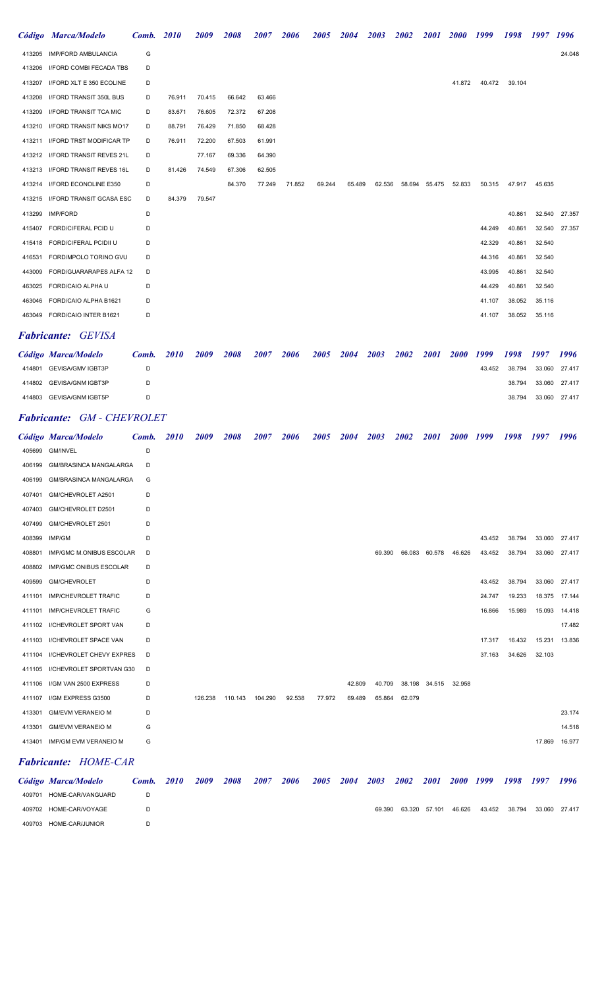|        | Código Marca/Modelo             | Comb. | 2010   | 2009   | 2008   | 2007   | 2006   | 2005   | 2004   | 2003   | 2002   | <i>2001</i> | <b>2000</b> | 1999   | 1998   | 1997   | 1996   |
|--------|---------------------------------|-------|--------|--------|--------|--------|--------|--------|--------|--------|--------|-------------|-------------|--------|--------|--------|--------|
|        | 413205 IMP/FORD AMBULANCIA      | G     |        |        |        |        |        |        |        |        |        |             |             |        |        |        | 24.048 |
| 413206 | I/FORD COMBI FECADA TBS         | D     |        |        |        |        |        |        |        |        |        |             |             |        |        |        |        |
| 413207 | I/FORD XLT E 350 ECOLINE        | D     |        |        |        |        |        |        |        |        |        |             | 41.872      | 40.472 | 39.104 |        |        |
| 413208 | I/FORD TRANSIT 350L BUS         | D     | 76.911 | 70.415 | 66.642 | 63.466 |        |        |        |        |        |             |             |        |        |        |        |
| 413209 | I/FORD TRANSIT TCA MIC          | D     | 83.671 | 76.605 | 72.372 | 67.208 |        |        |        |        |        |             |             |        |        |        |        |
| 413210 | I/FORD TRANSIT NIKS MO17        | D     | 88.791 | 76.429 | 71.850 | 68.428 |        |        |        |        |        |             |             |        |        |        |        |
| 413211 | <b>I/FORD TRST MODIFICAR TP</b> | D     | 76.911 | 72.200 | 67.503 | 61.991 |        |        |        |        |        |             |             |        |        |        |        |
| 413212 | I/FORD TRANSIT REVES 21L        | D     |        | 77.167 | 69.336 | 64.390 |        |        |        |        |        |             |             |        |        |        |        |
|        | 413213 I/FORD TRANSIT REVES 16L | D     | 81.426 | 74.549 | 67.306 | 62.505 |        |        |        |        |        |             |             |        |        |        |        |
| 413214 | I/FORD ECONOLINE E350           | D     |        |        | 84.370 | 77.249 | 71.852 | 69.244 | 65.489 | 62.536 | 58.694 | 55.475      | 52.833      | 50.315 | 47.917 | 45.635 |        |
| 413215 | I/FORD TRANSIT GCASA ESC        | D     | 84.379 | 79.547 |        |        |        |        |        |        |        |             |             |        |        |        |        |
| 413299 | <b>IMP/FORD</b>                 | D     |        |        |        |        |        |        |        |        |        |             |             |        | 40.861 | 32.540 | 27.357 |
| 415407 | FORD/CIFERAL PCID U             | D     |        |        |        |        |        |        |        |        |        |             |             | 44.249 | 40.861 | 32.540 | 27.357 |
| 415418 | FORD/CIFERAL PCIDII U           | D     |        |        |        |        |        |        |        |        |        |             |             | 42.329 | 40.861 | 32.540 |        |
| 416531 | FORD/MPOLO TORINO GVU           | D     |        |        |        |        |        |        |        |        |        |             |             | 44.316 | 40.861 | 32.540 |        |
| 443009 | FORD/GUARARAPES ALFA 12         | D     |        |        |        |        |        |        |        |        |        |             |             | 43.995 | 40.861 | 32.540 |        |
| 463025 | FORD/CAIO ALPHA U               | D     |        |        |        |        |        |        |        |        |        |             |             | 44.429 | 40.861 | 32.540 |        |
| 463046 | FORD/CAIO ALPHA B1621           | D     |        |        |        |        |        |        |        |        |        |             |             | 41.107 | 38.052 | 35.116 |        |
| 463049 | FORD/CAIO INTER B1621           | D     |        |        |        |        |        |        |        |        |        |             |             | 41.107 | 38.052 | 35.116 |        |
|        |                                 |       |        |        |        |        |        |        |        |        |        |             |             |        |        |        |        |

#### Fabricante: GEVISA

| Código Marca/Modelo      | Comb. | <i>2010</i> | 2009 | 2008 | 2007 | 2006 | 2005 | 2004 | 2003 | 2002 | <b>2001</b> | 2000 1999 |        | 1998   | 1997          | 1996 |
|--------------------------|-------|-------------|------|------|------|------|------|------|------|------|-------------|-----------|--------|--------|---------------|------|
| 414801 GEVISA/GMV IGBT3P | D     |             |      |      |      |      |      |      |      |      |             |           | 43.452 | 38.794 | 33.060 27.417 |      |
| 414802 GEVISA/GNM IGBT3P | D     |             |      |      |      |      |      |      |      |      |             |           |        | 38.794 | 33.060 27.417 |      |
| 414803 GEVISA/GNM IGBT5P | D     |             |      |      |      |      |      |      |      |      |             |           |        | 38.794 | 33.060 27.417 |      |

## Fabricante: GM - CHEVROLET

|        | Código Marca/Modelo             | Comb. | <b>2010</b> | 2009    | 2008    | 2007               | 2006   | 2005   | 2004   | 2003   | 2002   | 2001        | <b>2000</b> | 1999   | 1998   | 1997   | 1996   |
|--------|---------------------------------|-------|-------------|---------|---------|--------------------|--------|--------|--------|--------|--------|-------------|-------------|--------|--------|--------|--------|
| 405699 | <b>GM/INVEL</b>                 | D     |             |         |         |                    |        |        |        |        |        |             |             |        |        |        |        |
| 406199 | <b>GM/BRASINCA MANGALARGA</b>   | D     |             |         |         |                    |        |        |        |        |        |             |             |        |        |        |        |
| 406199 | <b>GM/BRASINCA MANGALARGA</b>   | G     |             |         |         |                    |        |        |        |        |        |             |             |        |        |        |        |
| 407401 | GM/CHEVROLET A2501              | D     |             |         |         |                    |        |        |        |        |        |             |             |        |        |        |        |
| 407403 | GM/CHEVROLET D2501              | D     |             |         |         |                    |        |        |        |        |        |             |             |        |        |        |        |
| 407499 | GM/CHEVROLET 2501               | D     |             |         |         |                    |        |        |        |        |        |             |             |        |        |        |        |
| 408399 | IMP/GM                          | D     |             |         |         |                    |        |        |        |        |        |             |             | 43.452 | 38.794 | 33.060 | 27.417 |
| 408801 | <b>IMP/GMC M.ONIBUS ESCOLAR</b> | D     |             |         |         |                    |        |        |        | 69.390 | 66.083 | 60.578      | 46.626      | 43.452 | 38.794 | 33.060 | 27.417 |
| 408802 | <b>IMP/GMC ONIBUS ESCOLAR</b>   | D     |             |         |         |                    |        |        |        |        |        |             |             |        |        |        |        |
| 409599 | <b>GM/CHEVROLET</b>             | D     |             |         |         |                    |        |        |        |        |        |             |             | 43.452 | 38.794 | 33.060 | 27.417 |
| 411101 | <b>IMP/CHEVROLET TRAFIC</b>     | D     |             |         |         |                    |        |        |        |        |        |             |             | 24.747 | 19.233 | 18.375 | 17.144 |
| 411101 | <b>IMP/CHEVROLET TRAFIC</b>     | G     |             |         |         |                    |        |        |        |        |        |             |             | 16.866 | 15.989 | 15.093 | 14.418 |
| 411102 | I/CHEVROLET SPORT VAN           | D     |             |         |         |                    |        |        |        |        |        |             |             |        |        |        | 17.482 |
| 411103 | I/CHEVROLET SPACE VAN           | D     |             |         |         |                    |        |        |        |        |        |             |             | 17.317 | 16.432 | 15.231 | 13.836 |
| 411104 | I/CHEVROLET CHEVY EXPRES        | D     |             |         |         |                    |        |        |        |        |        |             |             | 37.163 | 34.626 | 32.103 |        |
| 411105 | I/CHEVROLET SPORTVAN G30        | D     |             |         |         |                    |        |        |        |        |        |             |             |        |        |        |        |
| 411106 | I/GM VAN 2500 EXPRESS           | D     |             |         |         |                    |        |        | 42.809 | 40.709 | 38.198 | 34.515      | 32.958      |        |        |        |        |
| 411107 | I/GM EXPRESS G3500              | D     |             | 126.238 | 110.143 | 104.290            | 92.538 | 77.972 | 69.489 | 65.864 | 62.079 |             |             |        |        |        |        |
| 413301 | <b>GM/EVM VERANEIO M</b>        | D     |             |         |         |                    |        |        |        |        |        |             |             |        |        |        | 23.174 |
| 413301 | <b>GM/EVM VERANEIO M</b>        | G     |             |         |         |                    |        |        |        |        |        |             |             |        |        |        | 14.518 |
| 413401 | <b>IMP/GM EVM VERANEIO M</b>    | G     |             |         |         |                    |        |        |        |        |        |             |             |        |        | 17.869 | 16.977 |
|        | <b>Fabricante: HOME-CAR</b>     |       |             |         |         |                    |        |        |        |        |        |             |             |        |        |        |        |
|        | Código Marca/Modelo             | Comb. | <b>2010</b> | 2009    | 2008    | <i><b>2007</b></i> | 2006   | 2005   | 2004   | 2003   | 2002   | <i>2001</i> | <b>2000</b> | 1999   | 1998   | 1997   | 1996   |

| Código Marca/Modelo      | Comb. | <b>2010</b> | 2009 | 2008 | 2007 | 2006 | 2005 | 2004 | 2003   | 2002 | <b>2001</b>   |        | 2000 1999 | 1998   | 1997          | 1996 |
|--------------------------|-------|-------------|------|------|------|------|------|------|--------|------|---------------|--------|-----------|--------|---------------|------|
| 409701 HOME-CAR/VANGUARD |       |             |      |      |      |      |      |      |        |      |               |        |           |        |               |      |
| 409702 HOME-CAR/VOYAGE   |       |             |      |      |      |      |      |      | 69.390 |      | 63.320 57.101 | 46.626 | 43.452    | 38.794 | 33.060 27.417 |      |
| 409703 HOME-CAR/JUNIOR   |       |             |      |      |      |      |      |      |        |      |               |        |           |        |               |      |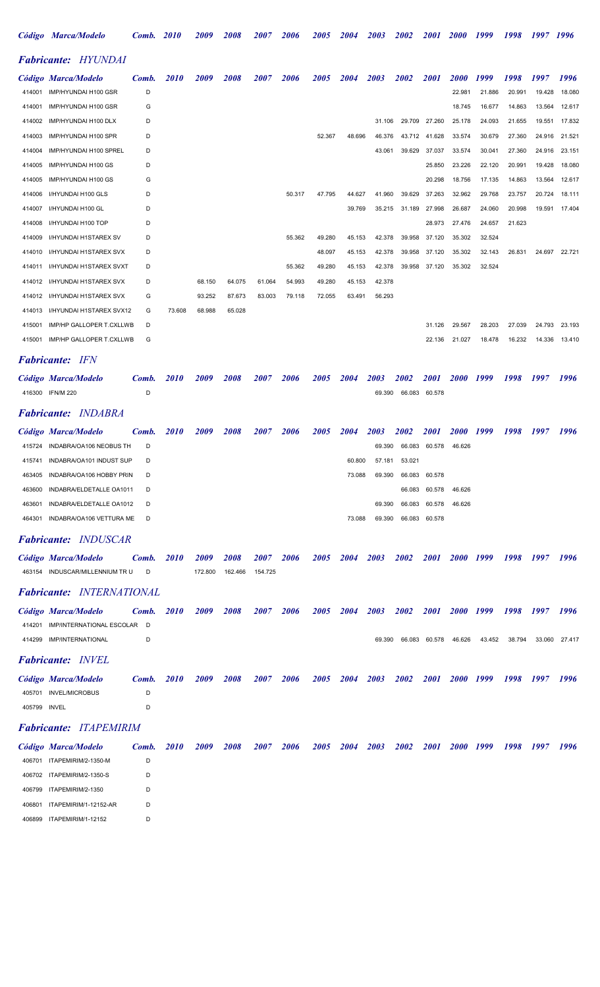|              | Código Marca/Modelo              | Comb. | <b>2010</b> | <i><b>2009</b></i> | <i><b>2008</b></i> | <i><b>2007</b></i> | <i><b>2006</b></i> | <i><b>2005</b></i> | <i><b>2004</b></i> | 2003               | <i><b>2002</b></i> | <i>2001</i>   | <i><b>2000</b></i> | 1999   | 1998   | 1997   | 1996   |
|--------------|----------------------------------|-------|-------------|--------------------|--------------------|--------------------|--------------------|--------------------|--------------------|--------------------|--------------------|---------------|--------------------|--------|--------|--------|--------|
|              | <b>Fabricante: HYUNDAI</b>       |       |             |                    |                    |                    |                    |                    |                    |                    |                    |               |                    |        |        |        |        |
|              | Código Marca/Modelo              | Comb. | <i>2010</i> | <i><b>2009</b></i> | <i>2008</i>        | <i><b>2007</b></i> | 2006               | 2005               | 2004               | 2003               | 2002               | <i>2001</i>   | <i><b>2000</b></i> | 1999   | 1998   | 1997   | 1996   |
| 414001       | IMP/HYUNDAI H100 GSR             | D     |             |                    |                    |                    |                    |                    |                    |                    |                    |               | 22.981             | 21.886 | 20.991 | 19.428 | 18.080 |
| 414001       | IMP/HYUNDAI H100 GSR             | G     |             |                    |                    |                    |                    |                    |                    |                    |                    |               | 18.745             | 16.677 | 14.863 | 13.564 | 12.617 |
| 414002       | IMP/HYUNDAI H100 DLX             | D     |             |                    |                    |                    |                    |                    |                    | 31.106             | 29.709             | 27.260        | 25.178             | 24.093 | 21.655 | 19.551 | 17.832 |
| 414003       | IMP/HYUNDAI H100 SPR             | D     |             |                    |                    |                    |                    | 52.367             | 48.696             | 46.376             | 43.712             | 41.628        | 33.574             | 30.679 | 27.360 | 24.916 | 21.521 |
| 414004       | IMP/HYUNDAI H100 SPREL           | D     |             |                    |                    |                    |                    |                    |                    | 43.061             | 39.629             | 37.037        | 33.574             | 30.041 | 27.360 | 24.916 | 23.151 |
| 414005       | IMP/HYUNDAI H100 GS              | D     |             |                    |                    |                    |                    |                    |                    |                    |                    | 25.850        | 23.226             | 22.120 | 20.991 | 19.428 | 18.080 |
| 414005       | IMP/HYUNDAI H100 GS              | G     |             |                    |                    |                    |                    |                    |                    |                    |                    | 20.298        | 18.756             | 17.135 | 14.863 | 13.564 | 12.617 |
| 414006       | I/HYUNDAI H100 GLS               | D     |             |                    |                    |                    | 50.317             | 47.795             | 44.627             | 41.960             | 39.629             | 37.263        | 32.962             | 29.768 | 23.757 | 20.724 | 18.111 |
| 414007       | I/HYUNDAI H100 GL                | D     |             |                    |                    |                    |                    |                    | 39.769             | 35.215             | 31.189             | 27.998        | 26.687             | 24.060 | 20.998 | 19.591 | 17.404 |
| 414008       | I/HYUNDAI H100 TOP               | D     |             |                    |                    |                    |                    |                    |                    |                    |                    | 28.973        | 27.476             | 24.657 | 21.623 |        |        |
| 414009       | I/HYUNDAI H1STAREX SV            | D     |             |                    |                    |                    | 55.362             | 49.280             | 45.153             | 42.378             | 39.958             | 37.120        | 35.302             | 32.524 |        |        |        |
| 414010       | I/HYUNDAI H1STAREX SVX           | D     |             |                    |                    |                    |                    | 48.097             | 45.153             | 42.378             | 39.958             | 37.120        | 35.302             | 32.143 | 26.831 | 24.697 | 22.721 |
| 414011       | I/HYUNDAI H1STAREX SVXT          | D     |             |                    |                    |                    | 55.362             | 49.280             | 45.153             | 42.378             | 39.958             | 37.120        | 35.302             | 32.524 |        |        |        |
| 414012       | I/HYUNDAI H1STAREX SVX           | D     |             | 68.150             | 64.075             | 61.064             | 54.993             | 49.280             | 45.153             | 42.378             |                    |               |                    |        |        |        |        |
| 414012       | I/HYUNDAI H1STAREX SVX           | G     |             | 93.252             | 87.673             | 83.003             | 79.118             | 72.055             | 63.491             | 56.293             |                    |               |                    |        |        |        |        |
| 414013       | I/HYUNDAI H1STAREX SVX12         | G     | 73.608      | 68.988             | 65.028             |                    |                    |                    |                    |                    |                    |               |                    |        |        |        |        |
| 415001       | IMP/HP GALLOPER T.CXLLWB         | D     |             |                    |                    |                    |                    |                    |                    |                    |                    | 31.126        | 29.567             | 28.203 | 27.039 | 24.793 | 23.193 |
| 415001       | IMP/HP GALLOPER T.CXLLWB         | G     |             |                    |                    |                    |                    |                    |                    |                    |                    | 22.136        | 21.027             | 18.478 | 16.232 | 14.336 | 13.410 |
|              | <b>Fabricante:</b> IFN           |       |             |                    |                    |                    |                    |                    |                    |                    |                    |               |                    |        |        |        |        |
|              | Código Marca/Modelo              | Comb. | <i>2010</i> | <i>2009</i>        | <i><b>2008</b></i> | <i><b>2007</b></i> | 2006               | <i><b>2005</b></i> | 2004               | <i><b>2003</b></i> | <i><b>2002</b></i> | <i>2001</i>   | <b>2000</b>        | 1999   | 1998   | 1997   | 1996   |
| 416300       | <b>IFN/M 220</b>                 | D     |             |                    |                    |                    |                    |                    |                    | 69.390             | 66.083             | 60.578        |                    |        |        |        |        |
|              | <b>Fabricante: INDABRA</b>       |       |             |                    |                    |                    |                    |                    |                    |                    |                    |               |                    |        |        |        |        |
|              |                                  |       |             |                    |                    |                    |                    |                    |                    |                    |                    |               |                    |        |        |        |        |
|              | Código Marca/Modelo              | Comb. | <i>2010</i> | 2009               | <i>2008</i>        | <i><b>2007</b></i> | 2006               | <i><b>2005</b></i> | 2004               | <i><b>2003</b></i> | <i><b>2002</b></i> | <i>2001</i>   | <i><b>2000</b></i> | 1999   | 1998   | 1997   | 1996   |
|              | 415724 INDABRA/OA106 NEOBUS TH   | D     |             |                    |                    |                    |                    |                    |                    | 69.390             |                    | 66.083 60.578 | 46.626             |        |        |        |        |
| 415741       | INDABRA/OA101 INDUST SUP         |       |             |                    |                    |                    |                    |                    | 60.800             | 57.181             | 53.021             |               |                    |        |        |        |        |
| 463405       | INDABRA/OA106 HOBBY PRIN         | D     |             |                    |                    |                    |                    |                    | 73.088             | 69.390             | 66.083             | 60.578        |                    |        |        |        |        |
| 463600       | INDABRA/ELDETALLE OA1011         | D     |             |                    |                    |                    |                    |                    |                    |                    | 66.083             | 60.578        | 46.626             |        |        |        |        |
| 463601       | INDABRA/ELDETALLE OA1012         | D     |             |                    |                    |                    |                    |                    |                    | 69.390             | 66.083             | 60.578        | 46.626             |        |        |        |        |
|              | 464301 INDABRA/OA106 VETTURA ME  | D     |             |                    |                    |                    |                    |                    | 73.088             | 69.390             | 66.083             | 60.578        |                    |        |        |        |        |
|              | Fabricante: INDUSCAR             |       |             |                    |                    |                    |                    |                    |                    |                    |                    |               |                    |        |        |        |        |
|              | Código Marca/Modelo              | Comb. | <i>2010</i> | <i><b>2009</b></i> | 2008               | <i><b>2007</b></i> | 2006               | 2005               | <b>2004</b>        | 2003               | 2002               | <i>2001</i>   | <b>2000</b>        | 1999   | 1998   | 1997   | 1996   |
|              | 463154 INDUSCAR/MILLENNIUM TRU   | D     |             | 172.800            | 162.466            | 154.725            |                    |                    |                    |                    |                    |               |                    |        |        |        |        |
|              | <b>Fabricante: INTERNATIONAL</b> |       |             |                    |                    |                    |                    |                    |                    |                    |                    |               |                    |        |        |        |        |
|              | Código Marca/Modelo              | Comb. | <i>2010</i> | <i><b>2009</b></i> | 2008               | <i><b>2007</b></i> | 2006               | 2005               | <b>2004</b>        | 2003               | <b>2002</b>        | <i>2001</i>   | <b>2000</b>        | 1999   | 1998   | 1997   | 1996   |
|              | 414201 IMP/INTERNATIONAL ESCOLAR | D     |             |                    |                    |                    |                    |                    |                    |                    |                    |               |                    |        |        |        |        |
| 414299       | <b>IMP/INTERNATIONAL</b>         | D     |             |                    |                    |                    |                    |                    |                    | 69.390             |                    | 66.083 60.578 | 46.626             | 43.452 | 38.794 | 33.060 | 27.417 |
|              | <b>Fabricante: INVEL</b>         |       |             |                    |                    |                    |                    |                    |                    |                    |                    |               |                    |        |        |        |        |
|              | Código Marca/Modelo              | Comb. | <i>2010</i> | <i><b>2009</b></i> | <i>2008</i>        | <i><b>2007</b></i> | <b>2006</b>        | 2005               | <b>2004</b>        | 2003               | <b>2002</b>        | <i>2001</i>   | 2000 1999          |        | 1998   | 1997   | 1996   |
|              | 405701 INVEL/MICROBUS            | D     |             |                    |                    |                    |                    |                    |                    |                    |                    |               |                    |        |        |        |        |
| 405799 INVEL |                                  | D     |             |                    |                    |                    |                    |                    |                    |                    |                    |               |                    |        |        |        |        |
|              | <b>Fabricante: ITAPEMIRIM</b>    |       |             |                    |                    |                    |                    |                    |                    |                    |                    |               |                    |        |        |        |        |
|              | Código Marca/Modelo              | Comb. | <i>2010</i> | <i><b>2009</b></i> | <i><b>2008</b></i> | <i><b>2007</b></i> | 2006               | <i><b>2005</b></i> | <i>2004</i>        | 2003               | <i><b>2002</b></i> | <i>2001</i>   | <i>2000</i>        | 1999   | 1998   | 1997   | 1996   |
|              | 406701 ITAPEMIRIM/2-1350-M       | D     |             |                    |                    |                    |                    |                    |                    |                    |                    |               |                    |        |        |        |        |
| 406702       | ITAPEMIRIM/2-1350-S              | D     |             |                    |                    |                    |                    |                    |                    |                    |                    |               |                    |        |        |        |        |
| 406799       | ITAPEMIRIM/2-1350                | D     |             |                    |                    |                    |                    |                    |                    |                    |                    |               |                    |        |        |        |        |
| 406801       | ITAPEMIRIM/1-12152-AR            | D     |             |                    |                    |                    |                    |                    |                    |                    |                    |               |                    |        |        |        |        |
| 406899       | ITAPEMIRIM/1-12152               | D     |             |                    |                    |                    |                    |                    |                    |                    |                    |               |                    |        |        |        |        |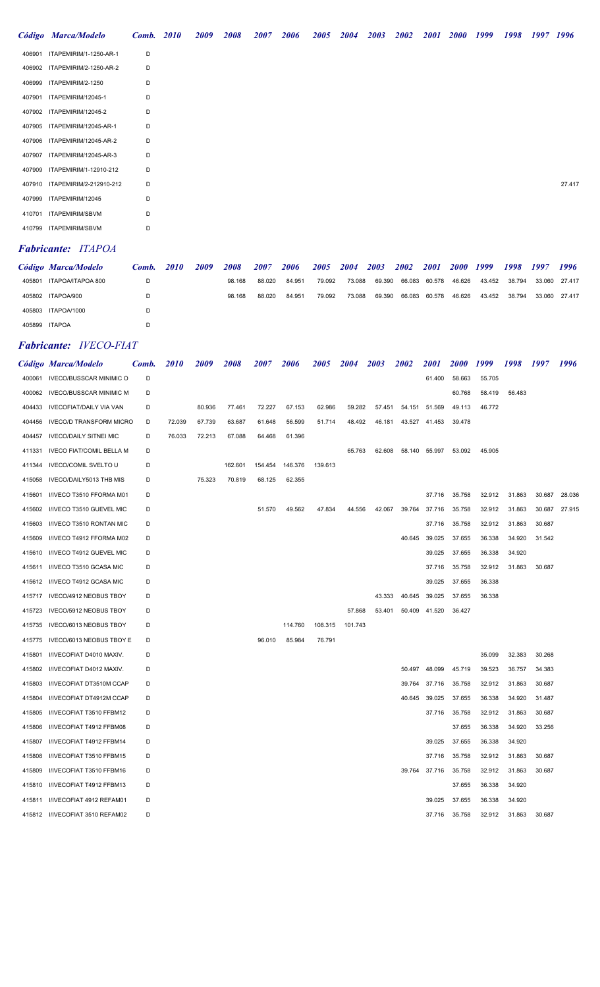| Código Marca/Modelo            | <b>Comb.</b> 2010 | 2009 | 2008 | 2007 | 2006 | 2005 | <b>2004</b> | 2003 | <b>2002</b> | <i>2001</i> | <b>2000</b> | 1999 | 1998 | 1997 | 1996   |
|--------------------------------|-------------------|------|------|------|------|------|-------------|------|-------------|-------------|-------------|------|------|------|--------|
| 406901 ITAPEMIRIM/1-1250-AR-1  | D                 |      |      |      |      |      |             |      |             |             |             |      |      |      |        |
| 406902 ITAPEMIRIM/2-1250-AR-2  | D                 |      |      |      |      |      |             |      |             |             |             |      |      |      |        |
| 406999 ITAPEMIRIM/2-1250       | D                 |      |      |      |      |      |             |      |             |             |             |      |      |      |        |
| 407901 ITAPEMIRIM/12045-1      | D                 |      |      |      |      |      |             |      |             |             |             |      |      |      |        |
| 407902 ITAPEMIRIM/12045-2      | D                 |      |      |      |      |      |             |      |             |             |             |      |      |      |        |
| 407905 ITAPEMIRIM/12045-AR-1   | D                 |      |      |      |      |      |             |      |             |             |             |      |      |      |        |
| 407906 ITAPEMIRIM/12045-AR-2   | D                 |      |      |      |      |      |             |      |             |             |             |      |      |      |        |
| 407907 ITAPEMIRIM/12045-AR-3   | D                 |      |      |      |      |      |             |      |             |             |             |      |      |      |        |
| 407909 ITAPEMIRIM/1-12910-212  | D                 |      |      |      |      |      |             |      |             |             |             |      |      |      |        |
| 407910 ITAPEMIRIM/2-212910-212 | D                 |      |      |      |      |      |             |      |             |             |             |      |      |      | 27.417 |
| 407999 ITAPEMIRIM/12045        | D                 |      |      |      |      |      |             |      |             |             |             |      |      |      |        |
| 410701 ITAPEMIRIM/SBVM         | D                 |      |      |      |      |      |             |      |             |             |             |      |      |      |        |
| 410799 ITAPEMIRIM/SBVM         | D                 |      |      |      |      |      |             |      |             |             |             |      |      |      |        |
|                                |                   |      |      |      |      |      |             |      |             |             |             |      |      |      |        |

# Fabricante: ITAPOA

|               | Código Marca/Modelo      | Comb. | 2010 | 2009 | 2008   | 2007   | 2006   | 2005 2004 |        | 2003                        | 2002 | <b>2001</b>   | 2000 1999 |        | 1998 1997 |               | 1996 |
|---------------|--------------------------|-------|------|------|--------|--------|--------|-----------|--------|-----------------------------|------|---------------|-----------|--------|-----------|---------------|------|
|               | 405801 ITAPOA/ITAPOA 800 |       |      |      | 98.168 | 88.020 | 84.951 | 79.092    |        | 73.088 69.390 66.083 60.578 |      |               |           |        |           | 33.060 27.417 |      |
|               | 405802 ITAPOA/900        |       |      |      | 98.168 | 88.020 | 84.951 | 79.092    | 73.088 | 69.390                      |      | 66.083 60.578 | 46.626    | 43.452 | 38.794    | 33.060 27.417 |      |
|               | 405803 ITAPOA/1000       |       |      |      |        |        |        |           |        |                             |      |               |           |        |           |               |      |
| 405899 ITAPOA |                          |       |      |      |        |        |        |           |        |                             |      |               |           |        |           |               |      |

## Fabricante: IVECO-FIAT

|        | Código Marca/Modelo             | Comb. | <i>2010</i> | <i>2009</i> | 2008    | <i><b>2007</b></i> | <i><b>2006</b></i> | <i><b>2005</b></i> | 2004    | 2003   | <i><b>2002</b></i> | <i>2001</i> | <i>2000</i> | 1999   | 1998   | 1997   | 1996   |
|--------|---------------------------------|-------|-------------|-------------|---------|--------------------|--------------------|--------------------|---------|--------|--------------------|-------------|-------------|--------|--------|--------|--------|
| 400061 | <b>IVECO/BUSSCAR MINIMIC O</b>  | D     |             |             |         |                    |                    |                    |         |        |                    | 61.400      | 58.663      | 55.705 |        |        |        |
| 400062 | <b>IVECO/BUSSCAR MINIMIC M</b>  | D     |             |             |         |                    |                    |                    |         |        |                    |             | 60.768      | 58.419 | 56.483 |        |        |
| 404433 | <b>IVECOFIAT/DAILY VIA VAN</b>  | D     |             | 80.936      | 77.461  | 72.227             | 67.153             | 62.986             | 59.282  | 57.451 | 54.151             | 51.569      | 49.113      | 46.772 |        |        |        |
| 404456 | <b>IVECO/D TRANSFORM MICRO</b>  | D     | 72.039      | 67.739      | 63.687  | 61.648             | 56.599             | 51.714             | 48.492  | 46.181 | 43.527             | 41.453      | 39.478      |        |        |        |        |
| 404457 | <b>IVECO/DAILY SITNEI MIC</b>   | D     | 76.033      | 72.213      | 67.088  | 64.468             | 61.396             |                    |         |        |                    |             |             |        |        |        |        |
| 411331 | <b>IVECO FIAT/COMIL BELLA M</b> | D     |             |             |         |                    |                    |                    | 65.763  | 62.608 | 58.140             | 55.997      | 53.092      | 45.905 |        |        |        |
| 411344 | <b>IVECO/COMIL SVELTO U</b>     | D     |             |             | 162.601 | 154.454            | 146.376            | 139.613            |         |        |                    |             |             |        |        |        |        |
| 415058 | IVECO/DAILY5013 THB MIS         | D     |             | 75.323      | 70.819  | 68.125             | 62.355             |                    |         |        |                    |             |             |        |        |        |        |
| 415601 | I/IVECO T3510 FFORMA M01        | D     |             |             |         |                    |                    |                    |         |        |                    | 37.716      | 35.758      | 32.912 | 31.863 | 30.687 | 28.036 |
| 415602 | I/IVECO T3510 GUEVEL MIC        | D     |             |             |         | 51.570             | 49.562             | 47.834             | 44.556  | 42.067 | 39.764             | 37.716      | 35.758      | 32.912 | 31.863 | 30.687 | 27.915 |
| 415603 | I/IVECO T3510 RONTAN MIC        | D     |             |             |         |                    |                    |                    |         |        |                    | 37.716      | 35.758      | 32.912 | 31.863 | 30.687 |        |
| 415609 | I/IVECO T4912 FFORMA M02        | D     |             |             |         |                    |                    |                    |         |        | 40.645             | 39.025      | 37.655      | 36.338 | 34.920 | 31.542 |        |
| 415610 | I/IVECO T4912 GUEVEL MIC        | D     |             |             |         |                    |                    |                    |         |        |                    | 39.025      | 37.655      | 36.338 | 34.920 |        |        |
| 415611 | I/IVECO T3510 GCASA MIC         | D     |             |             |         |                    |                    |                    |         |        |                    | 37.716      | 35.758      | 32.912 | 31.863 | 30.687 |        |
| 415612 | I/IVECO T4912 GCASA MIC         | D     |             |             |         |                    |                    |                    |         |        |                    | 39.025      | 37.655      | 36.338 |        |        |        |
| 415717 | IVECO/4912 NEOBUS TBOY          | D     |             |             |         |                    |                    |                    |         | 43.333 | 40.645             | 39.025      | 37.655      | 36.338 |        |        |        |
| 415723 | IVECO/5912 NEOBUS TBOY          | D     |             |             |         |                    |                    |                    | 57.868  | 53.401 | 50.409             | 41.520      | 36.427      |        |        |        |        |
| 415735 | IVECO/6013 NEOBUS TBOY          | D     |             |             |         |                    | 114.760            | 108.315            | 101.743 |        |                    |             |             |        |        |        |        |
| 415775 | IVECO/6013 NEOBUS TBOY E        | D     |             |             |         | 96.010             | 85.984             | 76.791             |         |        |                    |             |             |        |        |        |        |
| 415801 | I/IVECOFIAT D4010 MAXIV.        | D     |             |             |         |                    |                    |                    |         |        |                    |             |             | 35,099 | 32.383 | 30.268 |        |
| 415802 | I/IVECOFIAT D4012 MAXIV.        | D     |             |             |         |                    |                    |                    |         |        | 50.497             | 48.099      | 45.719      | 39.523 | 36.757 | 34.383 |        |
| 415803 | I/IVECOFIAT DT3510M CCAP        | D     |             |             |         |                    |                    |                    |         |        | 39.764             | 37.716      | 35.758      | 32.912 | 31.863 | 30.687 |        |
| 415804 | I/IVECOFIAT DT4912M CCAP        | D     |             |             |         |                    |                    |                    |         |        | 40.645             | 39.025      | 37.655      | 36.338 | 34.920 | 31.487 |        |
| 415805 | I/IVECOFIAT T3510 FFBM12        | D     |             |             |         |                    |                    |                    |         |        |                    | 37.716      | 35.758      | 32.912 | 31.863 | 30.687 |        |
| 415806 | I/IVECOFIAT T4912 FFBM08        | D     |             |             |         |                    |                    |                    |         |        |                    |             | 37.655      | 36.338 | 34.920 | 33.256 |        |
| 415807 | I/IVECOFIAT T4912 FFBM14        | D     |             |             |         |                    |                    |                    |         |        |                    | 39.025      | 37.655      | 36.338 | 34.920 |        |        |
| 415808 | I/IVECOFIAT T3510 FFBM15        | D     |             |             |         |                    |                    |                    |         |        |                    | 37.716      | 35.758      | 32.912 | 31.863 | 30.687 |        |
| 415809 | I/IVECOFIAT T3510 FFBM16        | D     |             |             |         |                    |                    |                    |         |        | 39.764             | 37.716      | 35.758      | 32.912 | 31.863 | 30.687 |        |
| 415810 | I/IVECOFIAT T4912 FFBM13        | D     |             |             |         |                    |                    |                    |         |        |                    |             | 37.655      | 36.338 | 34.920 |        |        |
| 415811 | I/IVECOFIAT 4912 REFAM01        | D     |             |             |         |                    |                    |                    |         |        |                    | 39.025      | 37.655      | 36.338 | 34.920 |        |        |
|        | 415812 I/IVECOFIAT 3510 REFAM02 | D     |             |             |         |                    |                    |                    |         |        |                    | 37.716      | 35.758      | 32.912 | 31.863 | 30.687 |        |
|        |                                 |       |             |             |         |                    |                    |                    |         |        |                    |             |             |        |        |        |        |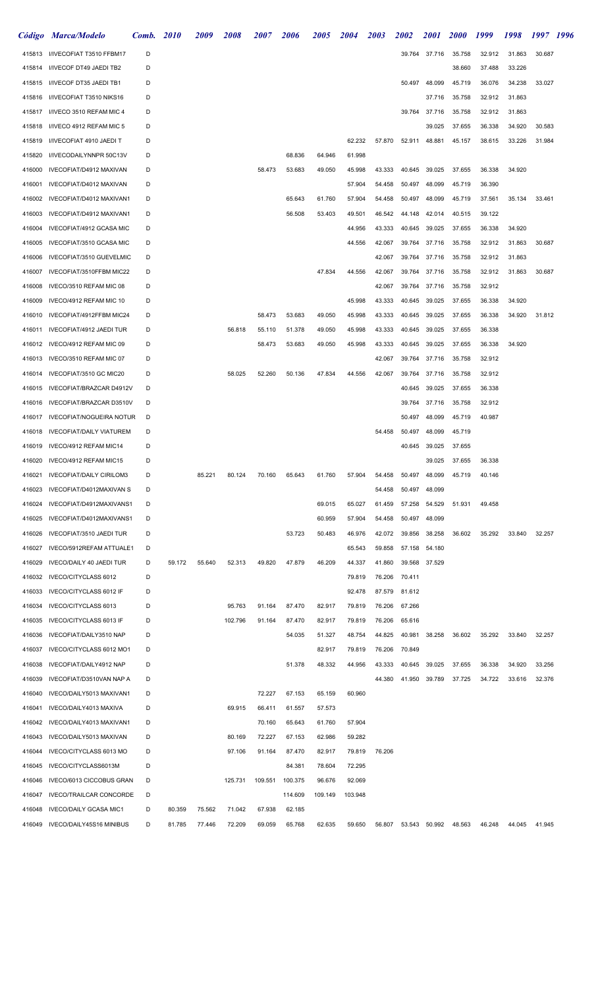| Código | <b>Marca/Modelo</b>                              | Comb. | <b>2010</b> | <i>2009</i> | 2008    | 2007    | 2006    | 2005    | 2004    | <i><b>2003</b></i> | 2002   | <i>2001</i> | <i>2000</i> | 1999   | 1998   | 1997   | 1996 |
|--------|--------------------------------------------------|-------|-------------|-------------|---------|---------|---------|---------|---------|--------------------|--------|-------------|-------------|--------|--------|--------|------|
| 415813 | I/IVECOFIAT T3510 FFBM17                         | D     |             |             |         |         |         |         |         |                    | 39.764 | 37.716      | 35.758      | 32.912 | 31.863 | 30.687 |      |
| 415814 | I/IVECOF DT49 JAEDI TB2                          | D     |             |             |         |         |         |         |         |                    |        |             | 38.660      | 37.488 | 33.226 |        |      |
| 415815 | I/IVECOF DT35 JAEDI TB1                          | D     |             |             |         |         |         |         |         |                    | 50.497 | 48.099      | 45.719      | 36.076 | 34.238 | 33.027 |      |
| 415816 | I/IVECOFIAT T3510 NIKS16                         | D     |             |             |         |         |         |         |         |                    |        | 37.716      | 35.758      | 32.912 | 31.863 |        |      |
| 415817 | I/IVECO 3510 REFAM MIC 4                         | D     |             |             |         |         |         |         |         |                    | 39.764 | 37.716      | 35.758      | 32.912 | 31.863 |        |      |
| 415818 | I/IVECO 4912 REFAM MIC 5                         | D     |             |             |         |         |         |         |         |                    |        | 39.025      | 37.655      | 36.338 | 34.920 | 30.583 |      |
| 415819 | I/IVECOFIAT 4910 JAEDI T                         | D     |             |             |         |         |         |         | 62.232  | 57.870             | 52.911 | 48.881      | 45.157      | 38.615 | 33.226 | 31.984 |      |
| 415820 | I/IVECODAILYNNPR 50C13V                          | D     |             |             |         |         | 68.836  | 64.946  | 61.998  |                    |        |             |             |        |        |        |      |
| 416000 | IVECOFIAT/D4912 MAXIVAN                          | D     |             |             |         | 58.473  | 53.683  | 49.050  | 45.998  | 43.333             | 40.645 | 39.025      | 37.655      | 36.338 | 34.920 |        |      |
| 416001 | IVECOFIAT/D4012 MAXIVAN                          | D     |             |             |         |         |         |         | 57.904  | 54.458             | 50.497 | 48.099      | 45.719      | 36.390 |        |        |      |
| 416002 | IVECOFIAT/D4012 MAXIVAN1                         | D     |             |             |         |         | 65.643  | 61.760  | 57.904  | 54.458             | 50.497 | 48.099      | 45.719      | 37.561 | 35.134 | 33.461 |      |
| 416003 | IVECOFIAT/D4912 MAXIVAN1                         | D     |             |             |         |         | 56.508  | 53.403  | 49.501  | 46.542             | 44.148 | 42.014      | 40.515      | 39.122 |        |        |      |
| 416004 | IVECOFIAT/4912 GCASA MIC                         | D     |             |             |         |         |         |         | 44.956  | 43.333             | 40.645 | 39.025      | 37.655      | 36.338 | 34.920 |        |      |
| 416005 | IVECOFIAT/3510 GCASA MIC                         | D     |             |             |         |         |         |         | 44.556  | 42.067             | 39.764 | 37.716      | 35.758      | 32.912 | 31.863 | 30.687 |      |
| 416006 | IVECOFIAT/3510 GUEVELMIC                         | D     |             |             |         |         |         |         |         | 42.067             | 39.764 | 37.716      | 35.758      | 32.912 | 31.863 |        |      |
| 416007 | IVECOFIAT/3510FFBM MIC22                         | D     |             |             |         |         |         | 47.834  | 44.556  | 42.067             | 39.764 | 37.716      | 35.758      | 32.912 | 31.863 | 30.687 |      |
| 416008 | IVECO/3510 REFAM MIC 08                          | D     |             |             |         |         |         |         |         | 42.067             | 39.764 | 37.716      | 35.758      | 32.912 |        |        |      |
| 416009 | IVECO/4912 REFAM MIC 10                          | D     |             |             |         |         |         |         | 45.998  | 43.333             | 40.645 | 39.025      | 37.655      | 36.338 | 34.920 |        |      |
| 416010 | IVECOFIAT/4912FFBM MIC24                         | D     |             |             |         | 58.473  | 53.683  | 49.050  | 45.998  | 43.333             | 40.645 | 39.025      | 37.655      | 36.338 | 34.920 | 31.812 |      |
| 416011 | IVECOFIAT/4912 JAEDI TUR                         | D     |             |             | 56.818  | 55.110  | 51.378  | 49.050  | 45.998  | 43.333             | 40.645 | 39.025      | 37.655      | 36.338 |        |        |      |
| 416012 | IVECO/4912 REFAM MIC 09                          | D     |             |             |         | 58.473  | 53.683  | 49.050  | 45.998  | 43.333             | 40.645 | 39.025      | 37.655      | 36.338 | 34.920 |        |      |
| 416013 | IVECO/3510 REFAM MIC 07                          | D     |             |             |         |         |         |         |         | 42.067             | 39.764 | 37.716      | 35.758      | 32.912 |        |        |      |
| 416014 | IVECOFIAT/3510 GC MIC20                          | D     |             |             | 58.025  | 52.260  | 50.136  | 47.834  | 44.556  | 42.067             | 39.764 | 37.716      | 35.758      | 32.912 |        |        |      |
| 416015 | IVECOFIAT/BRAZCAR D4912V                         | D     |             |             |         |         |         |         |         |                    | 40.645 | 39.025      | 37.655      | 36.338 |        |        |      |
| 416016 | IVECOFIAT/BRAZCAR D3510V                         | D     |             |             |         |         |         |         |         |                    | 39.764 | 37.716      | 35.758      | 32.912 |        |        |      |
| 416017 | <b>IVECOFIAT/NOGUEIRA NOTUR</b>                  | D     |             |             |         |         |         |         |         |                    | 50.497 | 48.099      | 45.719      | 40.987 |        |        |      |
|        | <b>IVECOFIAT/DAILY VIATUREM</b>                  | D     |             |             |         |         |         |         |         |                    |        |             |             |        |        |        |      |
| 416018 |                                                  |       |             |             |         |         |         |         |         | 54.458             | 50.497 | 48.099      | 45.719      |        |        |        |      |
| 416019 | IVECO/4912 REFAM MIC14<br>IVECO/4912 REFAM MIC15 | D     |             |             |         |         |         |         |         |                    | 40.645 | 39.025      | 37.655      |        |        |        |      |
| 416020 |                                                  | D     |             |             |         |         |         |         |         |                    |        | 39.025      | 37.655      | 36.338 |        |        |      |
| 416021 | <b>IVECOFIAT/DAILY CIRILOM3</b>                  | D     |             | 85.221      | 80.124  | 70.160  | 65.643  | 61.760  | 57.904  | 54.458             | 50.497 | 48.099      | 45.719      | 40.146 |        |        |      |
| 416023 | IVECOFIAT/D4012MAXIVAN S                         | D     |             |             |         |         |         |         |         | 54.458             | 50.497 | 48.099      |             |        |        |        |      |
| 416024 | IVECOFIAT/D4912MAXIVANS1                         | D     |             |             |         |         |         | 69.015  | 65.027  | 61.459             | 57.258 | 54.529      | 51.931      | 49.458 |        |        |      |
| 416025 | IVECOFIAT/D4012MAXIVANS1                         | D     |             |             |         |         |         | 60.959  | 57.904  | 54.458             | 50.497 | 48.099      |             |        |        |        |      |
| 416026 | IVECOFIAT/3510 JAEDI TUR                         | D     |             |             |         |         | 53.723  | 50.483  | 46.976  | 42.072             | 39.856 | 38.258      | 36.602      | 35.292 | 33.840 | 32.257 |      |
| 416027 | IVECO/5912REFAM ATTUALE1                         | D     |             |             |         |         |         |         | 65.543  | 59.858             | 57.158 | 54.180      |             |        |        |        |      |
| 416029 | IVECO/DAILY 40 JAEDI TUR                         | D     | 59.172      | 55.640      | 52.313  | 49.820  | 47.879  | 46.209  | 44.337  | 41.860             | 39.568 | 37.529      |             |        |        |        |      |
| 416032 | IVECO/CITYCLASS 6012                             | D     |             |             |         |         |         |         | 79.819  | 76.206             | 70.411 |             |             |        |        |        |      |
| 416033 | IVECO/CITYCLASS 6012 IF                          | D     |             |             |         |         |         |         | 92.478  | 87.579             | 81.612 |             |             |        |        |        |      |
| 416034 | IVECO/CITYCLASS 6013                             | D     |             |             | 95.763  | 91.164  | 87.470  | 82.917  | 79.819  | 76.206             | 67.266 |             |             |        |        |        |      |
| 416035 | <b>IVECO/CITYCLASS 6013 IF</b>                   | D     |             |             | 102.796 | 91.164  | 87.470  | 82.917  | 79.819  | 76.206             | 65.616 |             |             |        |        |        |      |
| 416036 | IVECOFIAT/DAILY3510 NAP                          | D     |             |             |         |         | 54.035  | 51.327  | 48.754  | 44.825             | 40.981 | 38.258      | 36.602      | 35.292 | 33.840 | 32.257 |      |
| 416037 | IVECO/CITYCLASS 6012 MO1                         | D     |             |             |         |         |         | 82.917  | 79.819  | 76.206             | 70.849 |             |             |        |        |        |      |
| 416038 | IVECOFIAT/DAILY4912 NAP                          | D     |             |             |         |         | 51.378  | 48.332  | 44.956  | 43.333             | 40.645 | 39.025      | 37.655      | 36.338 | 34.920 | 33.256 |      |
| 416039 | IVECOFIAT/D3510VAN NAP A                         | D     |             |             |         |         |         |         |         | 44.380             | 41.950 | 39.789      | 37.725      | 34.722 | 33.616 | 32.376 |      |
| 416040 | IVECO/DAILY5013 MAXIVAN1                         | D     |             |             |         | 72.227  | 67.153  | 65.159  | 60.960  |                    |        |             |             |        |        |        |      |
| 416041 | IVECO/DAILY4013 MAXIVA                           | D     |             |             | 69.915  | 66.411  | 61.557  | 57.573  |         |                    |        |             |             |        |        |        |      |
| 416042 | IVECO/DAILY4013 MAXIVAN1                         | D     |             |             |         | 70.160  | 65.643  | 61.760  | 57.904  |                    |        |             |             |        |        |        |      |
| 416043 | IVECO/DAILY5013 MAXIVAN                          | D     |             |             | 80.169  | 72.227  | 67.153  | 62.986  | 59.282  |                    |        |             |             |        |        |        |      |
| 416044 | IVECO/CITYCLASS 6013 MO                          | D     |             |             | 97.106  | 91.164  | 87.470  | 82.917  | 79.819  | 76.206             |        |             |             |        |        |        |      |
| 416045 | IVECO/CITYCLASS6013M                             | D     |             |             |         |         | 84.381  | 78.604  | 72.295  |                    |        |             |             |        |        |        |      |
| 416046 | IVECO/6013 CICCOBUS GRAN                         | D     |             |             | 125.731 | 109.551 | 100.375 | 96.676  | 92.069  |                    |        |             |             |        |        |        |      |
| 416047 | <b>IVECO/TRAILCAR CONCORDE</b>                   | D     |             |             |         |         | 114.609 | 109.149 | 103.948 |                    |        |             |             |        |        |        |      |
| 416048 | <b>IVECO/DAILY GCASA MIC1</b>                    | D     | 80.359      | 75.562      | 71.042  | 67.938  | 62.185  |         |         |                    |        |             |             |        |        |        |      |
| 416049 | IVECO/DAILY45S16 MINIBUS                         | D     | 81.785      | 77.446      | 72.209  | 69.059  | 65.768  | 62.635  | 59.650  | 56.807             | 53.543 | 50.992      | 48.563      | 46.248 | 44.045 | 41.945 |      |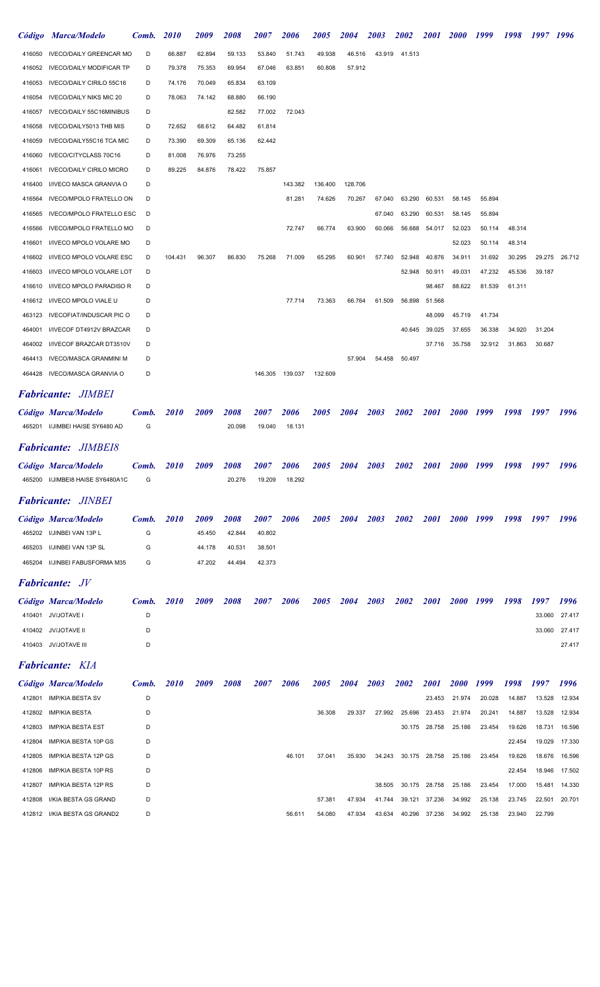|        | Código Marca/Modelo             | Comb. | <i>2010</i> | <i>2009</i> | <i><b>2008</b></i> | <i><b>2007</b></i> | <i><b>2006</b></i> | <i><b>2005</b></i> | 2004        | <i><b>2003</b></i> | <i><b>2002</b></i> | <i>2001</i> | <i>2000</i> | 1999   | 1998   | 1997 1996 |        |
|--------|---------------------------------|-------|-------------|-------------|--------------------|--------------------|--------------------|--------------------|-------------|--------------------|--------------------|-------------|-------------|--------|--------|-----------|--------|
| 416050 | <b>IVECO/DAILY GREENCAR MO</b>  | D     | 66.887      | 62.894      | 59.133             | 53.840             | 51.743             | 49.938             | 46.516      | 43.919             | 41.513             |             |             |        |        |           |        |
| 416052 | <b>IVECO/DAILY MODIFICAR TP</b> | D     | 79.378      | 75.353      | 69.954             | 67.046             | 63.851             | 60.808             | 57.912      |                    |                    |             |             |        |        |           |        |
| 416053 | IVECO/DAILY CIRILO 55C16        | D     | 74.176      | 70.049      | 65.834             | 63.109             |                    |                    |             |                    |                    |             |             |        |        |           |        |
| 416054 | <b>IVECO/DAILY NIKS MIC 20</b>  | D     | 78.063      | 74.142      | 68.880             | 66.190             |                    |                    |             |                    |                    |             |             |        |        |           |        |
| 416057 | IVECO/DAILY 55C16MINIBUS        | D     |             |             | 82.582             | 77.002             | 72.043             |                    |             |                    |                    |             |             |        |        |           |        |
| 416058 | IVECO/DAILY5013 THB MIS         | D     | 72.652      | 68.612      | 64.482             | 61.814             |                    |                    |             |                    |                    |             |             |        |        |           |        |
| 416059 | IVECO/DAILY55C16 TCA MIC        | D     | 73.390      | 69.309      | 65.136             | 62.442             |                    |                    |             |                    |                    |             |             |        |        |           |        |
| 416060 | IVECO/CITYCLASS 70C16           | D     | 81.008      | 76.976      | 73.255             |                    |                    |                    |             |                    |                    |             |             |        |        |           |        |
| 416061 | <b>IVECO/DAILY CIRILO MICRO</b> | D     | 89.225      | 84.876      | 78.422             | 75.857             |                    |                    |             |                    |                    |             |             |        |        |           |        |
| 416400 | I/IVECO MASCA GRANVIA O         | D     |             |             |                    |                    | 143.382            | 136.400            | 128.706     |                    |                    |             |             |        |        |           |        |
| 416564 | <b>IVECO/MPOLO FRATELLO ON</b>  | D     |             |             |                    |                    | 81.281             | 74.626             | 70.267      | 67.040             | 63.290             | 60.531      | 58.145      | 55.894 |        |           |        |
| 416565 | <b>IVECO/MPOLO FRATELLO ESC</b> | D     |             |             |                    |                    |                    |                    |             | 67.040             | 63.290             | 60.531      | 58.145      | 55.894 |        |           |        |
| 416566 | <b>IVECO/MPOLO FRATELLO MO</b>  | D     |             |             |                    |                    | 72.747             | 66.774             | 63.900      | 60.066             | 56.688             | 54.017      | 52.023      | 50.114 | 48.314 |           |        |
| 416601 | I/IVECO MPOLO VOLARE MO         | D     |             |             |                    |                    |                    |                    |             |                    |                    |             | 52.023      | 50.114 | 48.314 |           |        |
| 416602 | <b>I/IVECO MPOLO VOLARE ESC</b> | D     | 104.431     | 96.307      | 86.830             | 75.268             | 71.009             | 65.295             | 60.901      | 57.740             | 52.948             | 40.876      | 34.911      | 31.692 | 30.295 | 29.275    | 26.712 |
| 416603 | I/IVECO MPOLO VOLARE LOT        | D     |             |             |                    |                    |                    |                    |             |                    | 52.948             | 50.911      | 49.031      | 47.232 | 45.536 | 39.187    |        |
| 416610 | I/IVECO MPOLO PARADISO R        | D     |             |             |                    |                    |                    |                    |             |                    |                    | 98.467      | 88.622      | 81.539 | 61.311 |           |        |
| 416612 | I/IVECO MPOLO VIALE U           | D     |             |             |                    |                    | 77.714             | 73.363             | 66.764      | 61.509             | 56.898             | 51.568      |             |        |        |           |        |
| 463123 | <b>IVECOFIAT/INDUSCAR PIC O</b> | D     |             |             |                    |                    |                    |                    |             |                    |                    | 48.099      | 45.719      | 41.734 |        |           |        |
| 464001 | I/IVECOF DT4912V BRAZCAR        | D     |             |             |                    |                    |                    |                    |             |                    | 40.645             | 39.025      | 37.655      | 36.338 | 34.920 | 31.204    |        |
| 464002 | I/IVECOF BRAZCAR DT3510V        | D     |             |             |                    |                    |                    |                    |             |                    |                    | 37.716      | 35.758      | 32.912 | 31.863 | 30.687    |        |
| 464413 | <b>IVECO/MASCA GRANMINI M</b>   | D     |             |             |                    |                    |                    |                    | 57.904      | 54.458             | 50.497             |             |             |        |        |           |        |
| 464428 | IVECO/MASCA GRANVIA O           | D     |             |             |                    | 146.305            | 139.037            | 132.609            |             |                    |                    |             |             |        |        |           |        |
|        |                                 |       |             |             |                    |                    |                    |                    |             |                    |                    |             |             |        |        |           |        |
|        | <b>Fabricante: JIMBEI</b>       |       |             |             |                    |                    |                    |                    |             |                    |                    |             |             |        |        |           |        |
|        | Código Marca/Modelo             | Comb. | <i>2010</i> | 2009        | <i><b>2008</b></i> | <i><b>2007</b></i> | <i><b>2006</b></i> | <i><b>2005</b></i> | <b>2004</b> | 2003               | 2002               | <i>2001</i> | <b>2000</b> | 1999   | 1998   | 1997      | 1996   |
|        | 465201 I/JIMBEI HAISE SY6480 AD | G     |             |             | 20.098             | 19.040             | 18.131             |                    |             |                    |                    |             |             |        |        |           |        |
|        | <b>Fabricante: JIMBEI8</b>      |       |             |             |                    |                    |                    |                    |             |                    |                    |             |             |        |        |           |        |
|        | Código Marca/Modelo             | Comb. | <b>2010</b> | 2009        | 2008               | <i>2007</i>        | 2006               | <i><b>2005</b></i> | 2004        | 2003               | 2002               | <b>2001</b> | <b>2000</b> | 1999   | 1998   | 1997      | 1996   |
| 465200 | I/JIMBEI8 HAISE SY6480A1C       | G     |             |             | 20.276             | 19.209             | 18.292             |                    |             |                    |                    |             |             |        |        |           |        |
|        |                                 |       |             |             |                    |                    |                    |                    |             |                    |                    |             |             |        |        |           |        |
|        | <b>Fabricante: JINBEI</b>       |       |             |             |                    |                    |                    |                    |             |                    |                    |             |             |        |        |           |        |
|        | Código Marca/Modelo             | Comb. | <i>2010</i> | 2009        | 2008               | <i><b>2007</b></i> | 2006               | <i><b>2005</b></i> | <b>2004</b> | 2003               | 2002               | <i>2001</i> | <b>2000</b> | 1999   | 1998   | 1997      | 1996   |
| 465202 | I/JINBEI VAN 13P L              | G     |             | 45.450      | 42.844             | 40.802             |                    |                    |             |                    |                    |             |             |        |        |           |        |
| 465203 | I/JINBEI VAN 13P SL             | G     |             | 44.178      | 40.531             | 38.501             |                    |                    |             |                    |                    |             |             |        |        |           |        |
| 465204 | I/JINBEI FABUSFORMA M35         | G     |             | 47.202      | 44.494             | 42.373             |                    |                    |             |                    |                    |             |             |        |        |           |        |
|        | <b>Fabricante:</b> JV           |       |             |             |                    |                    |                    |                    |             |                    |                    |             |             |        |        |           |        |
|        | Código Marca/Modelo             | Comb. | <i>2010</i> | 2009        | 2008               | <i>2007</i>        | 2006               | <i><b>2005</b></i> | 2004        | 2003               | 2002               | <i>2001</i> | <b>2000</b> | 1999   | 1998   | 1997      | 1996   |
| 410401 | JV/JOTAVE I                     | D     |             |             |                    |                    |                    |                    |             |                    |                    |             |             |        |        | 33.060    | 27.417 |
| 410402 | <b>JV/JOTAVE II</b>             | D     |             |             |                    |                    |                    |                    |             |                    |                    |             |             |        |        | 33.060    | 27.417 |
|        | 410403 JV/JOTAVE III            | D     |             |             |                    |                    |                    |                    |             |                    |                    |             |             |        |        |           | 27.417 |
|        |                                 |       |             |             |                    |                    |                    |                    |             |                    |                    |             |             |        |        |           |        |
|        | <b>Fabricante:</b> KIA          |       |             |             |                    |                    |                    |                    |             |                    |                    |             |             |        |        |           |        |
|        | Código Marca/Modelo             | Comb. | <i>2010</i> | 2009        | 2008               | <i>2007</i>        | 2006               | <i><b>2005</b></i> | 2004        | 2003               | 2002               | <i>2001</i> | <i>2000</i> | 1999   | 1998   | 1997      | 1996   |
| 412801 | <b>IMP/KIA BESTA SV</b>         | D     |             |             |                    |                    |                    |                    |             |                    |                    | 23.453      | 21.974      | 20.028 | 14.887 | 13.528    | 12.934 |
| 412802 | <b>IMP/KIA BESTA</b>            | D     |             |             |                    |                    |                    | 36.308             | 29.337      | 27.992             | 25.696             | 23.453      | 21.974      | 20.241 | 14.887 | 13.528    | 12.934 |
| 412803 | <b>IMP/KIA BESTA EST</b>        | D     |             |             |                    |                    |                    |                    |             |                    | 30.175             | 28.758      | 25.186      | 23.454 | 19.626 | 18.731    | 16.596 |
| 412804 | IMP/KIA BESTA 10P GS            | D     |             |             |                    |                    |                    |                    |             |                    |                    |             |             |        | 22.454 | 19.029    | 17.330 |
| 412805 | IMP/KIA BESTA 12P GS            | D     |             |             |                    |                    | 46.101             | 37.041             | 35.930      | 34.243             | 30.175             | 28.758      | 25.186      | 23.454 | 19.626 | 18.676    | 16.596 |
| 412806 | IMP/KIA BESTA 10P RS            | D     |             |             |                    |                    |                    |                    |             |                    |                    |             |             |        | 22.454 | 18.946    | 17.502 |
| 412807 | IMP/KIA BESTA 12P RS            | D     |             |             |                    |                    |                    |                    |             | 38.505             | 30.175             | 28.758      | 25.186      | 23.454 | 17.000 | 15.481    | 14.330 |
| 412808 | I/KIA BESTA GS GRAND            | D     |             |             |                    |                    |                    | 57.381             | 47.934      | 41.744             | 39.121             | 37.236      | 34.992      | 25.138 | 23.745 | 22.501    | 20.701 |
|        | 412812 I/KIA BESTA GS GRAND2    | D     |             |             |                    |                    | 56.611             | 54.080             | 47.934      | 43.634             | 40.296             | 37.236      | 34.992      | 25.138 | 23.940 | 22.799    |        |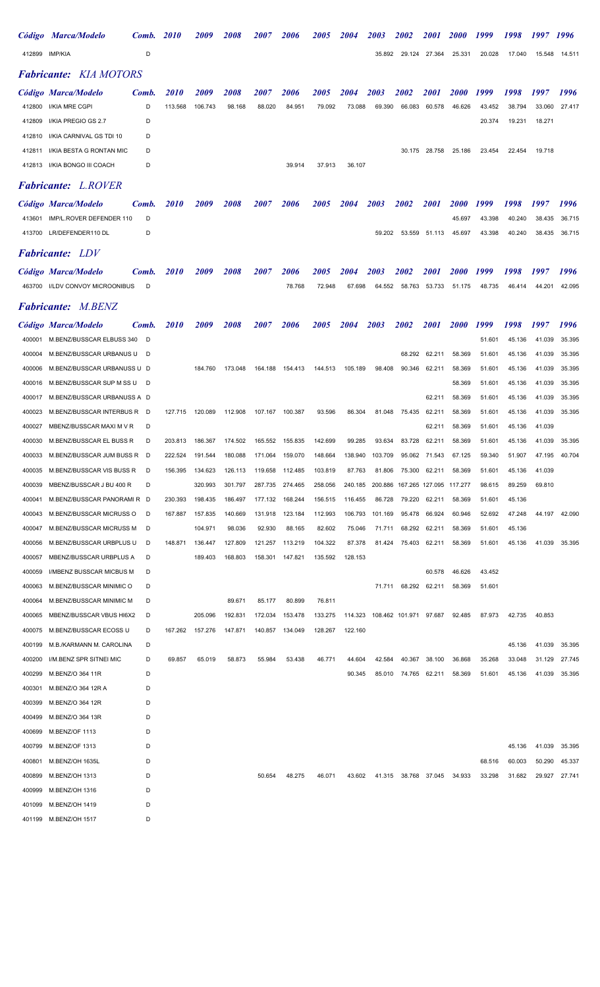|                  | Código Marca/Modelo                                  | Comb.  | <i><b>2010</b></i> | <i>2009</i>        | <i><b>2008</b></i> | <i><b>2007</b></i> | <i><b>2006</b></i> | <i><b>2005</b></i> | <i><b>2004</b></i> | <i><b>2003</b></i>             | <i><b>2002</b></i>      | <i>2001</i>      | <i><b>2000</b></i> | 1999             | 1998             | 1997   | 1996   |
|------------------|------------------------------------------------------|--------|--------------------|--------------------|--------------------|--------------------|--------------------|--------------------|--------------------|--------------------------------|-------------------------|------------------|--------------------|------------------|------------------|--------|--------|
| 412899           | IMP/KIA                                              | D      |                    |                    |                    |                    |                    |                    |                    | 35.892                         | 29.124                  | 27.364           | 25.331             | 20.028           | 17.040           | 15.548 | 14.511 |
|                  | <b>Fabricante:</b> KIA MOTORS                        |        |                    |                    |                    |                    |                    |                    |                    |                                |                         |                  |                    |                  |                  |        |        |
|                  | Código Marca/Modelo                                  | Comb.  | <i>2010</i>        | <i>2009</i>        | <i><b>2008</b></i> | <i><b>2007</b></i> | <i><b>2006</b></i> | <i><b>2005</b></i> | 2004               | <i><b>2003</b></i>             | <i><b>2002</b></i>      | <i>2001</i>      | <i><b>2000</b></i> | 1999             | 1998             | 1997   | 1996   |
| 412800           | I/KIA MRE CGPI                                       | D      | 113.568            | 106.743            | 98.168             | 88.020             | 84.951             | 79.092             | 73.088             | 69.390                         | 66.083                  | 60.578           | 46.626             | 43.452           | 38.794           | 33.060 | 27.417 |
| 412809           | I/KIA PREGIO GS 2.7                                  | D      |                    |                    |                    |                    |                    |                    |                    |                                |                         |                  |                    | 20.374           | 19.231           | 18.271 |        |
| 412810           | I/KIA CARNIVAL GS TDI 10                             | D      |                    |                    |                    |                    |                    |                    |                    |                                |                         |                  |                    |                  |                  |        |        |
| 412811           | I/KIA BESTA G RONTAN MIC                             | D      |                    |                    |                    |                    |                    |                    |                    |                                | 30.175                  | 28.758           | 25.186             | 23.454           | 22.454           | 19.718 |        |
| 412813           | I/KIA BONGO III COACH                                | D      |                    |                    |                    |                    | 39.914             | 37.913             | 36.107             |                                |                         |                  |                    |                  |                  |        |        |
|                  | <b>Fabricante:</b> L.ROVER                           |        |                    |                    |                    |                    |                    |                    |                    |                                |                         |                  |                    |                  |                  |        |        |
|                  | Código Marca/Modelo                                  | Comb.  | <i>2010</i>        | <i>2009</i>        | <i><b>2008</b></i> | <i><b>2007</b></i> | <i><b>2006</b></i> | <i><b>2005</b></i> | 2004               | 2003                           | 2002                    | <i>2001</i>      | <i><b>2000</b></i> | 1999             | 1998             | 1997   | 1996   |
| 413601           | IMP/L.ROVER DEFENDER 110                             | D      |                    |                    |                    |                    |                    |                    |                    |                                |                         |                  | 45.697             | 43.398           | 40.240           | 38.435 | 36.715 |
|                  | 413700 LR/DEFENDER110 DL                             | D      |                    |                    |                    |                    |                    |                    |                    | 59.202                         | 53.559                  | 51.113           | 45.697             | 43.398           | 40.240           | 38.435 | 36.715 |
|                  | <b>Fabricante:</b> LDV                               |        |                    |                    |                    |                    |                    |                    |                    |                                |                         |                  |                    |                  |                  |        |        |
|                  | Código Marca/Modelo                                  | Comb.  | <i>2010</i>        | <i>2009</i>        | <i><b>2008</b></i> | <i><b>2007</b></i> | <i><b>2006</b></i> | <i><b>2005</b></i> | 2004               | <i><b>2003</b></i>             | <i><b>2002</b></i>      | 2001             | <i><b>2000</b></i> | 1999             | 1998             | 1997   | 1996   |
| 463700           | I/LDV CONVOY MICROONIBUS                             | D      |                    |                    |                    |                    | 78.768             | 72.948             | 67.698             | 64.552                         | 58.763                  | 53.733           | 51.175             | 48.735           | 46.414           | 44.201 | 42.095 |
|                  | <b>Fabricante:</b> M.BENZ                            |        |                    |                    |                    |                    |                    |                    |                    |                                |                         |                  |                    |                  |                  |        |        |
|                  | Código Marca/Modelo                                  | Comb.  | <i>2010</i>        | <i>2009</i>        | <i><b>2008</b></i> | <i><b>2007</b></i> | <i><b>2006</b></i> | <i><b>2005</b></i> | <i>2004</i>        | 2003                           | <i><b>2002</b></i>      | <i>2001</i>      | <i><b>2000</b></i> | 1999             | 1998             | 1997   | 1996   |
| 400001           | M.BENZ/BUSSCAR ELBUSS 340                            | D      |                    |                    |                    |                    |                    |                    |                    |                                |                         |                  |                    | 51.601           | 45.136           | 41.039 | 35.395 |
| 400004           | M.BENZ/BUSSCAR URBANUS U                             | D      |                    |                    |                    |                    |                    |                    |                    |                                | 68.292                  | 62.211           | 58.369             | 51.601           | 45.136           | 41.039 | 35.395 |
| 400006           | M.BENZ/BUSSCAR URBANUSS U D                          |        |                    | 184.760            | 173.048            | 164.188            | 154.413            | 144.513            | 105.189            | 98.408                         | 90.346                  | 62.211           | 58.369             | 51.601           | 45.136           | 41.039 | 35.395 |
| 400016           | M.BENZ/BUSSCAR SUP M SS U                            | D      |                    |                    |                    |                    |                    |                    |                    |                                |                         |                  | 58.369             | 51.601           | 45.136           | 41.039 | 35.395 |
| 400017           | M.BENZ/BUSSCAR URBANUSS A D                          |        |                    |                    |                    |                    |                    |                    |                    |                                |                         | 62.211           | 58.369             | 51.601           | 45.136           | 41.039 | 35.395 |
| 400023           | M.BENZ/BUSSCAR INTERBUS R                            | D      | 127.715            | 120.089            | 112.908            | 107.167            | 100.387            | 93.596             | 86.304             | 81.048                         | 75.435                  | 62.211           | 58.369             | 51.601           | 45.136           | 41.039 | 35.395 |
| 400027           | MBENZ/BUSSCAR MAXI M V R                             | D      |                    |                    |                    |                    |                    |                    |                    |                                |                         | 62.211           | 58.369             | 51.601           | 45.136           | 41.039 |        |
| 400030           | M.BENZ/BUSSCAR EL BUSS R                             | D      | 203.813            | 186.367            | 174.502            | 165.552            | 155.835            | 142.699            | 99.285             | 93.634                         | 83.728                  | 62.211           | 58.369             | 51.601           | 45.136           | 41.039 | 35.395 |
| 400033           | M.BENZ/BUSSCAR JUM BUSS R                            | D      | 222.524            | 191.544            | 180.088            | 171.064            | 159.070            | 148.664            | 138.940            | 103.709                        | 95.062                  | 71.543           | 67.125             | 59.340           | 51.907           | 47.195 | 40.704 |
| 400035           | M.BENZ/BUSSCAR VIS BUSS R                            | D      | 156.395            | 134.623            | 126.113            | 119.658            | 112.485            | 103.819            | 87.763             | 81.806                         | 75.300                  | 62.211           | 58.369             | 51.601           | 45.136           | 41.039 |        |
| 400039           | MBENZ/BUSSCAR J BU 400 R                             | D      |                    | 320.993            | 301.797            | 287.735            | 274.465            | 258.056            | 240.185            | 200.886                        | 167.265 127.095 117.277 |                  |                    | 98.615           | 89.259           | 69.810 |        |
| 400041           | M.BENZ/BUSSCAR PANORAMIR D                           |        | 230.393            | 198.435            | 186.497            | 177.132            | 168.244            | 156.515            | 116.455            | 86.728                         | 79.220                  | 62.211           | 58.369             | 51.601           | 45.136           |        |        |
| 400043           | M.BENZ/BUSSCAR MICRUSS O<br>M.BENZ/BUSSCAR MICRUSS M | D<br>D | 167.887            | 157.835            | 140.669            | 131.918            | 123.184            | 112.993            | 106.793            | 101.169                        | 95.478                  | 66.924           | 60.946             | 52.692           | 47.248           | 44.197 | 42.090 |
| 400047<br>400056 | M.BENZ/BUSSCAR URBPLUS U                             | D      | 148.871            | 104.971<br>136.447 | 98.036<br>127.809  | 92.930<br>121.257  | 88.165<br>113.219  | 82.602<br>104.322  | 75.046<br>87.378   | 71.711<br>81.424               | 68.292<br>75.403        | 62.211<br>62.211 | 58.369<br>58.369   | 51.601<br>51.601 | 45.136<br>45.136 | 41.039 | 35.395 |
| 400057           | MBENZ/BUSSCAR URBPLUS A                              | D      |                    | 189.403            | 168.803            | 158.301 147.821    |                    | 135.592            | 128.153            |                                |                         |                  |                    |                  |                  |        |        |
| 400059           | I/MBENZ BUSSCAR MICBUS M                             | D      |                    |                    |                    |                    |                    |                    |                    |                                |                         | 60.578           | 46.626             | 43.452           |                  |        |        |
| 400063           | M.BENZ/BUSSCAR MINIMIC O                             | D      |                    |                    |                    |                    |                    |                    |                    | 71.711                         |                         | 68.292 62.211    | 58.369             | 51.601           |                  |        |        |
| 400064           | M.BENZ/BUSSCAR MINIMIC M                             | D      |                    |                    | 89.671             | 85.177             | 80.899             | 76.811             |                    |                                |                         |                  |                    |                  |                  |        |        |
| 400065           | MBENZ/BUSSCAR VBUS HI6X2                             | D      |                    | 205.096            | 192.831            | 172.034            | 153.478            | 133.275            |                    | 114.323 108.462 101.971 97.687 |                         |                  | 92.485             | 87.973           | 42.735           | 40.853 |        |
| 400075           | M.BENZ/BUSSCAR ECOSS U                               | D      | 167.262            | 157.276            | 147.871            | 140.857            | 134.049            | 128.267            | 122.160            |                                |                         |                  |                    |                  |                  |        |        |
| 400199           | M.B./KARMANN M. CAROLINA                             | D      |                    |                    |                    |                    |                    |                    |                    |                                |                         |                  |                    |                  | 45.136           | 41.039 | 35.395 |
| 400200           | I/M.BENZ SPR SITNEI MIC                              | D      | 69.857             | 65.019             | 58.873             | 55.984             | 53.438             | 46.771             | 44.604             | 42.584                         | 40.367                  | 38.100           | 36.868             | 35.268           | 33.048           | 31.129 | 27.745 |
| 400299           | M.BENZ/O 364 11R                                     | D      |                    |                    |                    |                    |                    |                    | 90.345             | 85.010                         | 74.765                  | 62.211           | 58.369             | 51.601           | 45.136           | 41.039 | 35.395 |
| 400301           | M.BENZ/O 364 12R A                                   | D      |                    |                    |                    |                    |                    |                    |                    |                                |                         |                  |                    |                  |                  |        |        |
| 400399           | M.BENZ/O 364 12R                                     | D      |                    |                    |                    |                    |                    |                    |                    |                                |                         |                  |                    |                  |                  |        |        |
| 400499           | M.BENZ/O 364 13R                                     | D      |                    |                    |                    |                    |                    |                    |                    |                                |                         |                  |                    |                  |                  |        |        |
| 400699           | M.BENZ/OF 1113                                       | D      |                    |                    |                    |                    |                    |                    |                    |                                |                         |                  |                    |                  |                  |        |        |
| 400799           | M.BENZ/OF 1313                                       | D      |                    |                    |                    |                    |                    |                    |                    |                                |                         |                  |                    |                  | 45.136           | 41.039 | 35.395 |
| 400801           | M.BENZ/OH 1635L                                      | D      |                    |                    |                    |                    |                    |                    |                    |                                |                         |                  |                    | 68.516           | 60.003           | 50.290 | 45.337 |
| 400899           | M.BENZ/OH 1313                                       | D      |                    |                    |                    | 50.654             | 48.275             | 46.071             | 43.602             | 41.315                         | 38.768                  | 37.045           | 34.933             | 33.298           | 31.682           | 29.927 | 27.741 |
| 400999           | M.BENZ/OH 1316                                       | D      |                    |                    |                    |                    |                    |                    |                    |                                |                         |                  |                    |                  |                  |        |        |
| 401099           | M.BENZ/OH 1419                                       | D      |                    |                    |                    |                    |                    |                    |                    |                                |                         |                  |                    |                  |                  |        |        |
| 401199           | <b>M.BENZ/OH 1517</b>                                | D      |                    |                    |                    |                    |                    |                    |                    |                                |                         |                  |                    |                  |                  |        |        |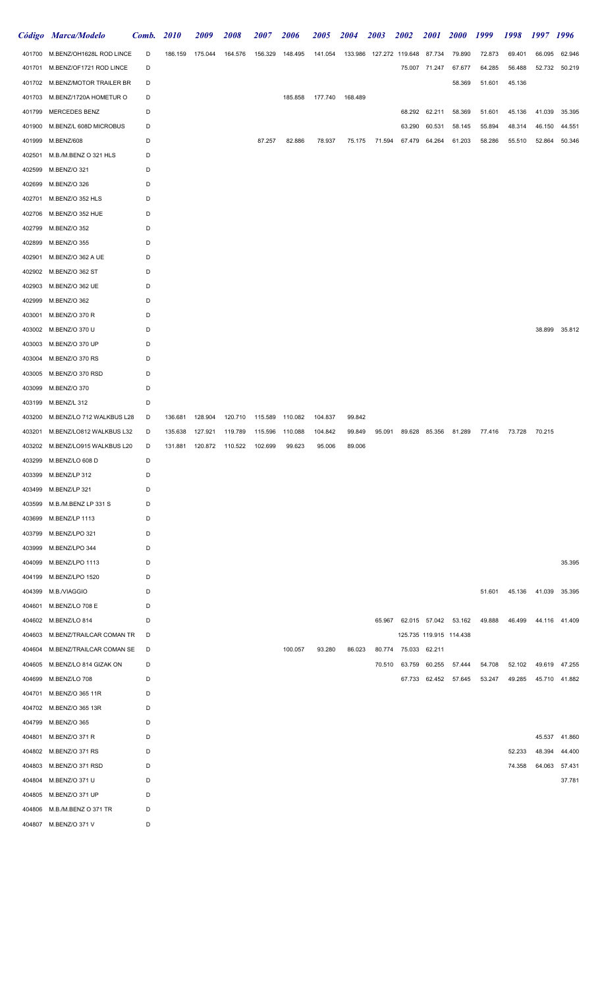|        | Código Marca/Modelo                            | Comb.  | <b>2010</b> | 2009            | 2008    | 2007            | 2006    | 2005    | <b>2004</b>     | 2003                           | <b>2002</b>          | <i>2001</i>   | <i>2000</i>                 | 1999   | 1998          | 1997 1996            |               |
|--------|------------------------------------------------|--------|-------------|-----------------|---------|-----------------|---------|---------|-----------------|--------------------------------|----------------------|---------------|-----------------------------|--------|---------------|----------------------|---------------|
|        | 401700 M.BENZ/OH1628L ROD LINCE                | D      | 186.159     | 175.044         | 164.576 | 156.329         | 148.495 | 141.054 |                 | 133.986 127.272 119.648 87.734 |                      |               | 79.890                      | 72.873 | 69.401        | 66.095               | 62.946        |
|        | 401701 M.BENZ/OF1721 ROD LINCE                 | D      |             |                 |         |                 |         |         |                 |                                |                      | 75.007 71.247 | 67.677                      | 64.285 | 56.488        | 52.732               | 50.219        |
|        | 401702 M.BENZ/MOTOR TRAILER BR                 | D      |             |                 |         |                 |         |         |                 |                                |                      |               | 58.369                      | 51.601 | 45.136        |                      |               |
|        | 401703 M.BENZ/1720A HOMETUR O                  | D      |             |                 |         |                 | 185.858 |         | 177.740 168.489 |                                |                      |               |                             |        |               |                      |               |
| 401799 | MERCEDES BENZ                                  | D      |             |                 |         |                 |         |         |                 |                                |                      | 68.292 62.211 | 58.369                      | 51.601 | 45.136        | 41.039               | 35.395        |
| 401900 | M.BENZ/L 608D MICROBUS                         | D      |             |                 |         |                 |         |         |                 |                                | 63.290               | 60.531        | 58.145                      | 55.894 | 48.314        | 46.150               | 44.551        |
| 401999 | M.BENZ/608                                     | D      |             |                 |         | 87.257          | 82.886  | 78.937  | 75.175          | 71.594                         | 67.479               | 64.264        | 61.203                      | 58.286 | 55.510        | 52.864               | 50.346        |
| 402501 | M.B./M.BENZ O 321 HLS                          | D      |             |                 |         |                 |         |         |                 |                                |                      |               |                             |        |               |                      |               |
| 402599 | M.BENZ/O 321                                   | D      |             |                 |         |                 |         |         |                 |                                |                      |               |                             |        |               |                      |               |
| 402699 | M.BENZ/O 326                                   | D      |             |                 |         |                 |         |         |                 |                                |                      |               |                             |        |               |                      |               |
| 402701 | M.BENZ/O 352 HLS                               | D      |             |                 |         |                 |         |         |                 |                                |                      |               |                             |        |               |                      |               |
| 402706 | M.BENZ/O 352 HUE                               | D      |             |                 |         |                 |         |         |                 |                                |                      |               |                             |        |               |                      |               |
| 402799 | M.BENZ/O 352                                   | D      |             |                 |         |                 |         |         |                 |                                |                      |               |                             |        |               |                      |               |
| 402899 | M.BENZ/O 355                                   | D      |             |                 |         |                 |         |         |                 |                                |                      |               |                             |        |               |                      |               |
| 402901 | M.BENZ/O 362 A UE                              | D      |             |                 |         |                 |         |         |                 |                                |                      |               |                             |        |               |                      |               |
| 402902 | M.BENZ/O 362 ST                                | D      |             |                 |         |                 |         |         |                 |                                |                      |               |                             |        |               |                      |               |
| 402903 | M.BENZ/O 362 UE                                | D      |             |                 |         |                 |         |         |                 |                                |                      |               |                             |        |               |                      |               |
| 402999 | M.BENZ/O 362                                   | D      |             |                 |         |                 |         |         |                 |                                |                      |               |                             |        |               |                      |               |
| 403001 | M.BENZ/O 370 R                                 | D      |             |                 |         |                 |         |         |                 |                                |                      |               |                             |        |               |                      |               |
| 403002 | M.BENZ/O 370 U                                 | D      |             |                 |         |                 |         |         |                 |                                |                      |               |                             |        |               |                      | 38.899 35.812 |
| 403003 | M.BENZ/O 370 UP                                | D      |             |                 |         |                 |         |         |                 |                                |                      |               |                             |        |               |                      |               |
| 403004 | M.BENZ/O 370 RS                                | D      |             |                 |         |                 |         |         |                 |                                |                      |               |                             |        |               |                      |               |
| 403005 | M.BENZ/O 370 RSD                               | D      |             |                 |         |                 |         |         |                 |                                |                      |               |                             |        |               |                      |               |
| 403099 | M.BENZ/O 370                                   | D      |             |                 |         |                 |         |         |                 |                                |                      |               |                             |        |               |                      |               |
| 403199 | M.BENZ/L 312                                   | D      |             |                 |         |                 |         |         |                 |                                |                      |               |                             |        |               |                      |               |
| 403200 | M.BENZ/LO 712 WALKBUS L28                      | D      | 136.681     | 128.904         | 120.710 | 115.589 110.082 |         | 104.837 | 99.842          |                                |                      |               |                             |        |               |                      |               |
| 403201 | M.BENZ/LO812 WALKBUS L32                       | D      | 135.638     | 127.921         | 119.789 | 115.596         | 110.088 | 104.842 | 99.849          | 95.091                         |                      |               | 89.628 85.356 81.289        |        | 77.416 73.728 | 70.215               |               |
|        | 403202 M.BENZ/LO915 WALKBUS L20                | D      | 131.881     | 120.872 110.522 |         | 102.699         | 99.623  | 95.006  | 89.006          |                                |                      |               |                             |        |               |                      |               |
|        | 403299 M.BENZ/LO 608 D                         | D      |             |                 |         |                 |         |         |                 |                                |                      |               |                             |        |               |                      |               |
|        | 403399 M.BENZ/LP 312                           | D      |             |                 |         |                 |         |         |                 |                                |                      |               |                             |        |               |                      |               |
| 403499 | M.BENZ/LP 321                                  | D      |             |                 |         |                 |         |         |                 |                                |                      |               |                             |        |               |                      |               |
| 403599 | M.B./M.BENZ LP 331 S                           |        |             |                 |         |                 |         |         |                 |                                |                      |               |                             |        |               |                      |               |
|        |                                                | D<br>D |             |                 |         |                 |         |         |                 |                                |                      |               |                             |        |               |                      |               |
|        | 403699 M.BENZ/LP 1113<br>403799 M.BENZ/LPO 321 |        |             |                 |         |                 |         |         |                 |                                |                      |               |                             |        |               |                      |               |
|        |                                                | D      |             |                 |         |                 |         |         |                 |                                |                      |               |                             |        |               |                      |               |
| 403999 | M.BENZ/LPO 344                                 | D      |             |                 |         |                 |         |         |                 |                                |                      |               |                             |        |               |                      |               |
|        | 404099 M.BENZ/LPO 1113                         | D      |             |                 |         |                 |         |         |                 |                                |                      |               |                             |        |               |                      | 35.395        |
|        | 404199 M.BENZ/LPO 1520                         | D      |             |                 |         |                 |         |         |                 |                                |                      |               |                             |        |               |                      |               |
|        | 404399 M.B./VIAGGIO                            | D      |             |                 |         |                 |         |         |                 |                                |                      |               |                             | 51.601 |               | 45.136 41.039 35.395 |               |
|        | 404601 M.BENZ/LO 708 E                         | D      |             |                 |         |                 |         |         |                 |                                |                      |               |                             |        |               |                      |               |
|        | 404602 M.BENZ/LO 814                           | D      |             |                 |         |                 |         |         |                 |                                |                      |               | 65.967 62.015 57.042 53.162 | 49.888 | 46.499        | 44.116 41.409        |               |
|        | 404603 M.BENZ/TRAILCAR COMAN TR                | D      |             |                 |         |                 |         |         |                 |                                |                      |               | 125.735 119.915 114.438     |        |               |                      |               |
|        | 404604 M.BENZ/TRAILCAR COMAN SE                | D      |             |                 |         |                 | 100.057 | 93.280  | 86.023          |                                | 80.774 75.033 62.211 |               |                             |        |               |                      |               |
|        | 404605 M.BENZ/LO 814 GIZAK ON                  | D      |             |                 |         |                 |         |         |                 |                                | 70.510 63.759 60.255 |               | 57.444                      | 54.708 |               | 52.102 49.619 47.255 |               |
|        | 404699 M.BENZ/LO 708                           | D      |             |                 |         |                 |         |         |                 |                                |                      |               | 67.733 62.452 57.645        | 53.247 | 49.285        |                      | 45.710 41.882 |
|        | 404701 M.BENZ/O 365 11R                        | D      |             |                 |         |                 |         |         |                 |                                |                      |               |                             |        |               |                      |               |
|        | 404702 M.BENZ/O 365 13R                        | D      |             |                 |         |                 |         |         |                 |                                |                      |               |                             |        |               |                      |               |
|        | 404799 M.BENZ/O 365                            | D      |             |                 |         |                 |         |         |                 |                                |                      |               |                             |        |               |                      |               |
|        | 404801 M.BENZ/O 371 R                          | D      |             |                 |         |                 |         |         |                 |                                |                      |               |                             |        |               |                      | 45.537 41.860 |
|        | 404802 M.BENZ/O 371 RS                         | D      |             |                 |         |                 |         |         |                 |                                |                      |               |                             |        | 52.233        | 48.394               | 44.400        |
|        | 404803 M.BENZ/O 371 RSD                        | D      |             |                 |         |                 |         |         |                 |                                |                      |               |                             |        | 74.358        | 64.063               | 57.431        |
|        | 404804 M.BENZ/O 371 U                          | D      |             |                 |         |                 |         |         |                 |                                |                      |               |                             |        |               |                      | 37.781        |
|        | 404805 M.BENZ/O 371 UP                         | D      |             |                 |         |                 |         |         |                 |                                |                      |               |                             |        |               |                      |               |
|        | 404806 M.B./M.BENZ O 371 TR                    | D      |             |                 |         |                 |         |         |                 |                                |                      |               |                             |        |               |                      |               |
|        | 404807 M.BENZ/O 371 V                          | D      |             |                 |         |                 |         |         |                 |                                |                      |               |                             |        |               |                      |               |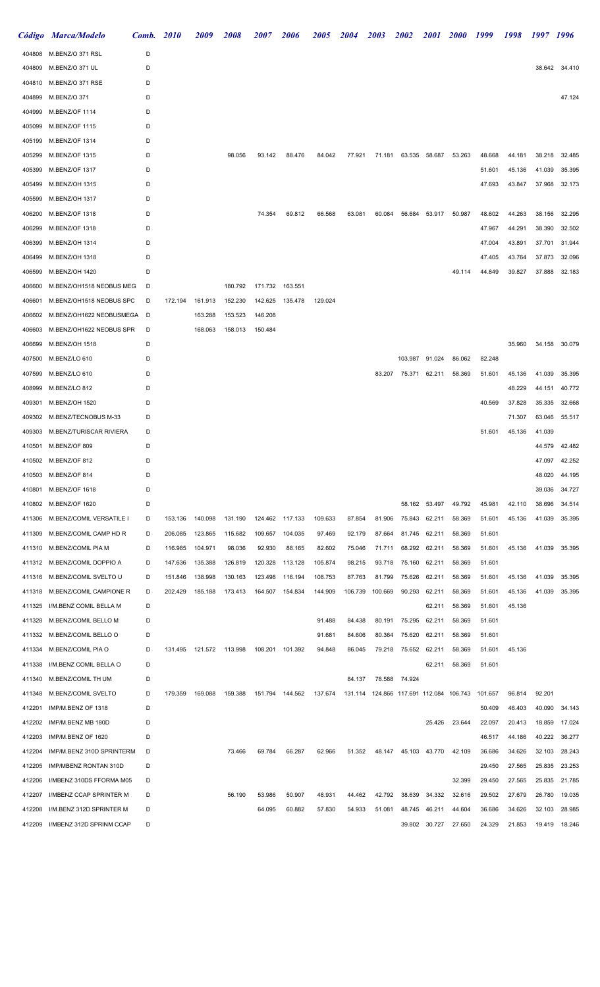|        | Código Marca/Modelo       | Comb. | <b>2010</b> | 2009                      | 2008    | <i><b>2007</b></i> | <i><b>2006</b></i> | <i><b>2005</b></i> | <i>2004</i> | 2003                                    | <i><b>2002</b></i> | <i>2001</i>   | <b>2000</b> | 1999    | 1998   | 1997 1996 |               |
|--------|---------------------------|-------|-------------|---------------------------|---------|--------------------|--------------------|--------------------|-------------|-----------------------------------------|--------------------|---------------|-------------|---------|--------|-----------|---------------|
| 404808 | M.BENZ/O 371 RSL          | D     |             |                           |         |                    |                    |                    |             |                                         |                    |               |             |         |        |           |               |
| 404809 | M.BENZ/O 371 UL           | D     |             |                           |         |                    |                    |                    |             |                                         |                    |               |             |         |        |           | 38.642 34.410 |
| 404810 | M.BENZ/O 371 RSE          | D     |             |                           |         |                    |                    |                    |             |                                         |                    |               |             |         |        |           |               |
| 404899 | M.BENZ/O 371              | D     |             |                           |         |                    |                    |                    |             |                                         |                    |               |             |         |        |           | 47.124        |
| 404999 | M.BENZ/OF 1114            | D     |             |                           |         |                    |                    |                    |             |                                         |                    |               |             |         |        |           |               |
| 405099 | M.BENZ/OF 1115            | D     |             |                           |         |                    |                    |                    |             |                                         |                    |               |             |         |        |           |               |
| 405199 | M.BENZ/OF 1314            | D     |             |                           |         |                    |                    |                    |             |                                         |                    |               |             |         |        |           |               |
| 405299 | M.BENZ/OF 1315            | D     |             |                           | 98.056  | 93.142             | 88.476             | 84.042             | 77.921      | 71.181                                  |                    | 63.535 58.687 | 53.263      | 48.668  | 44.181 | 38.218    | 32.485        |
| 405399 | M.BENZ/OF 1317            | D     |             |                           |         |                    |                    |                    |             |                                         |                    |               |             | 51.601  | 45.136 | 41.039    | 35.395        |
| 405499 | M.BENZ/OH 1315            | D     |             |                           |         |                    |                    |                    |             |                                         |                    |               |             | 47.693  | 43.847 | 37.968    | 32.173        |
| 405599 | M.BENZ/OH 1317            | D     |             |                           |         |                    |                    |                    |             |                                         |                    |               |             |         |        |           |               |
| 406200 | M.BENZ/OF 1318            | D     |             |                           |         | 74.354             | 69.812             | 66.568             | 63.081      | 60.084                                  | 56.684             | 53.917        | 50.987      | 48.602  | 44.263 | 38.156    | 32.295        |
| 406299 | M.BENZ/OF 1318            | D     |             |                           |         |                    |                    |                    |             |                                         |                    |               |             | 47.967  | 44.291 | 38.390    | 32.502        |
| 406399 | M.BENZ/OH 1314            | D     |             |                           |         |                    |                    |                    |             |                                         |                    |               |             | 47.004  | 43.891 | 37.701    | 31.944        |
| 406499 | M.BENZ/OH 1318            | D     |             |                           |         |                    |                    |                    |             |                                         |                    |               |             | 47.405  | 43.764 | 37.873    | 32.096        |
| 406599 | M.BENZ/OH 1420            | D     |             |                           |         |                    |                    |                    |             |                                         |                    |               | 49.114      | 44.849  | 39.827 | 37.888    | 32.183        |
| 406600 | M.BENZ/OH1518 NEOBUS MEG  | D     |             |                           | 180.792 | 171.732 163.551    |                    |                    |             |                                         |                    |               |             |         |        |           |               |
| 406601 | M.BENZ/OH1518 NEOBUS SPC  | D     | 172.194     | 161.913                   | 152.230 | 142.625            | 135.478            | 129.024            |             |                                         |                    |               |             |         |        |           |               |
| 406602 | M.BENZ/OH1622 NEOBUSMEGA  | D     |             | 163.288                   | 153.523 | 146.208            |                    |                    |             |                                         |                    |               |             |         |        |           |               |
| 406603 | M.BENZ/OH1622 NEOBUS SPR  | D     |             | 168.063                   | 158.013 | 150.484            |                    |                    |             |                                         |                    |               |             |         |        |           |               |
| 406699 | M.BENZ/OH 1518            | D     |             |                           |         |                    |                    |                    |             |                                         |                    |               |             |         | 35.960 | 34.158    | 30.079        |
| 407500 | M.BENZ/LO 610             | D     |             |                           |         |                    |                    |                    |             |                                         | 103.987            | 91.024        | 86.062      | 82.248  |        |           |               |
| 407599 | M.BENZ/LO 610             | D     |             |                           |         |                    |                    |                    |             | 83.207                                  | 75.371             | 62.211        | 58.369      | 51.601  | 45.136 | 41.039    | 35.395        |
| 408999 | M.BENZ/LO 812             | D     |             |                           |         |                    |                    |                    |             |                                         |                    |               |             |         | 48.229 | 44.151    | 40.772        |
| 409301 | M.BENZ/OH 1520            | D     |             |                           |         |                    |                    |                    |             |                                         |                    |               |             | 40.569  | 37.828 | 35.335    | 32.668        |
| 409302 | M.BENZ/TECNOBUS M-33      | D     |             |                           |         |                    |                    |                    |             |                                         |                    |               |             |         | 71.307 | 63.046    | 55.517        |
| 409303 | M.BENZ/TURISCAR RIVIERA   | D     |             |                           |         |                    |                    |                    |             |                                         |                    |               |             | 51.601  | 45.136 | 41.039    |               |
| 410501 | M.BENZ/OF 809             | D     |             |                           |         |                    |                    |                    |             |                                         |                    |               |             |         |        | 44.579    | 42.482        |
|        | 410502 M.BENZ/OF 812      | D     |             |                           |         |                    |                    |                    |             |                                         |                    |               |             |         |        | 47.097    | 42.252        |
| 410503 | M.BENZ/OF 814             | D     |             |                           |         |                    |                    |                    |             |                                         |                    |               |             |         |        | 48.020    | 44.195        |
| 410801 | M.BENZ/OF 1618            | D     |             |                           |         |                    |                    |                    |             |                                         |                    |               |             |         |        | 39.036    | 34.727        |
| 410802 | M.BENZ/OF 1620            | D     |             |                           |         |                    |                    |                    |             |                                         | 58.162             | 53.497        | 49.792      | 45.981  | 42.110 | 38.696    | 34.514        |
| 411306 | M.BENZ/COMIL VERSATILE I  | D     | 153.136     | 140.098                   | 131.190 |                    | 124.462 117.133    | 109.633            | 87.854      | 81.906                                  | 75.843             | 62.211        | 58.369      | 51.601  | 45.136 | 41.039    | 35.395        |
| 411309 | M.BENZ/COMIL CAMP HD R    | D     | 206.085     | 123.865                   | 115.682 | 109.657            | 104.035            | 97.469             | 92.179      | 87.664                                  | 81.745             | 62.211        | 58.369      | 51.601  |        |           |               |
| 411310 | M.BENZ/COMIL PIA M        | D     | 116.985     | 104.971                   | 98.036  | 92.930             | 88.165             | 82.602             | 75.046      | 71.711                                  | 68.292             | 62.211        | 58.369      | 51.601  | 45.136 | 41.039    | 35.395        |
| 411312 | M.BENZ/COMIL DOPPIO A     | D     | 147.636     | 135.388                   | 126.819 | 120.328            | 113.128            | 105.874            | 98.215      | 93.718                                  | 75.160             | 62.211        | 58.369      | 51.601  |        |           |               |
| 411316 | M.BENZ/COMIL SVELTO U     | D     | 151.846     | 138.998                   | 130.163 | 123.498            | 116.194            | 108.753            | 87.763      | 81.799                                  | 75.626             | 62.211        | 58.369      | 51.601  | 45.136 | 41.039    | 35.395        |
| 411318 | M.BENZ/COMIL CAMPIONE R   | D     | 202.429     | 185.188                   | 173.413 | 164.507 154.834    |                    | 144.909            | 106.739     | 100.669                                 | 90.293             | 62.211        | 58.369      | 51.601  | 45.136 | 41.039    | 35.395        |
| 411325 | I/M.BENZ COMIL BELLA M    | D     |             |                           |         |                    |                    |                    |             |                                         |                    | 62.211        | 58.369      | 51.601  | 45.136 |           |               |
| 411328 | M.BENZ/COMIL BELLO M      | D     |             |                           |         |                    |                    | 91.488             | 84.438      | 80.191                                  | 75.295             | 62.211        | 58.369      | 51.601  |        |           |               |
| 411332 | M.BENZ/COMIL BELLO O      | D     |             |                           |         |                    |                    | 91.681             | 84.606      | 80.364                                  | 75.620             | 62.211        | 58.369      | 51.601  |        |           |               |
| 411334 | M.BENZ/COMIL PIA O        | D     |             | 131.495  121.572  113.998 |         | 108.201 101.392    |                    | 94.848             | 86.045      | 79.218                                  | 75.652             | 62.211        | 58.369      | 51.601  | 45.136 |           |               |
| 411338 | I/M.BENZ COMIL BELLA O    | D     |             |                           |         |                    |                    |                    |             |                                         |                    | 62.211        | 58.369      | 51.601  |        |           |               |
| 411340 | M.BENZ/COMIL TH UM        | D     |             |                           |         |                    |                    |                    | 84.137      | 78.588                                  | 74.924             |               |             |         |        |           |               |
| 411348 | M.BENZ/COMIL SVELTO       | D     | 179.359     | 169.088                   | 159.388 |                    | 151.794 144.562    | 137.674            |             | 131.114 124.866 117.691 112.084 106.743 |                    |               |             | 101.657 | 96.814 | 92.201    |               |
| 412201 | IMP/M.BENZ OF 1318        | D     |             |                           |         |                    |                    |                    |             |                                         |                    |               |             | 50.409  | 46.403 | 40.090    | 34.143        |
| 412202 | IMP/M.BENZ MB 180D        | D     |             |                           |         |                    |                    |                    |             |                                         |                    | 25.426        | 23.644      | 22.097  | 20.413 | 18.859    | 17.024        |
| 412203 | IMP/M.BENZ OF 1620        | D     |             |                           |         |                    |                    |                    |             |                                         |                    |               |             | 46.517  | 44.186 | 40.222    | 36.277        |
| 412204 | IMP/M.BENZ 310D SPRINTERM | D     |             |                           | 73.466  | 69.784             | 66.287             | 62.966             | 51.352      | 48.147                                  | 45.103 43.770      |               | 42.109      | 36.686  | 34.626 | 32.103    | 28.243        |
| 412205 | IMP/MBENZ RONTAN 310D     | D     |             |                           |         |                    |                    |                    |             |                                         |                    |               |             | 29.450  | 27.565 | 25.835    | 23.253        |
| 412206 | I/MBENZ 310DS FFORMA M05  | D     |             |                           |         |                    |                    |                    |             |                                         |                    |               | 32.399      | 29.450  | 27.565 | 25.835    | 21.785        |
| 412207 | I/MBENZ CCAP SPRINTER M   | D     |             |                           | 56.190  | 53.986             | 50.907             | 48.931             | 44.462      | 42.792                                  | 38.639             | 34.332        | 32.616      | 29.502  | 27.679 | 26.780    | 19.035        |
| 412208 | I/M.BENZ 312D SPRINTER M  | D     |             |                           |         | 64.095             | 60.882             | 57.830             | 54.933      | 51.081                                  | 48.745             | 46.211        | 44.604      | 36.686  | 34.626 | 32.103    | 28.985        |
| 412209 | I/MBENZ 312D SPRINM CCAP  | D     |             |                           |         |                    |                    |                    |             |                                         | 39.802             | 30.727        | 27.650      | 24.329  | 21.853 |           | 19.419 18.246 |
|        |                           |       |             |                           |         |                    |                    |                    |             |                                         |                    |               |             |         |        |           |               |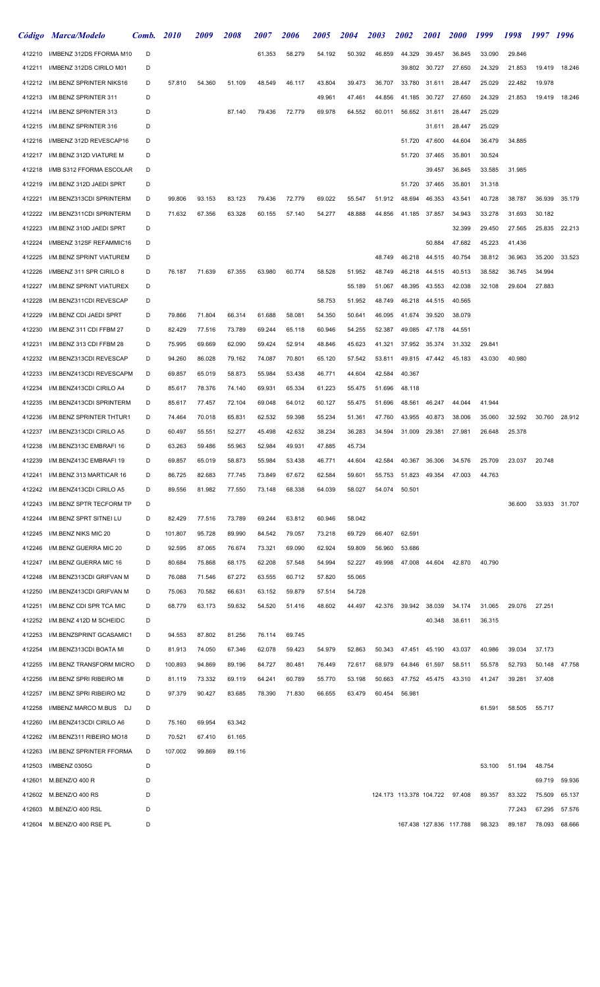| Código | Marca/Modelo               | Comb. | <i>2010</i> | <i>2009</i> | <i><b>2008</b></i> | <i><b>2007</b></i> | <i><b>2006</b></i> | <i><b>2005</b></i> | <i><b>2004</b></i> | 2003   | <i><b>2002</b></i>      | <i>2001</i> | <i><b>2000</b></i>      | 1999   | 1998   | 1997   | 1996          |
|--------|----------------------------|-------|-------------|-------------|--------------------|--------------------|--------------------|--------------------|--------------------|--------|-------------------------|-------------|-------------------------|--------|--------|--------|---------------|
| 412210 | I/MBENZ 312DS FFORMA M10   | D     |             |             |                    | 61.353             | 58.279             | 54.192             | 50.392             | 46.859 | 44.329                  | 39.457      | 36.845                  | 33.090 | 29.846 |        |               |
| 412211 | I/MBENZ 312DS CIRILO M01   | D     |             |             |                    |                    |                    |                    |                    |        | 39.802                  | 30.727      | 27.650                  | 24.329 | 21.853 | 19.419 | 18.246        |
| 412212 | I/M.BENZ SPRINTER NIKS16   | D     | 57.810      | 54.360      | 51.109             | 48.549             | 46.117             | 43.804             | 39.473             | 36.707 | 33.780                  | 31.611      | 28.447                  | 25.029 | 22.482 | 19.978 |               |
| 412213 | I/M.BENZ SPRINTER 311      | D     |             |             |                    |                    |                    | 49.961             | 47.461             | 44.856 | 41.185                  | 30.727      | 27.650                  | 24.329 | 21.853 | 19.419 | 18.246        |
| 412214 | I/M.BENZ SPRINTER 313      | D     |             |             | 87.140             | 79.436             | 72.779             | 69.978             | 64.552             | 60.011 | 56.652                  | 31.611      | 28.447                  | 25.029 |        |        |               |
| 412215 | I/M.BENZ SPRINTER 316      | D     |             |             |                    |                    |                    |                    |                    |        |                         | 31.611      | 28.447                  | 25.029 |        |        |               |
| 412216 | I/MBENZ 312D REVESCAP16    | D     |             |             |                    |                    |                    |                    |                    |        | 51.720                  | 47.600      | 44.604                  | 36.479 | 34.885 |        |               |
| 412217 | I/M.BENZ 312D VIATURE M    | D     |             |             |                    |                    |                    |                    |                    |        | 51.720                  | 37.465      | 35.801                  | 30.524 |        |        |               |
| 412218 | I/MB S312 FFORMA ESCOLAR   | D     |             |             |                    |                    |                    |                    |                    |        |                         | 39.457      | 36.845                  | 33.585 | 31.985 |        |               |
| 412219 | I/M.BENZ 312D JAEDI SPRT   | D     |             |             |                    |                    |                    |                    |                    |        | 51.720                  | 37.465      | 35.801                  | 31.318 |        |        |               |
| 412221 | I/M.BENZ313CDI SPRINTERM   | D     | 99.806      | 93.153      | 83.123             | 79.436             | 72.779             | 69.022             | 55.547             | 51.912 | 48.694                  | 46.353      | 43.541                  | 40.728 | 38.787 | 36.939 | 35.179        |
| 412222 | I/M.BENZ311CDI SPRINTERM   | D     | 71.632      | 67.356      | 63.328             | 60.155             | 57.140             | 54.277             | 48.888             | 44.856 | 41.185                  | 37.857      | 34.943                  | 33.278 | 31.693 | 30.182 |               |
| 412223 | I/M.BENZ 310D JAEDI SPRT   | D     |             |             |                    |                    |                    |                    |                    |        |                         |             | 32.399                  | 29.450 | 27.565 | 25.835 | 22.213        |
| 412224 | I/MBENZ 312SF REFAMMIC16   | D     |             |             |                    |                    |                    |                    |                    |        |                         | 50.884      | 47.682                  | 45.223 | 41.436 |        |               |
| 412225 | I/M.BENZ SPRINT VIATUREM   | D     |             |             |                    |                    |                    |                    |                    | 48.749 | 46.218                  | 44.515      | 40.754                  | 38.812 | 36.963 | 35.200 | 33.523        |
| 412226 | I/MBENZ 311 SPR CIRILO 8   | D     | 76.187      | 71.639      | 67.355             | 63.980             | 60.774             | 58.528             | 51.952             | 48.749 | 46.218                  | 44.515      | 40.513                  | 38.582 | 36.745 | 34.994 |               |
| 412227 | I/M.BENZ SPRINT VIATUREX   | D     |             |             |                    |                    |                    |                    | 55.189             | 51.067 | 48.395                  | 43.553      | 42.038                  | 32.108 | 29.604 | 27.883 |               |
| 412228 | I/M.BENZ311CDI REVESCAP    | D     |             |             |                    |                    |                    | 58.753             | 51.952             | 48.749 | 46.218                  | 44.515      | 40.565                  |        |        |        |               |
| 412229 | I/M.BENZ CDI JAEDI SPRT    | D     | 79.866      | 71.804      | 66.314             | 61.688             | 58.081             | 54.350             | 50.641             | 46.095 | 41.674                  | 39.520      | 38.079                  |        |        |        |               |
| 412230 | I/M.BENZ 311 CDI FFBM 27   | D     | 82.429      | 77.516      | 73.789             | 69.244             | 65.118             | 60.946             | 54.255             | 52.387 | 49.085                  | 47.178      | 44.551                  |        |        |        |               |
| 412231 | I/M.BENZ 313 CDI FFBM 28   | D     | 75.995      | 69.669      | 62.090             | 59.424             | 52.914             | 48.846             | 45.623             | 41.321 | 37.952                  | 35.374      | 31.332                  | 29.841 |        |        |               |
| 412232 | I/M.BENZ313CDI REVESCAP    | D     | 94.260      | 86.028      | 79.162             | 74.087             | 70.801             | 65.120             | 57.542             | 53.811 | 49.815                  | 47.442      | 45.183                  | 43.030 | 40.980 |        |               |
| 412233 | I/M.BENZ413CDI REVESCAPM   | D     | 69.857      | 65.019      | 58.873             | 55.984             | 53.438             | 46.771             | 44.604             | 42.584 | 40.367                  |             |                         |        |        |        |               |
| 412234 | I/M.BENZ413CDI CIRILO A4   | D     | 85.617      | 78.376      | 74.140             | 69.931             | 65.334             | 61.223             | 55.475             | 51.696 | 48.118                  |             |                         |        |        |        |               |
| 412235 | I/M.BENZ413CDI SPRINTERM   | D     | 85.617      | 77.457      | 72.104             | 69.048             | 64.012             | 60.127             | 55.475             | 51.696 | 48.561                  | 46.247      | 44.044                  | 41.944 |        |        |               |
| 412236 | I/M.BENZ SPRINTER THTUR1   | D     | 74.464      | 70.018      | 65.831             | 62.532             | 59.398             | 55.234             | 51.361             | 47.760 | 43.955                  | 40.873      | 38.006                  | 35.060 | 32.592 | 30.760 | 28.912        |
|        |                            |       |             |             |                    |                    |                    |                    |                    |        |                         |             |                         |        |        |        |               |
| 412237 | I/M.BENZ313CDI CIRILO A5   | D     | 60.497      | 55.551      | 52.277             | 45.498             | 42.632             | 38.234             | 36.283             | 34.594 | 31.009                  | 29.381      | 27.981                  | 26.648 | 25.378 |        |               |
| 412238 | I/M.BENZ313C EMBRAFI 16    | D     | 63.263      | 59.486      | 55.963             | 52.984             | 49.931             | 47.885             | 45.734             |        |                         |             |                         |        |        |        |               |
| 412239 | I/M.BENZ413C EMBRAFI 19    | D     | 69.857      | 65.019      | 58.873             | 55.984             | 53.438             | 46.771             | 44.604             | 42.584 | 40.367                  | 36.306      | 34.576                  | 25.709 | 23.037 | 20.748 |               |
| 412241 | I/M.BENZ 313 MARTICAR 16   | D     | 86.725      | 82.683      | 77.745             | 73.849             | 67.672             | 62.584             | 59.601             | 55.753 | 51.823                  | 49.354      | 47.003                  | 44.763 |        |        |               |
| 412242 | I/M.BENZ413CDI CIRILO A5   | D     | 89.556      | 81.982      | 77.550             | 73.148             | 68.338             | 64.039             | 58.027             | 54.074 | 50.501                  |             |                         |        |        |        |               |
| 412243 | I/M.BENZ SPTR TECFORM TP   | D     |             |             |                    |                    |                    |                    |                    |        |                         |             |                         |        | 36.600 |        | 33.933 31.707 |
| 412244 | I/M.BENZ SPRT SITNEI LU    | D     | 82.429      | 77.516      | 73.789             | 69.244             | 63.812             | 60.946             | 58.042             |        |                         |             |                         |        |        |        |               |
| 412245 | I/M.BENZ NIKS MIC 20       | D     | 101.807     | 95.728      | 89.990             | 84.542             | 79.057             | 73.218             | 69.729             | 66.407 | 62.591                  |             |                         |        |        |        |               |
| 412246 | I/M.BENZ GUERRA MIC 20     | D     | 92.595      | 87.065      | 76.674             | 73.321             | 69.090             | 62.924             | 59.809             | 56.960 | 53.686                  |             |                         |        |        |        |               |
| 412247 | I/M.BENZ GUERRA MIC 16     | D     | 80.684      | 75.868      | 68.175             | 62.208             | 57.548             | 54.994             | 52.227             | 49.998 | 47.008                  | 44.604      | 42.870                  | 40.790 |        |        |               |
| 412248 | I/M.BENZ313CDI GRIFVAN M   | D     | 76.088      | 71.546      | 67.272             | 63.555             | 60.712             | 57.820             | 55.065             |        |                         |             |                         |        |        |        |               |
| 412250 | I/M.BENZ413CDI GRIFVAN M   | D     | 75.063      | 70.582      | 66.631             | 63.152             | 59.879             | 57.514             | 54.728             |        |                         |             |                         |        |        |        |               |
| 412251 | I/M.BENZ CDI SPR TCA MIC   | D     | 68.779      | 63.173      | 59.632             | 54.520             | 51.416             | 48.602             | 44.497             | 42.376 | 39.942                  | 38.039      | 34.174                  | 31.065 | 29.076 | 27.251 |               |
| 412252 | I/M.BENZ 412D M SCHEIDC    | D     |             |             |                    |                    |                    |                    |                    |        |                         | 40.348      | 38.611                  | 36.315 |        |        |               |
| 412253 | I/M.BENZSPRINT GCASAMIC1   | D     | 94.553      | 87.802      | 81.256             | 76.114             | 69.745             |                    |                    |        |                         |             |                         |        |        |        |               |
| 412254 | I/M.BENZ313CDI BOATA MI    | D     | 81.913      | 74.050      | 67.346             | 62.078             | 59.423             | 54.979             | 52.863             | 50.343 | 47.451                  | 45.190      | 43.037                  | 40.986 | 39.034 | 37.173 |               |
| 412255 | I/M.BENZ TRANSFORM MICRO   | D     | 100.893     | 94.869      | 89.196             | 84.727             | 80.481             | 76.449             | 72.617             | 68.979 | 64.846                  | 61.597      | 58.511                  | 55.578 | 52.793 |        | 50.148 47.758 |
| 412256 | I/M.BENZ SPRI RIBEIRO MI   | D     | 81.119      | 73.332      | 69.119             | 64.241             | 60.789             | 55.770             | 53.198             | 50.663 | 47.752                  | 45.475      | 43.310                  | 41.247 | 39.281 | 37.408 |               |
| 412257 | I/M.BENZ SPRI RIBEIRO M2   | D     | 97.379      | 90.427      | 83.685             | 78.390             | 71.830             | 66.655             | 63.479             | 60.454 | 56.981                  |             |                         |        |        |        |               |
| 412258 | I/MBENZ MARCO M.BUS DJ     | D     |             |             |                    |                    |                    |                    |                    |        |                         |             |                         | 61.591 | 58.505 | 55.717 |               |
| 412260 | I/M.BENZ413CDI CIRILO A6   | D     | 75.160      | 69.954      | 63.342             |                    |                    |                    |                    |        |                         |             |                         |        |        |        |               |
| 412262 | I/M.BENZ311 RIBEIRO MO18   | D     | 70.521      | 67.410      | 61.165             |                    |                    |                    |                    |        |                         |             |                         |        |        |        |               |
| 412263 | I/M.BENZ SPRINTER FFORMA   | D     | 107.002     | 99.869      | 89.116             |                    |                    |                    |                    |        |                         |             |                         |        |        |        |               |
| 412503 | I/MBENZ 0305G              | D     |             |             |                    |                    |                    |                    |                    |        |                         |             |                         | 53.100 | 51.194 | 48.754 |               |
| 412601 | M.BENZ/O 400 R             | D     |             |             |                    |                    |                    |                    |                    |        |                         |             |                         |        |        | 69.719 | 59.936        |
| 412602 | M.BENZ/O 400 RS            | D     |             |             |                    |                    |                    |                    |                    |        | 124.173 113.378 104.722 |             | 97.408                  | 89.357 | 83.322 | 75.509 | 65.137        |
| 412603 | M.BENZ/O 400 RSL           | D     |             |             |                    |                    |                    |                    |                    |        |                         |             |                         |        | 77.243 | 67.295 | 57.576        |
|        | 412604 M.BENZ/O 400 RSE PL | D     |             |             |                    |                    |                    |                    |                    |        |                         |             | 167.438 127.836 117.788 | 98.323 | 89.187 | 78.093 | 68.666        |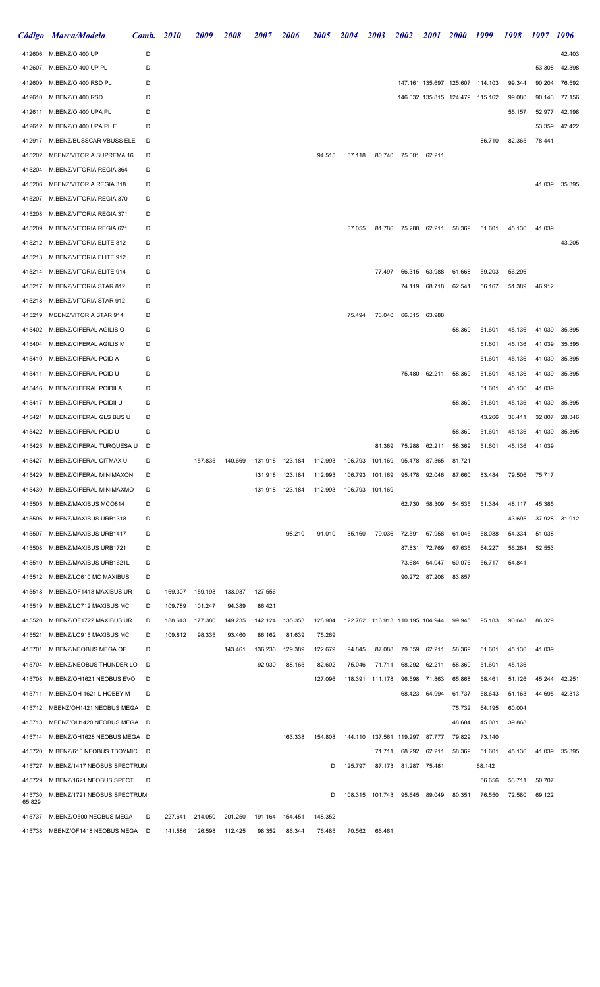|                  | Código Marca/Modelo             | Comb. | <b>2010</b> | 2009    | 2008    | <i><b>2007</b></i> | 2006            | <i><b>2005</b></i> | 2004    | 2003                            | <i>2002</i>          | <i>2001</i>   | <b>2000</b> | 1999                            | 1998   | 1997   | 1996          |
|------------------|---------------------------------|-------|-------------|---------|---------|--------------------|-----------------|--------------------|---------|---------------------------------|----------------------|---------------|-------------|---------------------------------|--------|--------|---------------|
| 412606           | M.BENZ/O 400 UP                 | D     |             |         |         |                    |                 |                    |         |                                 |                      |               |             |                                 |        |        | 42.403        |
| 412607           | M.BENZ/O 400 UP PL              | D     |             |         |         |                    |                 |                    |         |                                 |                      |               |             |                                 |        | 53.308 | 42.398        |
| 412609           | M.BENZ/O 400 RSD PL             | D     |             |         |         |                    |                 |                    |         |                                 |                      |               |             | 147.161 135.697 125.607 114.103 | 99.344 | 90.204 | 76.592        |
| 412610           | M.BENZ/O 400 RSD                | D     |             |         |         |                    |                 |                    |         |                                 |                      |               |             | 146.032 135.815 124.479 115.162 | 99.080 |        | 90.143 77.156 |
| 412611           | M.BENZ/O 400 UPA PL             | D     |             |         |         |                    |                 |                    |         |                                 |                      |               |             |                                 | 55.157 | 52.977 | 42.198        |
| 412612           | M.BENZ/O 400 UPA PL E           | D     |             |         |         |                    |                 |                    |         |                                 |                      |               |             |                                 |        | 53.359 | 42.422        |
| 412917           | M.BENZ/BUSSCAR VBUSS ELE        | D     |             |         |         |                    |                 |                    |         |                                 |                      |               |             | 86.710                          | 82.365 | 78.441 |               |
| 415202           | MBENZ/VITORIA SUPREMA 16        | D     |             |         |         |                    |                 | 94.515             | 87.118  |                                 | 80.740 75.001 62.211 |               |             |                                 |        |        |               |
| 415204           | M.BENZ/VITORIA REGIA 364        | D     |             |         |         |                    |                 |                    |         |                                 |                      |               |             |                                 |        |        |               |
| 415206           | MBENZ/VITORIA REGIA 318         | D     |             |         |         |                    |                 |                    |         |                                 |                      |               |             |                                 |        |        | 41.039 35.395 |
| 415207           | M.BENZ/VITORIA REGIA 370        | D     |             |         |         |                    |                 |                    |         |                                 |                      |               |             |                                 |        |        |               |
| 415208           | M.BENZ/VITORIA REGIA 371        | D     |             |         |         |                    |                 |                    |         |                                 |                      |               |             |                                 |        |        |               |
| 415209           | M.BENZ/VITORIA REGIA 621        | D     |             |         |         |                    |                 |                    | 87.055  |                                 | 81.786 75.288 62.211 |               | 58.369      | 51.601                          | 45.136 | 41.039 |               |
| 415212           | M.BENZ/VITORIA ELITE 812        | D     |             |         |         |                    |                 |                    |         |                                 |                      |               |             |                                 |        |        | 43.205        |
| 415213           | M.BENZ/VITORIA ELITE 912        | D     |             |         |         |                    |                 |                    |         |                                 |                      |               |             |                                 |        |        |               |
| 415214           | M.BENZ/VITORIA ELITE 914        | D     |             |         |         |                    |                 |                    |         | 77.497                          | 66.315               | 63.988        | 61.668      | 59.203                          | 56.296 |        |               |
| 415217           | M.BENZ/VITORIA STAR 812         | D     |             |         |         |                    |                 |                    |         |                                 |                      | 74.119 68.718 | 62.541      | 56.167                          | 51.389 | 46.912 |               |
| 415218           | M.BENZ/VITORIA STAR 912         | D     |             |         |         |                    |                 |                    |         |                                 |                      |               |             |                                 |        |        |               |
| 415219           | MBENZ/VITORIA STAR 914          | D     |             |         |         |                    |                 |                    | 75.494  | 73.040                          |                      | 66.315 63.988 |             |                                 |        |        |               |
| 415402           | M.BENZ/CIFERAL AGILIS O         | D     |             |         |         |                    |                 |                    |         |                                 |                      |               | 58.369      | 51.601                          | 45.136 | 41.039 | 35.395        |
| 415404           | M.BENZ/CIFERAL AGILIS M         | D     |             |         |         |                    |                 |                    |         |                                 |                      |               |             | 51.601                          | 45.136 | 41.039 | 35.395        |
| 415410           | M.BENZ/CIFERAL PCID A           | D     |             |         |         |                    |                 |                    |         |                                 |                      |               |             | 51.601                          | 45.136 | 41.039 | 35.395        |
| 415411           | M.BENZ/CIFERAL PCID U           | D     |             |         |         |                    |                 |                    |         |                                 |                      | 75.480 62.211 | 58.369      | 51.601                          | 45.136 | 41.039 | 35.395        |
|                  | M.BENZ/CIFERAL PCIDII A         | D     |             |         |         |                    |                 |                    |         |                                 |                      |               |             | 51.601                          | 45.136 | 41.039 |               |
| 415416           | M.BENZ/CIFERAL PCIDII U         | D     |             |         |         |                    |                 |                    |         |                                 |                      |               | 58.369      | 51.601                          | 45.136 | 41.039 | 35.395        |
| 415417           | M.BENZ/CIFERAL GLS BUS U        |       |             |         |         |                    |                 |                    |         |                                 |                      |               |             |                                 |        |        |               |
| 415421           |                                 | D     |             |         |         |                    |                 |                    |         |                                 |                      |               |             | 43.266                          | 38.411 | 32.807 | 28.346        |
| 415422           | M.BENZ/CIFERAL PCID U           | D     |             |         |         |                    |                 |                    |         |                                 |                      |               | 58.369      | 51.601                          | 45.136 | 41.039 | 35.395        |
| 415425           | M.BENZ/CIFERAL TURQUESA U       | D     |             |         |         |                    |                 |                    |         | 81.369                          | 75.288               | 62.211        | 58.369      | 51.601                          | 45.136 | 41.039 |               |
|                  | 415427 M.BENZ/CIFERAL CITMAX U  | D     |             | 157.835 | 140.669 |                    | 131.918 123.184 | 112.993            |         | 106.793 101.169                 |                      | 95.478 87.365 | 81.721      |                                 |        |        |               |
| 415429           | M.BENZ/CIFERAL MINIMAXON        | D     |             |         |         | 131.918            | 123.184         | 112.993            | 106.793 | 101.169                         |                      | 95.478 92.046 | 87.660      | 83.484                          | 79.506 | 75.717 |               |
| 415430           | M.BENZ/CIFERAL MINIMAXMO        | D     |             |         |         |                    | 131.918 123.184 | 112.993            | 106.793 | 101.169                         |                      |               |             |                                 |        |        |               |
| 415505           | M.BENZ/MAXIBUS MCO814           | D     |             |         |         |                    |                 |                    |         |                                 |                      | 62.730 58.309 | 54.535      | 51.384                          | 48.117 | 45.385 |               |
| 415506           | M.BENZ/MAXIBUS URB1318          | D     |             |         |         |                    |                 |                    |         |                                 |                      |               |             |                                 | 43.695 | 37.928 | 31.912        |
| 415507           | M.BENZ/MAXIBUS URB1417          | D     |             |         |         |                    | 98.210          | 91.010             | 85.160  | 79.036                          | 72.591               | 67.958        | 61.045      | 58.088                          | 54.334 | 51.038 |               |
| 415508           | M.BENZ/MAXIBUS URB1721          | D     |             |         |         |                    |                 |                    |         |                                 | 87.831               | 72.769        | 67.635      | 64.227                          | 56.264 | 52.553 |               |
| 415510           | M.BENZ/MAXIBUS URB1621L         | D     |             |         |         |                    |                 |                    |         |                                 | 73.684               | 64.047        | 60.076      | 56.717                          | 54.841 |        |               |
| 415512           | M.BENZ/LO610 MC MAXIBUS         | D     |             |         |         |                    |                 |                    |         |                                 |                      | 90.272 87.208 | 83.857      |                                 |        |        |               |
| 415518           | M.BENZ/OF1418 MAXIBUS UR        | D     | 169.307     | 159.198 | 133.937 | 127.556            |                 |                    |         |                                 |                      |               |             |                                 |        |        |               |
| 415519           | M.BENZ/LO712 MAXIBUS MC         | D     | 109.789     | 101.247 | 94.389  | 86.421             |                 |                    |         |                                 |                      |               |             |                                 |        |        |               |
| 415520           | M.BENZ/OF1722 MAXIBUS UR        | D     | 188.643     | 177.380 | 149.235 | 142.124            | 135.353         | 128.904            |         | 122.762 116.913 110.195 104.944 |                      |               | 99.945      | 95.183                          | 90.648 | 86.329 |               |
| 415521           | M.BENZ/LO915 MAXIBUS MC         | D     | 109.812     | 98.335  | 93.460  | 86.162             | 81.639          | 75.269             |         |                                 |                      |               |             |                                 |        |        |               |
| 415701           | M.BENZ/NEOBUS MEGA OF           | D     |             |         | 143.461 | 136.236            | 129.389         | 122.679            | 94.845  | 87.088                          | 79.359               | 62.211        | 58.369      | 51.601                          | 45.136 | 41.039 |               |
| 415704           | M.BENZ/NEOBUS THUNDER LO        | D     |             |         |         | 92.930             | 88.165          | 82.602             | 75.046  | 71.711                          | 68.292               | 62.211        | 58.369      | 51.601                          | 45.136 |        |               |
| 415708           | M.BENZ/OH1621 NEOBUS EVO        | D     |             |         |         |                    |                 | 127.096            |         | 118.391 111.178                 |                      | 96.598 71.863 | 65.868      | 58.461                          | 51.126 | 45.244 | 42.251        |
| 415711           | M.BENZ/OH 1621 L HOBBY M        | D     |             |         |         |                    |                 |                    |         |                                 | 68.423               | 64.994        | 61.737      | 58.643                          | 51.163 |        | 44.695 42.313 |
| 415712           | MBENZ/OH1421 NEOBUS MEGA D      |       |             |         |         |                    |                 |                    |         |                                 |                      |               | 75.732      | 64.195                          | 60.004 |        |               |
| 415713           | MBENZ/OH1420 NEOBUS MEGA D      |       |             |         |         |                    |                 |                    |         |                                 |                      |               | 48.684      | 45.081                          | 39.868 |        |               |
| 415714           | M.BENZ/OH1628 NEOBUS MEGA D     |       |             |         |         |                    | 163.338         | 154.808            |         | 144.110  137.561  119.297       |                      | 87.777        | 79.829      | 73.140                          |        |        |               |
| 415720           | M.BENZ/610 NEOBUS TBOYMIC       | D     |             |         |         |                    |                 |                    |         | 71.711                          | 68.292               | 62.211        | 58.369      | 51.601                          | 45.136 |        | 41.039 35.395 |
| 415727           | M.BENZ/1417 NEOBUS SPECTRUM     |       |             |         |         |                    |                 | D                  | 125.797 |                                 | 87.173 81.287 75.481 |               |             | 68.142                          |        |        |               |
| 415729           | M.BENZ/1621 NEOBUS SPECT        | D     |             |         |         |                    |                 |                    |         |                                 |                      |               |             | 56.656                          | 53.711 | 50.707 |               |
| 415730<br>65.829 | M.BENZ/1721 NEOBUS SPECTRUM     |       |             |         |         |                    |                 | D                  |         | 108.315 101.743 95.645 89.049   |                      |               | 80.351      | 76.550                          | 72.580 | 69.122 |               |
|                  | M.BENZ/O500 NEOBUS MEGA         |       |             |         |         |                    |                 | 148.352            |         |                                 |                      |               |             |                                 |        |        |               |
| 415737           |                                 | D     | 227.641     | 214.050 | 201.250 | 191.164            | 154.451         |                    |         |                                 |                      |               |             |                                 |        |        |               |
|                  | 415738 MBENZ/OF1418 NEOBUS MEGA | D     | 141.586     | 126.598 | 112.425 | 98.352             | 86.344          | 76.485             | 70.562  | 66.461                          |                      |               |             |                                 |        |        |               |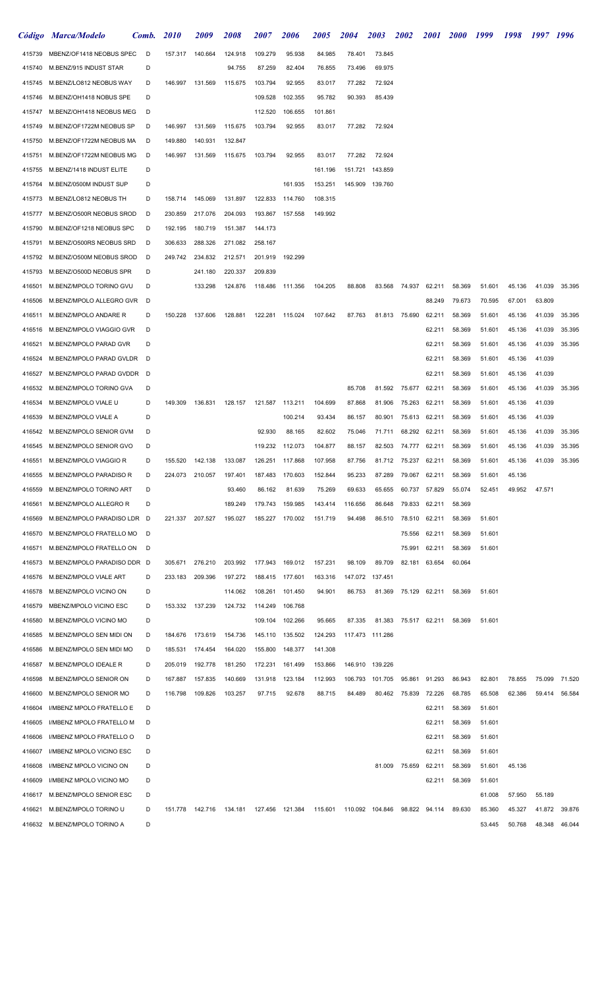|        | Código Marca/Modelo          | Comb. | <i>2010</i> | 2009    | <i>2008</i>                                 | <i><b>2007</b></i> | <i><b>2006</b></i> | <i><b>2005</b></i> | 2004    | 2003            | 2002                 | <i>2001</i>   | <b>2000</b> | 1999   | 1998   | 1997   | -1996         |
|--------|------------------------------|-------|-------------|---------|---------------------------------------------|--------------------|--------------------|--------------------|---------|-----------------|----------------------|---------------|-------------|--------|--------|--------|---------------|
| 415739 | MBENZ/OF1418 NEOBUS SPEC     | D     | 157.317     | 140.664 | 124.918                                     | 109.279            | 95.938             | 84.985             | 78.401  | 73.845          |                      |               |             |        |        |        |               |
| 415740 | M.BENZ/915 INDUST STAR       | D     |             |         | 94.755                                      | 87.259             | 82.404             | 76.855             | 73.496  | 69.975          |                      |               |             |        |        |        |               |
| 415745 | M.BENZ/LO812 NEOBUS WAY      | D     | 146.997     | 131.569 | 115.675                                     | 103.794            | 92.955             | 83.017             | 77.282  | 72.924          |                      |               |             |        |        |        |               |
| 415746 | M.BENZ/OH1418 NOBUS SPE      | D     |             |         |                                             | 109.528            | 102.355            | 95.782             | 90.393  | 85.439          |                      |               |             |        |        |        |               |
| 415747 | M.BENZ/OH1418 NEOBUS MEG     | D     |             |         |                                             | 112.520            | 106.655            | 101.861            |         |                 |                      |               |             |        |        |        |               |
| 415749 | M.BENZ/OF1722M NEOBUS SP     | D     | 146.997     | 131.569 | 115.675                                     | 103.794            | 92.955             | 83.017             | 77.282  | 72.924          |                      |               |             |        |        |        |               |
| 415750 | M.BENZ/OF1722M NEOBUS MA     | D     | 149.880     | 140.931 | 132.847                                     |                    |                    |                    |         |                 |                      |               |             |        |        |        |               |
| 415751 | M.BENZ/OF1722M NEOBUS MG     | D     | 146.997     | 131.569 | 115.675                                     | 103.794            | 92.955             | 83.017             | 77.282  | 72.924          |                      |               |             |        |        |        |               |
| 415755 | M.BENZ/1418 INDUST ELITE     | D     |             |         |                                             |                    |                    | 161.196            | 151.721 | 143.859         |                      |               |             |        |        |        |               |
| 415764 | M.BENZ/0500M INDUST SUP      | D     |             |         |                                             |                    | 161.935            | 153.251            | 145.909 | 139.760         |                      |               |             |        |        |        |               |
| 415773 | M.BENZ/LO812 NEOBUS TH       | D     | 158.714     | 145.069 | 131.897                                     | 122.833            | 114.760            | 108.315            |         |                 |                      |               |             |        |        |        |               |
| 415777 | M.BENZ/O500R NEOBUS SROD     | D     | 230.859     | 217.076 | 204.093                                     | 193.867            | 157.558            | 149.992            |         |                 |                      |               |             |        |        |        |               |
| 415790 | M.BENZ/OF1218 NEOBUS SPC     | D     | 192.195     | 180.719 | 151.387                                     | 144.173            |                    |                    |         |                 |                      |               |             |        |        |        |               |
| 415791 | M.BENZ/O500RS NEOBUS SRD     | D     | 306.633     | 288.326 | 271.082                                     | 258.167            |                    |                    |         |                 |                      |               |             |        |        |        |               |
| 415792 | M.BENZ/O500M NEOBUS SROD     | D     | 249.742     | 234.832 | 212.571                                     | 201.919            | 192.299            |                    |         |                 |                      |               |             |        |        |        |               |
| 415793 | M.BENZ/O500D NEOBUS SPR      | D     |             | 241.180 | 220.337                                     | 209.839            |                    |                    |         |                 |                      |               |             |        |        |        |               |
| 416501 | M.BENZ/MPOLO TORINO GVU      | D     |             | 133.298 | 124.876                                     | 118.486            | 111.356            | 104.205            | 88.808  | 83.568          | 74.937               | 62.211        | 58.369      | 51.601 | 45.136 | 41.039 | 35.395        |
| 416506 | M.BENZ/MPOLO ALLEGRO GVR     | D     |             |         |                                             |                    |                    |                    |         |                 |                      | 88.249        | 79.673      | 70.595 | 67.001 | 63.809 |               |
| 416511 | M.BENZ/MPOLO ANDARE R        | D     | 150.228     | 137.606 | 128.881                                     | 122.281 115.024    |                    | 107.642            | 87.763  |                 | 81.813 75.690        | 62.211        | 58.369      | 51.601 | 45.136 | 41.039 | 35.395        |
| 416516 | M.BENZ/MPOLO VIAGGIO GVR     | D     |             |         |                                             |                    |                    |                    |         |                 |                      | 62.211        | 58.369      | 51.601 | 45.136 | 41.039 | 35.395        |
| 416521 | M.BENZ/MPOLO PARAD GVR       | D     |             |         |                                             |                    |                    |                    |         |                 |                      | 62.211        | 58.369      | 51.601 | 45.136 | 41.039 | 35.395        |
| 416524 | M.BENZ/MPOLO PARAD GVLDR     | D     |             |         |                                             |                    |                    |                    |         |                 |                      | 62.211        | 58.369      | 51.601 | 45.136 | 41.039 |               |
| 416527 | M.BENZ/MPOLO PARAD GVDDR D   |       |             |         |                                             |                    |                    |                    |         |                 |                      | 62.211        | 58.369      | 51.601 | 45.136 | 41.039 |               |
| 416532 | M.BENZ/MPOLO TORINO GVA      | D     |             |         |                                             |                    |                    |                    | 85.708  | 81.592          | 75.677               | 62.211        | 58.369      | 51.601 | 45.136 | 41.039 | 35.395        |
| 416534 | M.BENZ/MPOLO VIALE U         | D     | 149.309     | 136.831 | 128.157                                     | 121.587 113.211    |                    | 104.699            | 87.868  | 81.906          | 75.263               | 62.211        | 58.369      | 51.601 | 45.136 | 41.039 |               |
| 416539 | M.BENZ/MPOLO VIALE A         | D     |             |         |                                             |                    | 100.214            | 93.434             | 86.157  | 80.901          | 75.613               | 62.211        | 58.369      | 51.601 | 45.136 | 41.039 |               |
| 416542 | M.BENZ/MPOLO SENIOR GVM      | D     |             |         |                                             | 92.930             | 88.165             | 82.602             | 75.046  | 71.711          | 68.292               | 62.211        | 58.369      | 51.601 | 45.136 | 41.039 | 35.395        |
| 416545 | M.BENZ/MPOLO SENIOR GVO      | D     |             |         |                                             | 119.232            | 112.073            | 104.877            | 88.157  | 82.503          | 74.777               | 62.211        | 58.369      | 51.601 | 45.136 | 41.039 | 35.395        |
| 416551 | M.BENZ/MPOLO VIAGGIO R       | D     | 155.520     | 142.138 | 133.087                                     | 126.251 117.868    |                    | 107.958            | 87.756  |                 | 81.712 75.237 62.211 |               | 58.369      | 51.601 | 45.136 | 41.039 | 35.395        |
| 416555 | M.BENZ/MPOLO PARADISO R      | D     | 224.073     | 210.057 | 197.401                                     | 187.483            | 170.603            | 152.844            | 95.233  | 87.289          | 79.067               | 62.211        | 58.369      | 51.601 | 45.136 |        |               |
| 416559 | M.BENZ/MPOLO TORINO ART      | D     |             |         | 93.460                                      | 86.162             | 81.639             | 75.269             | 69.633  | 65.655          | 60.737               | 57.829        | 55.074      | 52.451 | 49.952 | 47.571 |               |
| 416561 | M.BENZ/MPOLO ALLEGRO R       | D     |             |         | 189.249                                     | 179.743            | 159.985            | 143.414            | 116.656 | 86.648          | 79.833               | 62.211        | 58.369      |        |        |        |               |
| 416569 | M.BENZ/MPOLO PARADISO LDR D  |       | 221.337     | 207.527 | 195.027                                     | 185.227            | 170.002            | 151.719            | 94.498  | 86.510          | 78.510               | 62.211        | 58.369      | 51.601 |        |        |               |
| 416570 | M.BENZ/MPOLO FRATELLO MO     | D     |             |         |                                             |                    |                    |                    |         |                 | 75.556               | 62.211        | 58.369      | 51.601 |        |        |               |
| 416571 | M.BENZ/MPOLO FRATELLO ON     | D     |             |         |                                             |                    |                    |                    |         |                 | 75.991               | 62.211        | 58.369      | 51.601 |        |        |               |
| 416573 | M.BENZ/MPOLO PARADISO DDR D  |       | 305.671     | 276.210 | 203.992                                     | 177.943            | 169.012            | 157.231            | 98.109  | 89.709          | 82.181               | 63.654        | 60.064      |        |        |        |               |
| 416576 | M.BENZ/MPOLO VIALE ART       | D     | 233.183     | 209.396 | 197.272                                     | 188.415            | 177.601            | 163.316            | 147.072 | 137.451         |                      |               |             |        |        |        |               |
| 416578 | M.BENZ/MPOLO VICINO ON       | D     |             |         | 114.062                                     | 108.261            | 101.450            | 94.901             | 86.753  | 81.369          |                      | 75.129 62.211 | 58.369      | 51.601 |        |        |               |
| 416579 | MBENZ/MPOLO VICINO ESC       | D     | 153.332     | 137.239 | 124.732                                     | 114.249            | 106.768            |                    |         |                 |                      |               |             |        |        |        |               |
| 416580 | M.BENZ/MPOLO VICINO MO       | D     |             |         |                                             | 109.104            | 102.266            | 95.665             | 87.335  | 81.383          | 75.517 62.211        |               | 58.369      | 51.601 |        |        |               |
| 416585 | M.BENZ/MPOLO SEN MIDI ON     | D     | 184.676     | 173.619 | 154.736                                     | 145.110            | 135.502            | 124.293            |         | 117.473 111.286 |                      |               |             |        |        |        |               |
| 416586 | M.BENZ/MPOLO SEN MIDI MO     | D     | 185.531     | 174.454 | 164.020                                     | 155.800            | 148.377            | 141.308            |         |                 |                      |               |             |        |        |        |               |
| 416587 | M.BENZ/MPOLO IDEALE R        | D     | 205.019     | 192.778 | 181.250                                     | 172.231            | 161.499            | 153.866            | 146.910 | 139.226         |                      |               |             |        |        |        |               |
| 416598 | M.BENZ/MPOLO SENIOR ON       | D     | 167.887     | 157.835 | 140.669                                     | 131.918            | 123.184            | 112.993            | 106.793 | 101.705         | 95.861               | 91.293        | 86.943      | 82.801 | 78.855 | 75.099 | 71.520        |
| 416600 | M.BENZ/MPOLO SENIOR MO       | D     | 116.798     | 109.826 | 103.257                                     | 97.715             | 92.678             | 88.715             | 84.489  | 80.462          | 75.839               | 72.226        | 68.785      | 65.508 | 62.386 | 59.414 | 56.584        |
| 416604 | I/MBENZ MPOLO FRATELLO E     | D     |             |         |                                             |                    |                    |                    |         |                 |                      | 62.211        | 58.369      | 51.601 |        |        |               |
| 416605 | I/MBENZ MPOLO FRATELLO M     | D     |             |         |                                             |                    |                    |                    |         |                 |                      | 62.211        | 58.369      | 51.601 |        |        |               |
| 416606 | I/MBENZ MPOLO FRATELLO O     | D     |             |         |                                             |                    |                    |                    |         |                 |                      | 62.211        | 58.369      | 51.601 |        |        |               |
| 416607 | I/MBENZ MPOLO VICINO ESC     | D     |             |         |                                             |                    |                    |                    |         |                 |                      | 62.211        | 58.369      | 51.601 |        |        |               |
| 416608 | I/MBENZ MPOLO VICINO ON      | D     |             |         |                                             |                    |                    |                    |         | 81.009          | 75.659               | 62.211        | 58.369      | 51.601 | 45.136 |        |               |
| 416609 | I/MBENZ MPOLO VICINO MO      | D     |             |         |                                             |                    |                    |                    |         |                 |                      | 62.211        | 58.369      | 51.601 |        |        |               |
| 416617 | M.BENZ/MPOLO SENIOR ESC      | D     |             |         |                                             |                    |                    |                    |         |                 |                      |               |             | 61.008 | 57.950 | 55.189 |               |
| 416621 | M.BENZ/MPOLO TORINO U        | D     |             |         | 151.778  142.716  134.181  127.456  121.384 |                    |                    | 115.601            |         | 110.092 104.846 |                      | 98.822 94.114 | 89.630      | 85.360 | 45.327 | 41.872 | 39.876        |
|        | 416632 M.BENZ/MPOLO TORINO A | D     |             |         |                                             |                    |                    |                    |         |                 |                      |               |             | 53.445 | 50.768 |        | 48.348 46.044 |
|        |                              |       |             |         |                                             |                    |                    |                    |         |                 |                      |               |             |        |        |        |               |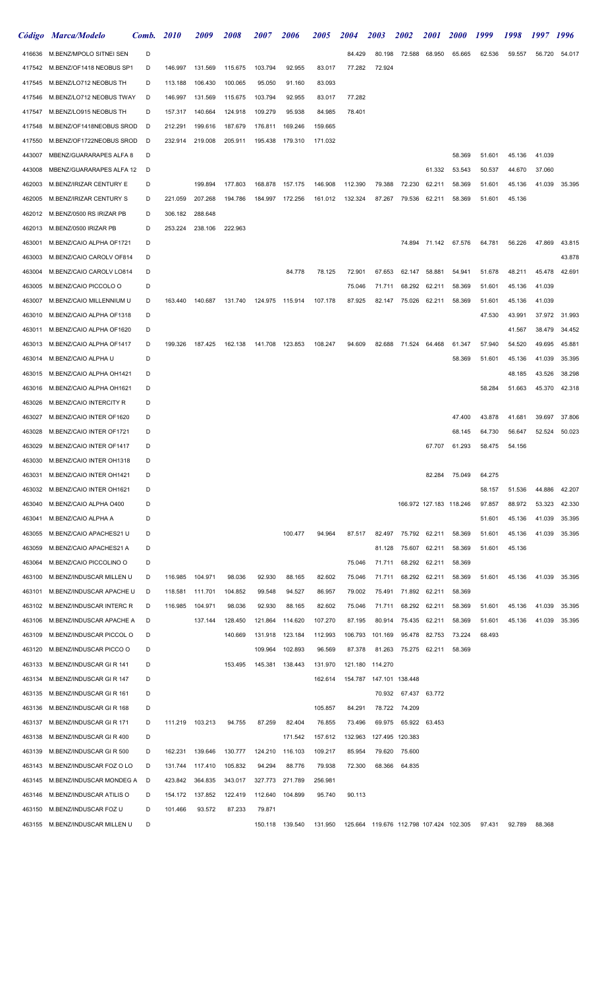|        | Código Marca/Modelo             | Comb. | <i>2010</i> | <i>2009</i> | <i>2008</i> | <i><b>2007</b></i> | 2006            | <i><b>2005</b></i> | <i><b>2004</b></i>                                   | 2003                      | <i><b>2002</b></i> | <i>2001</i>             | <i>2000</i>   | 1999   | 1998   | 1997   | <b>1996</b>   |
|--------|---------------------------------|-------|-------------|-------------|-------------|--------------------|-----------------|--------------------|------------------------------------------------------|---------------------------|--------------------|-------------------------|---------------|--------|--------|--------|---------------|
| 416636 | M.BENZ/MPOLO SITNEI SEN         | D     |             |             |             |                    |                 |                    | 84.429                                               | 80.198                    | 72.588             | 68.950                  | 65.665        | 62.536 | 59.557 | 56.720 | 54.017        |
| 417542 | M.BENZ/OF1418 NEOBUS SP1        | D     | 146.997     | 131.569     | 115.675     | 103.794            | 92.955          | 83.017             | 77.282                                               | 72.924                    |                    |                         |               |        |        |        |               |
| 417545 | M.BENZ/LO712 NEOBUS TH          | D     | 113.188     | 106.430     | 100.065     | 95.050             | 91.160          | 83.093             |                                                      |                           |                    |                         |               |        |        |        |               |
| 417546 | M.BENZ/LO712 NEOBUS TWAY        | D     | 146.997     | 131.569     | 115.675     | 103.794            | 92.955          | 83.017             | 77.282                                               |                           |                    |                         |               |        |        |        |               |
| 417547 | M.BENZ/LO915 NEOBUS TH          | D     | 157.317     | 140.664     | 124.918     | 109.279            | 95.938          | 84.985             | 78.401                                               |                           |                    |                         |               |        |        |        |               |
| 417548 | M.BENZ/OF1418NEOBUS SROD        | D     | 212.291     | 199.616     | 187.679     | 176.811            | 169.246         | 159.665            |                                                      |                           |                    |                         |               |        |        |        |               |
| 417550 | M.BENZ/OF1722NEOBUS SROD        | D     | 232.914     | 219.008     | 205.911     | 195.438            | 179.310         | 171.032            |                                                      |                           |                    |                         |               |        |        |        |               |
| 443007 | MBENZ/GUARARAPES ALFA 8         | D     |             |             |             |                    |                 |                    |                                                      |                           |                    |                         | 58.369        | 51.601 | 45.136 | 41.039 |               |
| 443008 | MBENZ/GUARARAPES ALFA 12        | D     |             |             |             |                    |                 |                    |                                                      |                           |                    | 61.332                  | 53.543        | 50.537 | 44.670 | 37.060 |               |
| 462003 | M.BENZ/IRIZAR CENTURY E         | D     |             | 199.894     | 177.803     | 168.878            | 157.175         | 146.908            | 112.390                                              | 79.388                    | 72.230             | 62.211                  | 58.369        | 51.601 | 45.136 | 41.039 | 35.395        |
| 462005 | M.BENZ/IRIZAR CENTURY S         | D     | 221.059     | 207.268     | 194.786     | 184.997 172.256    |                 | 161.012            | 132.324                                              | 87.267                    | 79.536             | 62.211                  | 58.369        | 51.601 | 45.136 |        |               |
| 462012 | M.BENZ/0500 RS IRIZAR PB        | D     | 306.182     | 288.648     |             |                    |                 |                    |                                                      |                           |                    |                         |               |        |        |        |               |
| 462013 | M.BENZ/0500 IRIZAR PB           | D     | 253.224     | 238.106     | 222.963     |                    |                 |                    |                                                      |                           |                    |                         |               |        |        |        |               |
| 463001 | M.BENZ/CAIO ALPHA OF1721        | D     |             |             |             |                    |                 |                    |                                                      |                           |                    | 74.894 71.142           | 67.576        | 64.781 | 56.226 | 47.869 | 43.815        |
| 463003 | M.BENZ/CAIO CAROLV OF814        | D     |             |             |             |                    |                 |                    |                                                      |                           |                    |                         |               |        |        |        | 43.878        |
| 463004 | M.BENZ/CAIO CAROLV LO814        | D     |             |             |             |                    | 84.778          | 78.125             | 72.901                                               | 67.653                    | 62.147             | 58.881                  | 54.941        | 51.678 | 48.211 | 45.478 | 42.691        |
| 463005 | M.BENZ/CAIO PICCOLO O           | D     |             |             |             |                    |                 |                    | 75.046                                               | 71.711                    | 68.292             | 62.211                  | 58.369        | 51.601 | 45.136 | 41.039 |               |
| 463007 | M.BENZ/CAIO MILLENNIUM U        | D     | 163.440     | 140.687     | 131.740     | 124.975 115.914    |                 | 107.178            | 87.925                                               | 82.147                    | 75.026             | 62.211                  | 58.369        | 51.601 | 45.136 | 41.039 |               |
| 463010 | M.BENZ/CAIO ALPHA OF1318        | D     |             |             |             |                    |                 |                    |                                                      |                           |                    |                         |               | 47.530 | 43.991 |        | 37.972 31.993 |
| 463011 | M.BENZ/CAIO ALPHA OF1620        | D     |             |             |             |                    |                 |                    |                                                      |                           |                    |                         |               |        | 41.567 | 38.479 | 34.452        |
| 463013 | M.BENZ/CAIO ALPHA OF1417        | D     | 199.326     | 187.425     | 162.138     | 141.708 123.853    |                 | 108.247            | 94.609                                               | 82.688                    | 71.524             | 64.468                  | 61.347        | 57.940 | 54.520 | 49.695 | 45.881        |
| 463014 | M.BENZ/CAIO ALPHA U             | D     |             |             |             |                    |                 |                    |                                                      |                           |                    |                         | 58.369        | 51.601 | 45.136 | 41.039 | 35.395        |
| 463015 | M.BENZ/CAIO ALPHA OH1421        | D     |             |             |             |                    |                 |                    |                                                      |                           |                    |                         |               |        | 48.185 | 43.526 | 38.298        |
| 463016 | M.BENZ/CAIO ALPHA OH1621        | D     |             |             |             |                    |                 |                    |                                                      |                           |                    |                         |               | 58.284 | 51.663 | 45.370 | 42.318        |
| 463026 | M.BENZ/CAIO INTERCITY R         | D     |             |             |             |                    |                 |                    |                                                      |                           |                    |                         |               |        |        |        |               |
| 463027 | M.BENZ/CAIO INTER OF1620        | D     |             |             |             |                    |                 |                    |                                                      |                           |                    |                         | 47.400        | 43.878 | 41.681 | 39.697 | 37.806        |
| 463028 | M.BENZ/CAIO INTER OF1721        | D     |             |             |             |                    |                 |                    |                                                      |                           |                    |                         | 68.145        | 64.730 | 56.647 | 52.524 | 50.023        |
| 463029 | M.BENZ/CAIO INTER OF1417        | D     |             |             |             |                    |                 |                    |                                                      |                           |                    | 67.707                  | 61.293        | 58.475 | 54.156 |        |               |
| 463030 | M.BENZ/CAIO INTER OH1318        | D     |             |             |             |                    |                 |                    |                                                      |                           |                    |                         |               |        |        |        |               |
| 463031 | M.BENZ/CAIO INTER OH1421        | D     |             |             |             |                    |                 |                    |                                                      |                           |                    |                         | 82.284 75.049 | 64.275 |        |        |               |
| 463032 | M.BENZ/CAIO INTER OH1621        | D     |             |             |             |                    |                 |                    |                                                      |                           |                    |                         |               | 58.157 | 51.536 | 44.886 | 42.207        |
| 463040 | M.BENZ/CAIO ALPHA 0400          | D     |             |             |             |                    |                 |                    |                                                      |                           |                    | 166.972 127.183 118.246 |               | 97.857 | 88.972 | 53.323 | 42.330        |
| 463041 | M.BENZ/CAIO ALPHA A             | D     |             |             |             |                    |                 |                    |                                                      |                           |                    |                         |               | 51.601 | 45.136 | 41.039 | 35.395        |
| 463055 | M.BENZ/CAIO APACHES21 U         | D     |             |             |             |                    | 100.477         | 94.964             | 87.517                                               | 82.497                    | 75.792             | 62.211                  | 58.369        | 51.601 | 45.136 |        | 41.039 35.395 |
| 463059 | M.BENZ/CAIO APACHES21 A         | D     |             |             |             |                    |                 |                    |                                                      | 81.128                    | 75.607             | 62.211                  | 58.369        | 51.601 | 45.136 |        |               |
| 463064 | M.BENZ/CAIO PICCOLINO O         | D     |             |             |             |                    |                 |                    | 75.046                                               | 71.711                    | 68.292             | 62.211                  | 58.369        |        |        |        |               |
| 463100 | M.BENZ/INDUSCAR MILLEN U        | D     | 116.985     | 104.971     | 98.036      | 92.930             | 88.165          | 82.602             | 75.046                                               | 71.711                    | 68.292             | 62.211                  | 58.369        | 51.601 | 45.136 | 41.039 | 35.395        |
| 463101 | M.BENZ/INDUSCAR APACHE U        | D     | 118.581     | 111.701     | 104.852     | 99.548             | 94.527          | 86.957             | 79.002                                               | 75.491                    | 71.892             | 62.211                  | 58.369        |        |        |        |               |
| 463102 | M.BENZ/INDUSCAR INTERC R        | D     | 116.985     | 104.971     | 98.036      | 92.930             | 88.165          | 82.602             | 75.046                                               | 71.711                    | 68.292             | 62.211                  | 58.369        | 51.601 | 45.136 | 41.039 | 35.395        |
| 463106 | M.BENZ/INDUSCAR APACHE A        | D     |             | 137.144     | 128.450     | 121.864            | 114.620         | 107.270            | 87.195                                               | 80.914                    | 75.435             | 62.211                  | 58.369        | 51.601 | 45.136 | 41.039 | 35.395        |
| 463109 | M.BENZ/INDUSCAR PICCOL O        | D     |             |             | 140.669     | 131.918            | 123.184         | 112.993            | 106.793                                              | 101.169                   | 95.478             | 82.753                  | 73.224        | 68.493 |        |        |               |
| 463120 | M.BENZ/INDUSCAR PICCO O         | D     |             |             |             | 109.964            | 102.893         | 96.569             | 87.378                                               | 81.263                    | 75.275             | 62.211                  | 58.369        |        |        |        |               |
| 463133 | M.BENZ/INDUSCAR GIR 141         | D     |             |             | 153.495     | 145.381            | 138.443         | 131.970            | 121.180                                              | 114.270                   |                    |                         |               |        |        |        |               |
| 463134 | M.BENZ/INDUSCAR GIR 147         | D     |             |             |             |                    |                 | 162.614            |                                                      | 154.787  147.101  138.448 |                    |                         |               |        |        |        |               |
| 463135 | M.BENZ/INDUSCAR GIR 161         | D     |             |             |             |                    |                 |                    |                                                      | 70.932                    | 67.437             | 63.772                  |               |        |        |        |               |
| 463136 | M.BENZ/INDUSCAR GIR 168         | D     |             |             |             |                    |                 | 105.857            | 84.291                                               | 78.722                    | 74.209             |                         |               |        |        |        |               |
| 463137 | M.BENZ/INDUSCAR GIR 171         | D     | 111.219     | 103.213     | 94.755      | 87.259             | 82.404          | 76.855             | 73.496                                               | 69.975                    | 65.922             | 63.453                  |               |        |        |        |               |
| 463138 | M.BENZ/INDUSCAR GIR 400         | D     |             |             |             |                    | 171.542         | 157.612            | 132.963                                              |                           | 127.495 120.383    |                         |               |        |        |        |               |
| 463139 | M.BENZ/INDUSCAR GIR 500         | D     | 162.231     | 139.646     | 130.777     | 124.210            | 116.103         | 109.217            | 85.954                                               | 79.620                    | 75.600             |                         |               |        |        |        |               |
| 463143 | M.BENZ/INDUSCAR FOZ O LO        | D     | 131.744     | 117.410     | 105.832     | 94.294             | 88.776          | 79.938             | 72.300                                               | 68.366                    | 64.835             |                         |               |        |        |        |               |
| 463145 | M.BENZ/INDUSCAR MONDEG A        | D     | 423.842     | 364.835     | 343.017     | 327.773            | 271.789         | 256.981            |                                                      |                           |                    |                         |               |        |        |        |               |
| 463146 | M.BENZ/INDUSCAR ATILIS O        | D     | 154.172     | 137.852     | 122.419     | 112.640            | 104.899         | 95.740             | 90.113                                               |                           |                    |                         |               |        |        |        |               |
| 463150 | M.BENZ/INDUSCAR FOZ U           | D     | 101.466     | 93.572      | 87.233      | 79.871             |                 |                    |                                                      |                           |                    |                         |               |        |        |        |               |
|        | 463155 M.BENZ/INDUSCAR MILLEN U | D     |             |             |             |                    | 150.118 139.540 |                    | 131.950  125.664  119.676  112.798  107.424  102.305 |                           |                    |                         |               | 97.431 | 92.789 | 88.368 |               |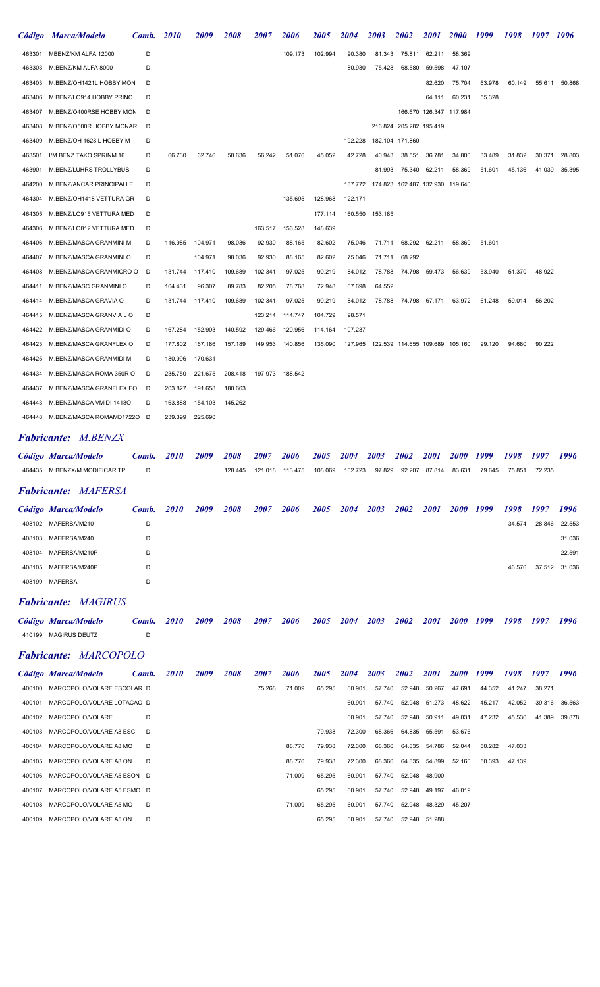|        | Código Marca/Modelo               | Comb. | <b>2010</b> | <i>2009</i> | 2008        | <i><b>2007</b></i> | <i><b>2006</b></i> | <i><b>2005</b></i> | <i>2004</i>      | <i><b>2003</b></i>                      | <i><b>2002</b></i>              | <i>2001</i> | <b>2000</b>             | 1999          | 1998   | 1997 1996 |               |
|--------|-----------------------------------|-------|-------------|-------------|-------------|--------------------|--------------------|--------------------|------------------|-----------------------------------------|---------------------------------|-------------|-------------------------|---------------|--------|-----------|---------------|
| 463301 | MBENZ/KM ALFA 12000               | D     |             |             |             |                    | 109.173            | 102.994            | 90.380           | 81.343                                  | 75.811                          | 62.211      | 58.369                  |               |        |           |               |
| 463303 | M.BENZ/KM ALFA 8000               | D     |             |             |             |                    |                    |                    | 80.930           | 75.428                                  | 68.580                          | 59.598      | 47.107                  |               |        |           |               |
| 463403 | M.BENZ/OH1421L HOBBY MON          | D     |             |             |             |                    |                    |                    |                  |                                         |                                 | 82.620      | 75.704                  | 63.978        | 60.149 | 55.611    | 50.868        |
| 463406 | M.BENZ/LO914 HOBBY PRINC          | D     |             |             |             |                    |                    |                    |                  |                                         |                                 | 64.111      | 60.231                  | 55.328        |        |           |               |
| 463407 | M.BENZ/O400RSE HOBBY MON          | D     |             |             |             |                    |                    |                    |                  |                                         |                                 |             | 166.670 126.347 117.984 |               |        |           |               |
| 463408 | M.BENZ/O500R HOBBY MONAR          | D     |             |             |             |                    |                    |                    |                  |                                         | 216.824 205.282 195.419         |             |                         |               |        |           |               |
| 463409 | M.BENZ/OH 1628 L HOBBY M          | D     |             |             |             |                    |                    |                    | 192.228          |                                         | 182.104 171.860                 |             |                         |               |        |           |               |
| 463501 | I/M.BENZ TAKO SPRINM 16           | D     | 66.730      | 62.746      | 58.636      | 56.242             | 51.076             | 45.052             | 42.728           | 40.943                                  | 38.551                          | 36.781      | 34.800                  | 33.489        | 31.832 | 30.371    | 28.803        |
| 463901 | M.BENZ/LUHRS TROLLYBUS            | D     |             |             |             |                    |                    |                    |                  | 81.993                                  | 75.340                          | 62.211      | 58.369                  | 51.601        | 45.136 | 41.039    | 35.395        |
| 464200 | M.BENZ/ANCAR PRINCIPALLE          | D     |             |             |             |                    |                    |                    | 187.772          |                                         | 174.823 162.487 132.930 119.640 |             |                         |               |        |           |               |
| 464304 | M.BENZ/OH1418 VETTURA GR          | D     |             |             |             |                    | 135.695            | 128.968            | 122.171          |                                         |                                 |             |                         |               |        |           |               |
| 464305 | M.BENZ/LO915 VETTURA MED          | D     |             |             |             |                    |                    | 177.114            | 160.550          | 153.185                                 |                                 |             |                         |               |        |           |               |
| 464306 | M.BENZ/LO812 VETTURA MED          | D     |             |             |             | 163.517            | 156.528            | 148.639            |                  |                                         |                                 |             |                         |               |        |           |               |
| 464406 | M.BENZ/MASCA GRANMINI M           | D     | 116.985     | 104.971     | 98.036      | 92.930             | 88.165             | 82.602             | 75.046           | 71.711                                  | 68.292                          | 62.211      | 58.369                  | 51.601        |        |           |               |
| 464407 | M.BENZ/MASCA GRANMINI O           | D     |             | 104.971     | 98.036      | 92.930             | 88.165             | 82.602             | 75.046           | 71.711                                  | 68.292                          |             |                         |               |        |           |               |
| 464408 | M.BENZ/MASCA GRANMICRO O          | D     | 131.744     | 117.410     | 109.689     | 102.341            | 97.025             | 90.219             | 84.012           | 78.788                                  | 74.798                          | 59.473      | 56.639                  | 53.940        | 51.370 | 48.922    |               |
| 464411 | M.BENZ/MASC GRANMINI O            | D     | 104.431     | 96.307      | 89.783      | 82.205             | 78.768             | 72.948             | 67.698           | 64.552                                  |                                 |             |                         |               |        |           |               |
| 464414 | M.BENZ/MASCA GRAVIA O             | D     | 131.744     | 117.410     | 109.689     | 102.341            | 97.025             | 90.219             | 84.012           | 78.788                                  | 74.798                          | 67.171      | 63.972                  | 61.248        | 59.014 | 56.202    |               |
| 464415 | M.BENZ/MASCA GRANVIA L O          | D     |             |             |             | 123.214            | 114.747            | 104.729            | 98.571           |                                         |                                 |             |                         |               |        |           |               |
| 464422 | M.BENZ/MASCA GRANMIDI O           | D     | 167.284     | 152.903     | 140.592     | 129.466            | 120.956            | 114.164            | 107.237          |                                         |                                 |             |                         |               |        |           |               |
| 464423 | M.BENZ/MASCA GRANFLEX O           | D     | 177.802     | 167.186     | 157.189     | 149.953            | 140.856            | 135.090            |                  | 127.965 122.539 114.655 109.689 105.160 |                                 |             |                         | 99.120        | 94.680 | 90.222    |               |
| 464425 | M.BENZ/MASCA GRANMIDI M           | D     | 180.996     | 170.631     |             |                    |                    |                    |                  |                                         |                                 |             |                         |               |        |           |               |
| 464434 | M.BENZ/MASCA ROMA 350R O          | D     | 235.750     | 221.675     | 208.418     | 197.973            | 188.542            |                    |                  |                                         |                                 |             |                         |               |        |           |               |
| 464437 | M.BENZ/MASCA GRANFLEX EO          | D     | 203.827     | 191.658     | 180.663     |                    |                    |                    |                  |                                         |                                 |             |                         |               |        |           |               |
| 464443 | M.BENZ/MASCA VMIDI 1418O          | D     | 163.888     | 154.103     | 145.262     |                    |                    |                    |                  |                                         |                                 |             |                         |               |        |           |               |
| 464448 | M.BENZ/MASCA ROMAMD1722O D        |       | 239.399     | 225.690     |             |                    |                    |                    |                  |                                         |                                 |             |                         |               |        |           |               |
|        | <b>Fabricante:</b> M.BENZX        |       |             |             |             |                    |                    |                    |                  |                                         |                                 |             |                         |               |        |           |               |
|        | Código Marca/Modelo               | Comb. | <i>2010</i> | 2009        | <i>2008</i> | <i>2007</i>        | 2006               | <i><b>2005</b></i> | 2004             | 2003                                    | 2002                            | <i>2001</i> | <i>2000</i>             | 1999          | 1998   | 1997      | 1996          |
|        | 464435 M.BENZX/M MODIFICAR TP     | D     |             |             | 128.445     |                    | 121.018 113.475    |                    | 108.069  102.723 |                                         | 97.829 92.207 87.814            |             | 83.631                  | 79.645 75.851 |        | 72.235    |               |
|        |                                   |       |             |             |             |                    |                    |                    |                  |                                         |                                 |             |                         |               |        |           |               |
|        | <b>Fabricante: MAFERSA</b>        |       |             |             |             |                    |                    |                    |                  |                                         |                                 |             |                         |               |        |           |               |
|        | Código Marca/Modelo               | Comb. | <i>2010</i> | 2009        | 2008        | 2007               | 2006               | <i>2005</i>        | <b>2004</b>      | 2003                                    | 2002                            | <i>2001</i> | 2000 1999               |               | 1998   | 1997      | 1996          |
|        | 408102 MAFERSA/M210               | D     |             |             |             |                    |                    |                    |                  |                                         |                                 |             |                         |               | 34.574 | 28.846    | 22.553        |
|        | 408103 MAFERSA/M240               | D     |             |             |             |                    |                    |                    |                  |                                         |                                 |             |                         |               |        |           | 31.036        |
| 408104 | MAFERSA/M210P                     | D     |             |             |             |                    |                    |                    |                  |                                         |                                 |             |                         |               |        |           | 22.591        |
| 408105 | MAFERSA/M240P                     | D     |             |             |             |                    |                    |                    |                  |                                         |                                 |             |                         |               | 46.576 |           | 37.512 31.036 |
|        | 408199 MAFERSA                    | D     |             |             |             |                    |                    |                    |                  |                                         |                                 |             |                         |               |        |           |               |
|        | <b>Fabricante: MAGIRUS</b>        |       |             |             |             |                    |                    |                    |                  |                                         |                                 |             |                         |               |        |           |               |
|        | Código Marca/Modelo               | Comb. | <i>2010</i> | 2009        | <i>2008</i> | <b>2007</b>        | 2006               | <i><b>2005</b></i> | <b>2004</b>      | 2003                                    | <i><b>2002</b></i>              | <i>2001</i> | <i>2000</i>             | 1999          | 1998   | 1997      | 1996          |
|        | 410199 MAGIRUS DEUTZ              | D     |             |             |             |                    |                    |                    |                  |                                         |                                 |             |                         |               |        |           |               |
|        |                                   |       |             |             |             |                    |                    |                    |                  |                                         |                                 |             |                         |               |        |           |               |
|        | <b>Fabricante: MARCOPOLO</b>      |       |             |             |             |                    |                    |                    |                  |                                         |                                 |             |                         |               |        |           |               |
|        | Código Marca/Modelo               | Comb. | <i>2010</i> | 2009        | 2008        | <i><b>2007</b></i> | 2006               | <i><b>2005</b></i> | 2004             | 2003                                    | 2002                            | <i>2001</i> | <i>2000</i>             | 1999          | 1998   | 1997      | 1996          |
|        | 400100 MARCOPOLO/VOLARE ESCOLAR D |       |             |             |             | 75.268             | 71.009             | 65.295             | 60.901           | 57.740                                  | 52.948                          | 50.267      | 47.691                  | 44.352        | 41.247 | 38.271    |               |
| 400101 | MARCOPOLO/VOLARE LOTACAO D        |       |             |             |             |                    |                    |                    | 60.901           | 57.740                                  | 52.948                          | 51.273      | 48.622                  | 45.217        | 42.052 | 39.316    | 36.563        |
| 400102 | MARCOPOLO/VOLARE                  | D     |             |             |             |                    |                    |                    | 60.901           | 57.740                                  | 52.948                          | 50.911      | 49.031                  | 47.232        | 45.536 | 41.389    | 39.878        |
| 400103 | MARCOPOLO/VOLARE A8 ESC           | D     |             |             |             |                    |                    | 79.938             | 72.300           | 68.366                                  | 64.835                          | 55.591      | 53.676                  |               |        |           |               |
| 400104 | MARCOPOLO/VOLARE A8 MO            | D     |             |             |             |                    | 88.776             | 79.938             | 72.300           | 68.366                                  | 64.835                          | 54.786      | 52.044                  | 50.282        | 47.033 |           |               |
| 400105 | MARCOPOLO/VOLARE A8 ON            | D     |             |             |             |                    | 88.776             | 79.938             | 72.300           | 68.366                                  | 64.835                          | 54.899      | 52.160                  | 50.393        | 47.139 |           |               |
| 400106 | MARCOPOLO/VOLARE A5 ESON D        |       |             |             |             |                    | 71.009             | 65.295             | 60.901           | 57.740                                  | 52.948                          | 48.900      |                         |               |        |           |               |
| 400107 | MARCOPOLO/VOLARE A5 ESMO          | - D   |             |             |             |                    |                    | 65.295             | 60.901           | 57.740                                  | 52.948                          | 49.197      | 46.019                  |               |        |           |               |
| 400108 | MARCOPOLO/VOLARE A5 MO            | D     |             |             |             |                    | 71.009             | 65.295             | 60.901           | 57.740                                  | 52.948                          | 48.329      | 45.207                  |               |        |           |               |
|        | 400109 MARCOPOLO/VOLARE A5 ON     | D     |             |             |             |                    |                    | 65.295             | 60.901           | 57.740                                  | 52.948                          | 51.288      |                         |               |        |           |               |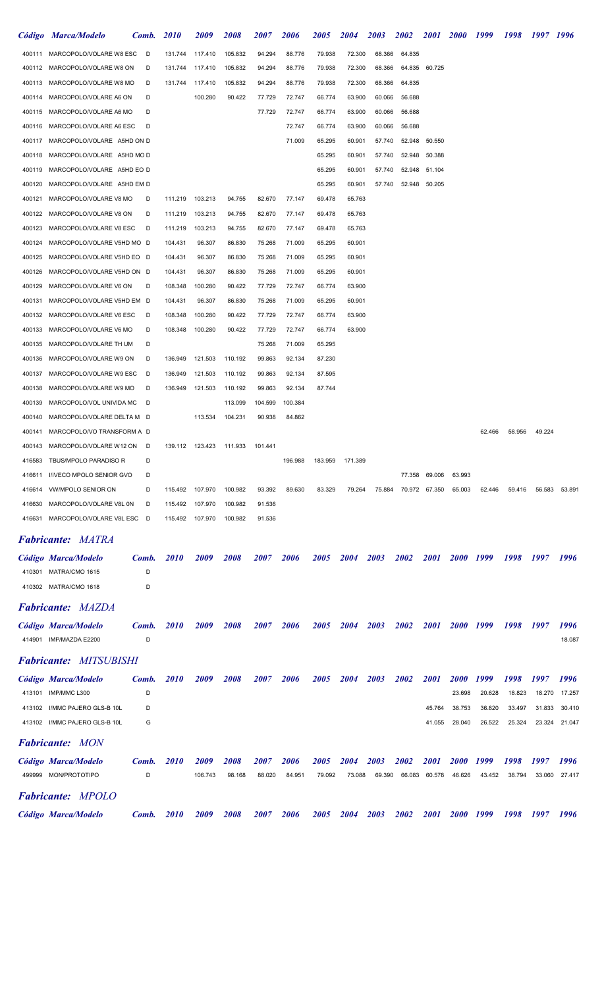|        | Código Marca/Modelo             | Comb. | <i>2010</i> | 2009               | <i><b>2008</b></i>                 | <i><b>2007</b></i> | 2006    | <i>2005</i>        | <b>2004</b>        | <b>2003</b> | 2002               | 2001        | <i>2000</i>        | 1999   | 1998   | 1997 1996 |        |
|--------|---------------------------------|-------|-------------|--------------------|------------------------------------|--------------------|---------|--------------------|--------------------|-------------|--------------------|-------------|--------------------|--------|--------|-----------|--------|
|        | 400111 MARCOPOLO/VOLARE W8 ESC  | D     | 131.744     | 117.410            | 105.832                            | 94.294             | 88.776  | 79.938             | 72.300             | 68.366      | 64.835             |             |                    |        |        |           |        |
| 400112 | MARCOPOLO/VOLARE W8 ON          | D     | 131.744     | 117.410            | 105.832                            | 94.294             | 88.776  | 79.938             | 72.300             | 68.366      | 64.835             | 60.725      |                    |        |        |           |        |
| 400113 | MARCOPOLO/VOLARE W8 MO          | D     | 131.744     | 117.410            | 105.832                            | 94.294             | 88.776  | 79.938             | 72.300             | 68.366      | 64.835             |             |                    |        |        |           |        |
| 400114 | MARCOPOLO/VOLARE A6 ON          | D     |             | 100.280            | 90.422                             | 77.729             | 72.747  | 66.774             | 63.900             | 60.066      | 56.688             |             |                    |        |        |           |        |
| 400115 | MARCOPOLO/VOLARE A6 MO          | D     |             |                    |                                    | 77.729             | 72.747  | 66.774             | 63.900             | 60.066      | 56.688             |             |                    |        |        |           |        |
| 400116 | MARCOPOLO/VOLARE A6 ESC         | D     |             |                    |                                    |                    | 72.747  | 66.774             | 63.900             | 60.066      | 56.688             |             |                    |        |        |           |        |
| 400117 | MARCOPOLO/VOLARE A5HD ON D      |       |             |                    |                                    |                    | 71.009  | 65.295             | 60.901             | 57.740      | 52.948             | 50.550      |                    |        |        |           |        |
| 400118 | MARCOPOLO/VOLARE A5HD MO D      |       |             |                    |                                    |                    |         | 65.295             | 60.901             | 57.740      | 52.948             | 50.388      |                    |        |        |           |        |
| 400119 | MARCOPOLO/VOLARE A5HD EO D      |       |             |                    |                                    |                    |         | 65.295             | 60.901             | 57.740      | 52.948             | 51.104      |                    |        |        |           |        |
| 400120 | MARCOPOLO/VOLARE A5HD EM D      |       |             |                    |                                    |                    |         | 65.295             | 60.901             | 57.740      | 52.948             | 50.205      |                    |        |        |           |        |
| 400121 | MARCOPOLO/VOLARE V8 MO          | D     | 111.219     | 103.213            | 94.755                             | 82.670             | 77.147  | 69.478             | 65.763             |             |                    |             |                    |        |        |           |        |
| 400122 | MARCOPOLO/VOLARE V8 ON          | D     | 111.219     | 103.213            | 94.755                             | 82.670             | 77.147  | 69.478             | 65.763             |             |                    |             |                    |        |        |           |        |
| 400123 | MARCOPOLO/VOLARE V8 ESC         | D     | 111.219     | 103.213            | 94.755                             | 82.670             | 77.147  | 69.478             | 65.763             |             |                    |             |                    |        |        |           |        |
| 400124 | MARCOPOLO/VOLARE V5HD MO D      |       | 104.431     | 96.307             | 86.830                             | 75.268             | 71.009  | 65.295             | 60.901             |             |                    |             |                    |        |        |           |        |
| 400125 | MARCOPOLO/VOLARE V5HD EO D      |       | 104.431     | 96.307             | 86.830                             | 75.268             | 71.009  | 65.295             | 60.901             |             |                    |             |                    |        |        |           |        |
| 400126 | MARCOPOLO/VOLARE V5HD ON D      |       | 104.431     | 96.307             | 86.830                             | 75.268             | 71.009  | 65.295             | 60.901             |             |                    |             |                    |        |        |           |        |
| 400129 | MARCOPOLO/VOLARE V6 ON          | D     | 108.348     | 100.280            | 90.422                             | 77.729             | 72.747  | 66.774             | 63.900             |             |                    |             |                    |        |        |           |        |
| 400131 | MARCOPOLO/VOLARE V5HD EM D      |       | 104.431     | 96.307             | 86.830                             | 75.268             | 71.009  | 65.295             | 60.901             |             |                    |             |                    |        |        |           |        |
| 400132 | MARCOPOLO/VOLARE V6 ESC         | D     | 108.348     | 100.280            | 90.422                             | 77.729             | 72.747  | 66.774             | 63.900             |             |                    |             |                    |        |        |           |        |
| 400133 | MARCOPOLO/VOLARE V6 MO          | D     | 108.348     | 100.280            | 90.422                             | 77.729             | 72.747  | 66.774             | 63.900             |             |                    |             |                    |        |        |           |        |
|        |                                 |       |             |                    |                                    |                    |         |                    |                    |             |                    |             |                    |        |        |           |        |
| 400135 | MARCOPOLO/VOLARE TH UM          | D     |             |                    |                                    | 75.268             | 71.009  | 65.295             |                    |             |                    |             |                    |        |        |           |        |
| 400136 | MARCOPOLO/VOLARE W9 ON          | D     | 136.949     | 121.503            | 110.192                            | 99.863             | 92.134  | 87.230             |                    |             |                    |             |                    |        |        |           |        |
| 400137 | MARCOPOLO/VOLARE W9 ESC         | D     | 136.949     | 121.503            | 110.192                            | 99.863             | 92.134  | 87.595             |                    |             |                    |             |                    |        |        |           |        |
| 400138 | MARCOPOLO/VOLARE W9 MO          | D     | 136.949     | 121.503            | 110.192                            | 99.863             | 92.134  | 87.744             |                    |             |                    |             |                    |        |        |           |        |
| 400139 | MARCOPOLO/VOL UNIVIDA MC        | D     |             |                    | 113.099                            | 104.599            | 100.384 |                    |                    |             |                    |             |                    |        |        |           |        |
| 400140 | MARCOPOLO/VOLARE DELTA M D      |       |             | 113.534            | 104.231                            | 90.938             | 84.862  |                    |                    |             |                    |             |                    |        |        |           |        |
| 400141 | MARCOPOLO/VO TRANSFORM A D      |       |             |                    |                                    |                    |         |                    |                    |             |                    |             |                    | 62.466 | 58.956 | 49.224    |        |
| 400143 | MARCOPOLO/VOLARE W12 ON D       |       |             |                    | 139.112  123.423  111.933  101.441 |                    |         |                    |                    |             |                    |             |                    |        |        |           |        |
| 416583 | TBUS/MPOLO PARADISO R           | D     |             |                    |                                    |                    | 196.988 | 183.959            | 171.389            |             |                    |             |                    |        |        |           |        |
|        | 416611 I/IVECO MPOLO SENIOR GVO | D     |             |                    |                                    |                    |         |                    |                    |             | 77.358             | 69.006      | 63.993             |        |        |           |        |
| 416614 | <b>VW/MPOLO SENIOR ON</b>       | D     | 115.492     | 107.970            | 100.982                            | 93.392             | 89.630  | 83.329             | 79.264             | 75.884      | 70.972             | 67.350      | 65.003             | 62.446 | 59.416 | 56.583    | 53.891 |
| 416630 | MARCOPOLO/VOLARE V8L 0N         | D     | 115.492     | 107.970            | 100.982                            | 91.536             |         |                    |                    |             |                    |             |                    |        |        |           |        |
| 416631 | MARCOPOLO/VOLARE V8L ESC        | D     | 115.492     | 107.970            | 100.982                            | 91.536             |         |                    |                    |             |                    |             |                    |        |        |           |        |
|        | <b>Fabricante: MATRA</b>        |       |             |                    |                                    |                    |         |                    |                    |             |                    |             |                    |        |        |           |        |
|        | Código Marca/Modelo             | Comb. | <i>2010</i> | 2009               | 2008                               | <i><b>2007</b></i> | 2006    | 2005               | <i><b>2004</b></i> | 2003        | 2002               | 2001        | <b>2000</b>        | 1999   | 1998   | 1997      | 1996   |
|        | 410301 MATRA/CMO 1615           | D     |             |                    |                                    |                    |         |                    |                    |             |                    |             |                    |        |        |           |        |
|        | 410302 MATRA/CMO 1618           | D     |             |                    |                                    |                    |         |                    |                    |             |                    |             |                    |        |        |           |        |
|        |                                 |       |             |                    |                                    |                    |         |                    |                    |             |                    |             |                    |        |        |           |        |
|        | <b>Fabricante: MAZDA</b>        |       |             |                    |                                    |                    |         |                    |                    |             |                    |             |                    |        |        |           |        |
|        | Código Marca/Modelo             | Comb. | <i>2010</i> | <i><b>2009</b></i> | <i><b>2008</b></i>                 | <i><b>2007</b></i> | 2006    | 2005               | <i><b>2004</b></i> | 2003        | 2002               | <i>2001</i> | <b>2000</b>        | 1999   | 1998   | 1997      | 1996   |
|        | 414901 IMP/MAZDA E2200          | D     |             |                    |                                    |                    |         |                    |                    |             |                    |             |                    |        |        |           | 18.087 |
|        |                                 |       |             |                    |                                    |                    |         |                    |                    |             |                    |             |                    |        |        |           |        |
|        | <b>Fabricante: MITSUBISHI</b>   |       |             |                    |                                    |                    |         |                    |                    |             |                    |             |                    |        |        |           |        |
|        | Código Marca/Modelo             | Comb. | <i>2010</i> | <i><b>2009</b></i> | <i>2008</i>                        | <i><b>2007</b></i> | 2006    | 2005               | <i><b>2004</b></i> | 2003        | 2002               | <i>2001</i> | <i>2000</i>        | 1999   | 1998   | 1997      | 1996   |
|        | 413101 IMP/MMC L300             | D     |             |                    |                                    |                    |         |                    |                    |             |                    |             | 23.698             | 20.628 | 18.823 | 18.270    | 17.257 |
|        | 413102 I/MMC PAJERO GLS-B 10L   | D     |             |                    |                                    |                    |         |                    |                    |             |                    | 45.764      | 38.753             | 36.820 | 33.497 | 31.833    | 30.410 |
|        | 413102 I/MMC PAJERO GLS-B 10L   | G     |             |                    |                                    |                    |         |                    |                    |             |                    | 41.055      | 28.040             | 26.522 | 25.324 | 23.324    | 21.047 |
|        | <b>Fabricante: MON</b>          |       |             |                    |                                    |                    |         |                    |                    |             |                    |             |                    |        |        |           |        |
|        |                                 |       |             |                    |                                    |                    |         |                    |                    |             |                    |             |                    |        |        |           |        |
|        | Código Marca/Modelo             | Comb. | <i>2010</i> | 2009               | <i><b>2008</b></i>                 | <i><b>2007</b></i> | 2006    | <i><b>2005</b></i> | <i>2004</i>        | 2003        | <i><b>2002</b></i> | <i>2001</i> | <i><b>2000</b></i> | 1999   | 1998   | 1997      | 1996   |
|        | 499999 MON/PROTOTIPO            | D     |             | 106.743            | 98.168                             | 88.020             | 84.951  | 79.092             | 73.088             | 69.390      | 66.083             | 60.578      | 46.626             | 43.452 | 38.794 | 33.060    | 27.417 |
|        | <b>Fabricante: MPOLO</b>        |       |             |                    |                                    |                    |         |                    |                    |             |                    |             |                    |        |        |           |        |
|        | Código Marca/Modelo             | Comb. | <i>2010</i> | 2009               | 2008                               | <i><b>2007</b></i> | 2006    | 2005               | <i><b>2004</b></i> | 2003        | <i><b>2002</b></i> | <b>2001</b> | <i>2000</i>        | 1999   | 1998   | 1997      | 1996   |
|        |                                 |       |             |                    |                                    |                    |         |                    |                    |             |                    |             |                    |        |        |           |        |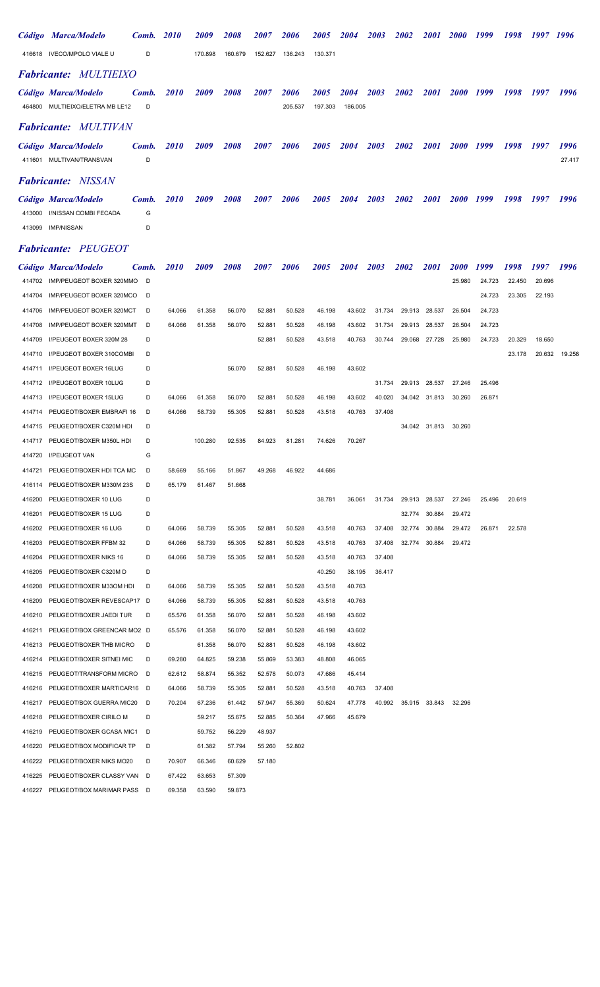|                  | Código Marca/Modelo                                  | Comb.    | <b>2010</b>      | <i>2009</i>        | 2008               | <i><b>2007</b></i> | 2006               | <i><b>2005</b></i> | <i><b>2004</b></i> | <i><b>2003</b></i> | <i><b>2002</b></i> | <i>2001</i>   | <i><b>2000</b></i> | 1999   | 1998   | 1997   | 1996   |
|------------------|------------------------------------------------------|----------|------------------|--------------------|--------------------|--------------------|--------------------|--------------------|--------------------|--------------------|--------------------|---------------|--------------------|--------|--------|--------|--------|
|                  | 416618 IVECO/MPOLO VIALE U                           | D        |                  | 170.898            | 160.679            | 152.627            | 136.243            | 130.371            |                    |                    |                    |               |                    |        |        |        |        |
|                  | <b>Fabricante: MULTIEIXO</b>                         |          |                  |                    |                    |                    |                    |                    |                    |                    |                    |               |                    |        |        |        |        |
|                  | Código Marca/Modelo                                  | Comb.    | <i>2010</i>      | <i><b>2009</b></i> | 2008               | <i><b>2007</b></i> | <i><b>2006</b></i> | <i><b>2005</b></i> | <i><b>2004</b></i> | <i><b>2003</b></i> | <i><b>2002</b></i> | <i>2001</i>   | <i><b>2000</b></i> | 1999   | 1998   | 1997   | 1996   |
|                  | 464800 MULTIEIXO/ELETRA MB LE12                      | D        |                  |                    |                    |                    | 205.537            | 197.303            | 186.005            |                    |                    |               |                    |        |        |        |        |
|                  | <b>Fabricante:</b> MULTIVAN                          |          |                  |                    |                    |                    |                    |                    |                    |                    |                    |               |                    |        |        |        |        |
|                  | Código Marca/Modelo                                  | Comb.    | <i>2010</i>      | <i><b>2009</b></i> | <i><b>2008</b></i> | <i><b>2007</b></i> | <i><b>2006</b></i> | <i><b>2005</b></i> | <i><b>2004</b></i> | <i><b>2003</b></i> | 2002               | <i>2001</i>   | <i><b>2000</b></i> | 1999   | 1998   | 1997   | 1996   |
|                  | 411601 MULTIVAN/TRANSVAN                             | D        |                  |                    |                    |                    |                    |                    |                    |                    |                    |               |                    |        |        |        | 27.417 |
|                  | <b>Fabricante:</b> NISSAN                            |          |                  |                    |                    |                    |                    |                    |                    |                    |                    |               |                    |        |        |        |        |
|                  | Código Marca/Modelo                                  | Comb.    | <i>2010</i>      | <i>2009</i>        | <i>2008</i>        | <i><b>2007</b></i> | <i><b>2006</b></i> | <i><b>2005</b></i> | <i><b>2004</b></i> | <i><b>2003</b></i> | <i><b>2002</b></i> | <i>2001</i>   | <i><b>2000</b></i> | 1999   | 1998   | 1997   | 1996   |
| 413000           | I/NISSAN COMBI FECADA                                | G        |                  |                    |                    |                    |                    |                    |                    |                    |                    |               |                    |        |        |        |        |
| 413099           | <b>IMP/NISSAN</b>                                    | D        |                  |                    |                    |                    |                    |                    |                    |                    |                    |               |                    |        |        |        |        |
|                  | <b>Fabricante: PEUGEOT</b>                           |          |                  |                    |                    |                    |                    |                    |                    |                    |                    |               |                    |        |        |        |        |
|                  | Código Marca/Modelo                                  | Comb.    | <i>2010</i>      | 2009               | 2008               | <i><b>2007</b></i> | 2006               | <i><b>2005</b></i> | 2004               | 2003               | 2002               | <i>2001</i>   | <i><b>2000</b></i> | 1999   | 1998   | 1997   | 1996   |
| 414702           | IMP/PEUGEOT BOXER 320MMO                             | D        |                  |                    |                    |                    |                    |                    |                    |                    |                    |               | 25.980             | 24.723 | 22.450 | 20.696 |        |
| 414704           | IMP/PEUGEOT BOXER 320MCO                             | D        |                  |                    |                    |                    |                    |                    |                    |                    |                    |               |                    | 24.723 | 23.305 | 22.193 |        |
| 414706           | IMP/PEUGEOT BOXER 320MCT                             | D        | 64.066           | 61.358             | 56.070             | 52.881             | 50.528             | 46.198             | 43.602             | 31.734             | 29.913             | 28.537        | 26.504             | 24.723 |        |        |        |
| 414708           | IMP/PEUGEOT BOXER 320MMT                             | D        | 64.066           | 61.358             | 56.070             | 52.881             | 50.528             | 46.198             | 43.602             | 31.734             | 29.913             | 28.537        | 26.504             | 24.723 |        |        |        |
| 414709           | I/PEUGEOT BOXER 320M 28                              | D        |                  |                    |                    | 52.881             | 50.528             | 43.518             | 40.763             | 30.744             | 29.068             | 27.728        | 25.980             | 24.723 | 20.329 | 18.650 |        |
| 414710           | I/PEUGEOT BOXER 310COMBI                             | D        |                  |                    |                    |                    |                    |                    |                    |                    |                    |               |                    |        | 23.178 | 20.632 | 19.258 |
| 414711           | I/PEUGEOT BOXER 16LUG                                | D        |                  |                    | 56.070             | 52.881             | 50.528             | 46.198             | 43.602             |                    |                    |               |                    |        |        |        |        |
| 414712           | I/PEUGEOT BOXER 10LUG                                | D        |                  |                    |                    |                    |                    |                    |                    | 31.734             | 29.913             | 28.537        | 27.246             | 25.496 |        |        |        |
| 414713           | I/PEUGEOT BOXER 15LUG                                | D        | 64.066           | 61.358             | 56.070             | 52.881             | 50.528             | 46.198             | 43.602             | 40.020             | 34.042             | 31.813        | 30.260             | 26.871 |        |        |        |
| 414714           | PEUGEOT/BOXER EMBRAFI 16                             | D        | 64.066           | 58.739             | 55.305             | 52.881             | 50.528             | 43.518             | 40.763             | 37.408             |                    |               |                    |        |        |        |        |
| 414715           | PEUGEOT/BOXER C320M HDI                              | D        |                  |                    |                    |                    |                    |                    |                    |                    |                    | 34.042 31.813 | 30.260             |        |        |        |        |
| 414717           | PEUGEOT/BOXER M350L HDI                              | D        |                  | 100.280            | 92.535             | 84.923             | 81.281             | 74.626             | 70.267             |                    |                    |               |                    |        |        |        |        |
|                  | 414720 I/PEUGEOT VAN                                 | G        |                  |                    |                    |                    |                    |                    |                    |                    |                    |               |                    |        |        |        |        |
| 414721           | PEUGEOT/BOXER HDI TCA MC                             | D        | 58.669           | 55.166             | 51.867             | 49.268             | 46.922             | 44.686             |                    |                    |                    |               |                    |        |        |        |        |
| 416114           | PEUGEOT/BOXER M330M 23S                              | D        | 65.179           | 61.467             | 51.668             |                    |                    |                    |                    |                    |                    |               |                    |        |        |        |        |
| 416200           | PEUGEOT/BOXER 10 LUG                                 | D        |                  |                    |                    |                    |                    | 38.781             | 36.061             | 31.734             | 29.913             | 28.537        | 27.246             | 25.496 | 20.619 |        |        |
| 416201           | PEUGEOT/BOXER 15 LUG                                 | D        |                  |                    |                    |                    |                    |                    |                    |                    | 32.774             | 30.884        | 29.472             |        |        |        |        |
| 416202           | PEUGEOT/BOXER 16 LUG                                 | D        | 64.066           | 58.739             | 55.305             | 52.881             | 50.528             | 43.518             | 40.763             | 37.408             | 32.774             | 30.884        | 29.472             | 26.871 | 22.578 |        |        |
| 416203           | PEUGEOT/BOXER FFBM 32                                | D        | 64.066           | 58.739             | 55.305             | 52.881             | 50.528             | 43.518             | 40.763             | 37.408             | 32.774             | 30.884        | 29.472             |        |        |        |        |
| 416204           | PEUGEOT/BOXER NIKS 16                                | D        | 64.066           | 58.739             | 55.305             | 52.881             | 50.528             | 43.518             | 40.763             | 37.408             |                    |               |                    |        |        |        |        |
| 416205           | PEUGEOT/BOXER C320M D                                | D        |                  |                    |                    |                    |                    | 40.250             | 38.195             | 36.417             |                    |               |                    |        |        |        |        |
| 416208           | PEUGEOT/BOXER M33OM HDI                              | D        | 64.066           | 58.739             | 55.305             | 52.881             | 50.528             | 43.518             | 40.763             |                    |                    |               |                    |        |        |        |        |
| 416209           | PEUGEOT/BOXER REVESCAP17 D                           |          | 64.066           | 58.739             | 55.305             | 52.881             | 50.528             | 43.518             | 40.763             |                    |                    |               |                    |        |        |        |        |
| 416210           | PEUGEOT/BOXER JAEDI TUR                              | D        | 65.576           | 61.358             | 56.070             | 52.881             | 50.528             | 46.198             | 43.602             |                    |                    |               |                    |        |        |        |        |
| 416211           | PEUGEOT/BOX GREENCAR MO2 D                           |          | 65.576           | 61.358             | 56.070             | 52.881             | 50.528             | 46.198             | 43.602             |                    |                    |               |                    |        |        |        |        |
| 416213           | PEUGEOT/BOXER THB MICRO                              | D        |                  | 61.358             | 56.070             | 52.881             | 50.528             | 46.198             | 43.602             |                    |                    |               |                    |        |        |        |        |
| 416214           | PEUGEOT/BOXER SITNEI MIC                             | D        | 69.280           | 64.825             | 59.238             | 55.869             | 53.383             | 48.808             | 46.065             |                    |                    |               |                    |        |        |        |        |
| 416215           | PEUGEOT/TRANSFORM MICRO                              | D        | 62.612           | 58.874             | 55.352             | 52.578             | 50.073             | 47.686             | 45.414             |                    |                    |               |                    |        |        |        |        |
| 416216<br>416217 | PEUGEOT/BOXER MARTICAR16<br>PEUGEOT/BOX GUERRA MIC20 | - D<br>D | 64.066<br>70.204 | 58.739<br>67.236   | 55.305<br>61.442   | 52.881<br>57.947   | 50.528<br>55.369   | 43.518<br>50.624   | 40.763<br>47.778   | 37.408<br>40.992   |                    | 35.915 33.843 | 32.296             |        |        |        |        |
| 416218           | PEUGEOT/BOXER CIRILO M                               | D        |                  | 59.217             | 55.675             | 52.885             | 50.364             | 47.966             | 45.679             |                    |                    |               |                    |        |        |        |        |
| 416219           | PEUGEOT/BOXER GCASA MIC1                             | D        |                  | 59.752             | 56.229             | 48.937             |                    |                    |                    |                    |                    |               |                    |        |        |        |        |
| 416220           | PEUGEOT/BOX MODIFICAR TP                             | D        |                  | 61.382             | 57.794             | 55.260             | 52.802             |                    |                    |                    |                    |               |                    |        |        |        |        |
| 416222           | PEUGEOT/BOXER NIKS MO20                              | D        | 70.907           | 66.346             | 60.629             | 57.180             |                    |                    |                    |                    |                    |               |                    |        |        |        |        |
| 416225           | PEUGEOT/BOXER CLASSY VAN                             | D        | 67.422           | 63.653             | 57.309             |                    |                    |                    |                    |                    |                    |               |                    |        |        |        |        |
| 416227           | PEUGEOT/BOX MARIMAR PASS D                           |          | 69.358           | 63.590             | 59.873             |                    |                    |                    |                    |                    |                    |               |                    |        |        |        |        |
|                  |                                                      |          |                  |                    |                    |                    |                    |                    |                    |                    |                    |               |                    |        |        |        |        |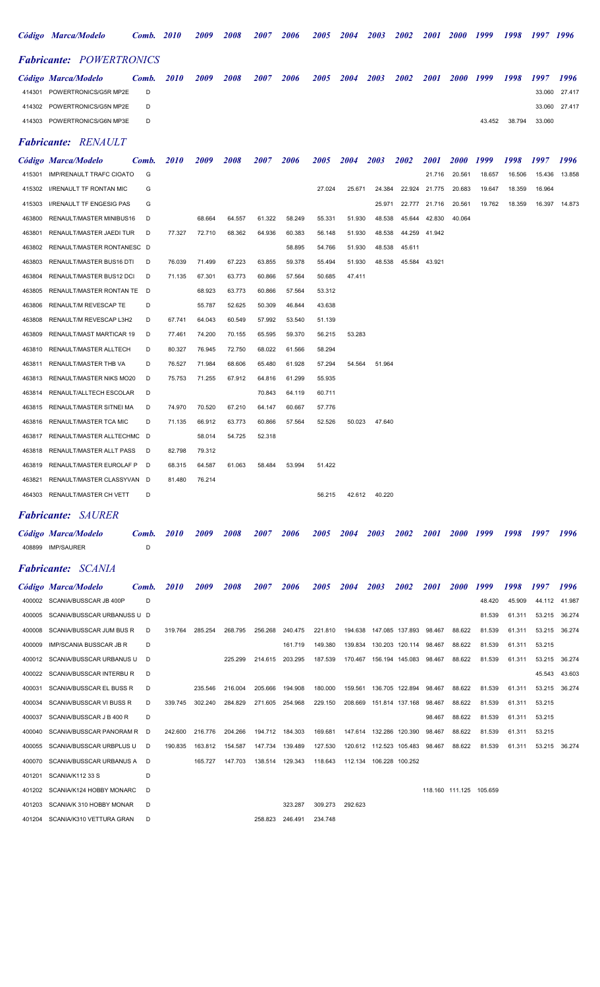|        | Código Marca/Modelo             | <b>Comb.</b> 2010 |             | 2009   | 2008   | <i><b>2007</b></i> | 2006   | <i><b>2005</b></i> | 2004   | 2003   | 2002   | <i>2001</i> | <b>2000</b>        | 1999   | 1998   | 1997 1996 |        |
|--------|---------------------------------|-------------------|-------------|--------|--------|--------------------|--------|--------------------|--------|--------|--------|-------------|--------------------|--------|--------|-----------|--------|
|        | <b>Fabricante: POWERTRONICS</b> |                   |             |        |        |                    |        |                    |        |        |        |             |                    |        |        |           |        |
|        | Código Marca/Modelo             | Comb.             | <b>2010</b> | 2009   | 2008   | 2007               | 2006   | 2005               | 2004   | 2003   | 2002   | 2001        | 2000 1999          |        | 1998   | 1997      | 1996   |
| 414301 | POWERTRONICS/G5R MP2E           | D                 |             |        |        |                    |        |                    |        |        |        |             |                    |        |        | 33.060    | 27.417 |
| 414302 | POWERTRONICS/G5N MP2E           | D                 |             |        |        |                    |        |                    |        |        |        |             |                    |        |        | 33.060    | 27.417 |
| 414303 | POWERTRONICS/G6N MP3E           | D                 |             |        |        |                    |        |                    |        |        |        |             |                    | 43.452 | 38.794 | 33.060    |        |
|        | <b>Fabricante: RENAULT</b>      |                   |             |        |        |                    |        |                    |        |        |        |             |                    |        |        |           |        |
|        | Código Marca/Modelo             | Comb.             | <b>2010</b> | 2009   | 2008   | 2007               | 2006   | 2005               | 2004   | 2003   | 2002   | 2001        | <i><b>2000</b></i> | 1999   | 1998   | 1997      | 1996   |
| 415301 | <b>IMP/RENAULT TRAFC CIOATO</b> | G                 |             |        |        |                    |        |                    |        |        |        | 21.716      | 20.561             | 18.657 | 16.506 | 15.436    | 13.858 |
| 415302 | I/RENAULT TF RONTAN MIC         | G                 |             |        |        |                    |        | 27.024             | 25.671 | 24.384 | 22.924 | 21.775      | 20.683             | 19.647 | 18.359 | 16.964    |        |
| 415303 | <b>I/RENAULT TF ENGESIG PAS</b> | G                 |             |        |        |                    |        |                    |        | 25.971 | 22.777 | 21.716      | 20.561             | 19.762 | 18.359 | 16.397    | 14.873 |
| 463800 | RENAULT/MASTER MINIBUS16        | D                 |             | 68.664 | 64.557 | 61.322             | 58.249 | 55.331             | 51.930 | 48.538 | 45.644 | 42.830      | 40.064             |        |        |           |        |
| 463801 | RENAULT/MASTER JAEDI TUR        | D                 | 77.327      | 72.710 | 68.362 | 64.936             | 60.383 | 56.148             | 51.930 | 48.538 | 44.259 | 41.942      |                    |        |        |           |        |
| 463802 | RENAULT/MASTER RONTANESC D      |                   |             |        |        |                    | 58.895 | 54.766             | 51.930 | 48.538 | 45.611 |             |                    |        |        |           |        |
| 463803 | RENAULT/MASTER BUS16 DTI        | D                 | 76.039      | 71.499 | 67.223 | 63.855             | 59.378 | 55.494             | 51.930 | 48.538 | 45.584 | 43.921      |                    |        |        |           |        |
| 463804 | RENAULT/MASTER BUS12 DCI        | D                 | 71.135      | 67.301 | 63.773 | 60.866             | 57.564 | 50.685             | 47.411 |        |        |             |                    |        |        |           |        |
| 463805 | RENAULT/MASTER RONTAN TE D      |                   |             | 68.923 | 63.773 | 60.866             | 57.564 | 53.312             |        |        |        |             |                    |        |        |           |        |
| 463806 | RENAULT/M REVESCAP TE           | D                 |             | 55.787 | 52.625 | 50.309             | 46.844 | 43.638             |        |        |        |             |                    |        |        |           |        |
| 463808 | RENAULT/M REVESCAP L3H2         | D                 | 67.741      | 64.043 | 60.549 | 57.992             | 53.540 | 51.139             |        |        |        |             |                    |        |        |           |        |
| 463809 | RENAULT/MAST MARTICAR 19        | D                 | 77.461      | 74.200 | 70.155 | 65.595             | 59.370 | 56.215             | 53.283 |        |        |             |                    |        |        |           |        |
| 463810 | RENAULT/MASTER ALLTECH          | D                 | 80.327      | 76.945 | 72.750 | 68.022             | 61.566 | 58.294             |        |        |        |             |                    |        |        |           |        |
| 463811 | RENAULT/MASTER THB VA           | D                 | 76.527      | 71.984 | 68.606 | 65.480             | 61.928 | 57.294             | 54.564 | 51.964 |        |             |                    |        |        |           |        |
| 463813 | RENAULT/MASTER NIKS MO20        | D                 | 75.753      | 71.255 | 67.912 | 64.816             | 61.299 | 55.935             |        |        |        |             |                    |        |        |           |        |
| 463814 | RENAULT/ALLTECH ESCOLAR         | D                 |             |        |        | 70.843             | 64.119 | 60.711             |        |        |        |             |                    |        |        |           |        |
| 463815 | RENAULT/MASTER SITNEI MA        | D                 | 74.970      | 70.520 | 67.210 | 64.147             | 60.667 | 57.776             |        |        |        |             |                    |        |        |           |        |

| 463816 | RENAULT/MASTER TCA MIC     | D   | 71.135 | 66.912 | 63.773 | 60.866 | 57.564 | 52.526 | 50.023 | 47.640 |
|--------|----------------------------|-----|--------|--------|--------|--------|--------|--------|--------|--------|
| 463817 | RENAULT/MASTER ALLTECHMC D |     |        | 58.014 | 54.725 | 52.318 |        |        |        |        |
| 463818 | RENAULT/MASTER ALLT PASS   | - D | 82.798 | 79.312 |        |        |        |        |        |        |
| 463819 | RENAULT/MASTER EUROLAF P   | - D | 68.315 | 64.587 | 61.063 | 58.484 | 53.994 | 51.422 |        |        |
| 463821 | RENAULT/MASTER CLASSYVAN D |     | 81.480 | 76.214 |        |        |        |        |        |        |
| 464303 | RENAULT/MASTER CH VETT     | D   |        |        |        |        |        | 56.215 | 42.612 | 40.220 |

## Fabricante: SAURER

| Código Marca/Modelo       | Comb. 2010 2009 |  | 2008 | 2007 | 2006 | 2005 2004 2003 |  | 2002 |  |  | 2001 2000 1999 1998 1997 1996 |  |
|---------------------------|-----------------|--|------|------|------|----------------|--|------|--|--|-------------------------------|--|
| 408899 IMP/SAURER         |                 |  |      |      |      |                |  |      |  |  |                               |  |
| <b>Fabricante:</b> SCANIA |                 |  |      |      |      |                |  |      |  |  |                               |  |

|        | Código Marca/Modelo             | Comb. | <i>2010</i> | 2009    | 2008    | <i><b>2007</b></i> | <i><b>2006</b></i> | 2005    | 2004    | 2003                      | 2002                   | <i>2001</i> | <b>2000</b> | 1999                    | 1998   | 1997   | 1996          |
|--------|---------------------------------|-------|-------------|---------|---------|--------------------|--------------------|---------|---------|---------------------------|------------------------|-------------|-------------|-------------------------|--------|--------|---------------|
|        | 400002 SCANIA/BUSSCAR JB 400P   | D     |             |         |         |                    |                    |         |         |                           |                        |             |             | 48.420                  | 45.909 |        | 44.112 41.987 |
| 400005 | SCANIA/BUSSCAR URBANUSS U D     |       |             |         |         |                    |                    |         |         |                           |                        |             |             | 81.539                  | 61.311 | 53.215 | 36.274        |
| 400008 | SCANIA/BUSSCAR JUM BUS R        | D     | 319.764     | 285.254 | 268.795 | 256.268            | 240.475            | 221.810 | 194.638 |                           | 147.085 137.893        | 98.467      | 88.622      | 81.539                  | 61.311 | 53.215 | 36.274        |
| 400009 | <b>IMP/SCANIA BUSSCAR JB R</b>  | D     |             |         |         |                    | 161.719            | 149.380 | 139.834 |                           | 130.203 120.114        | 98.467      | 88.622      | 81.539                  | 61.311 | 53.215 |               |
| 400012 | SCANIA/BUSSCAR URBANUS U        | D     |             |         | 225.299 | 214.615            | 203.295            | 187.539 | 170.467 |                           | 156.194 145.083 98.467 |             | 88.622      | 81.539                  | 61.311 | 53.215 | 36.274        |
| 400022 | SCANIA/BUSSCAR INTERBU R        | D     |             |         |         |                    |                    |         |         |                           |                        |             |             |                         |        | 45.543 | 43.603        |
| 400031 | <b>SCANIA/BUSSCAR EL BUSS R</b> | D     |             | 235.546 | 216,004 | 205.666            | 194.908            | 180,000 | 159.561 |                           | 136.705 122.894        | 98.467      | 88.622      | 81.539                  | 61.311 | 53.215 | 36.274        |
| 400034 | <b>SCANIA/BUSSCAR VI BUSS R</b> | D     | 339.745     | 302.240 | 284.829 | 271.605            | 254.968            | 229.150 | 208.669 |                           | 151.814 137.168        | 98.467      | 88.622      | 81.539                  | 61.311 | 53.215 |               |
| 400037 | SCANIA/BUSSCAR J B 400 R        | D     |             |         |         |                    |                    |         |         |                           |                        | 98.467      | 88.622      | 81.539                  | 61.311 | 53.215 |               |
| 400040 | SCANIA/BUSSCAR PANORAM R        | D     | 242.600     | 216,776 | 204.266 | 194.712            | 184.303            | 169.681 |         | 147.614  132.286  120.390 |                        | 98.467      | 88.622      | 81.539                  | 61.311 | 53.215 |               |
| 400055 | SCANIA/BUSSCAR URBPLUS U        | D     | 190.835     | 163.812 | 154.587 |                    | 147.734 139.489    | 127.530 |         | 120.612  112.523  105.483 |                        | 98.467      | 88.622      | 81.539                  | 61.311 | 53.215 | 36.274        |
| 400070 | SCANIA/BUSSCAR URBANUS A        | D     |             | 165.727 | 147.703 | 138.514            | 129.343            | 118.643 |         | 112.134 106.228 100.252   |                        |             |             |                         |        |        |               |
| 401201 | SCANIA/K112 33 S                | D     |             |         |         |                    |                    |         |         |                           |                        |             |             |                         |        |        |               |
| 401202 | SCANIA/K124 HOBBY MONARC        | D     |             |         |         |                    |                    |         |         |                           |                        |             |             | 118.160 111.125 105.659 |        |        |               |
| 401203 | SCANIA/K 310 HOBBY MONAR        | D     |             |         |         |                    | 323.287            | 309.273 | 292.623 |                           |                        |             |             |                         |        |        |               |
| 401204 | SCANIA/K310 VETTURA GRAN        | D     |             |         |         | 258.823            | 246.491            | 234.748 |         |                           |                        |             |             |                         |        |        |               |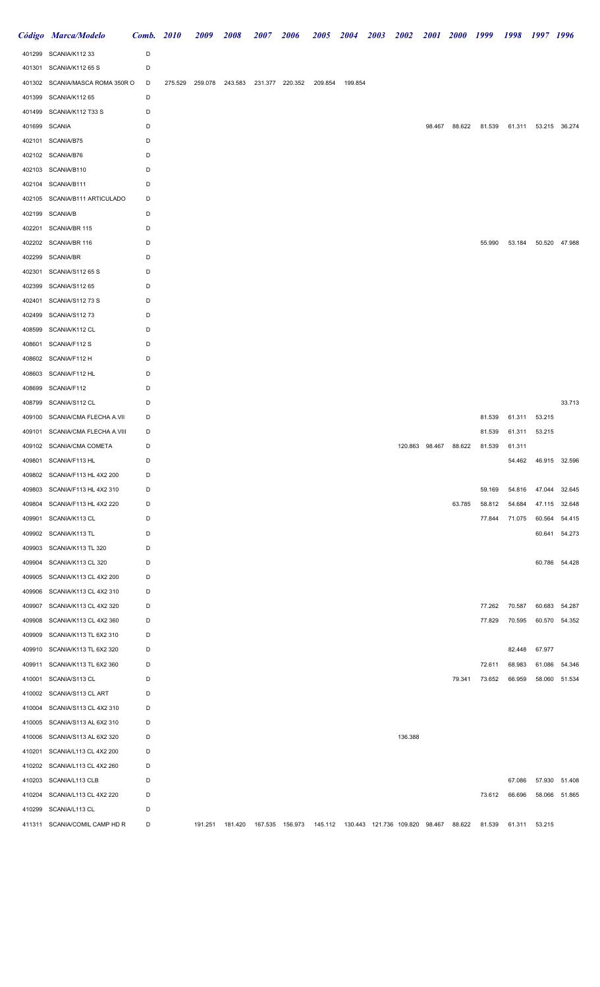|               | Código Marca/Modelo             | <b>Comb.</b> 2010 | 2009 | 2008                                    | 2007 | 2006 | 2005    | 2004    | <b>2003</b> | 2002                                                                                               | 2001 2000 |                       | 1999   | 1998 1997 1996 |                      |               |
|---------------|---------------------------------|-------------------|------|-----------------------------------------|------|------|---------|---------|-------------|----------------------------------------------------------------------------------------------------|-----------|-----------------------|--------|----------------|----------------------|---------------|
|               | 401299 SCANIA/K112 33           | D                 |      |                                         |      |      |         |         |             |                                                                                                    |           |                       |        |                |                      |               |
|               | 401301 SCANIA/K112 65 S         | D                 |      |                                         |      |      |         |         |             |                                                                                                    |           |                       |        |                |                      |               |
|               | 401302 SCANIA/MASCA ROMA 350R O | D                 |      | 275.529 259.078 243.583 231.377 220.352 |      |      | 209.854 | 199.854 |             |                                                                                                    |           |                       |        |                |                      |               |
|               | 401399 SCANIA/K112 65           | D                 |      |                                         |      |      |         |         |             |                                                                                                    |           |                       |        |                |                      |               |
|               | 401499 SCANIA/K112 T33 S        | D                 |      |                                         |      |      |         |         |             |                                                                                                    |           |                       |        |                |                      |               |
| 401699 SCANIA |                                 | D                 |      |                                         |      |      |         |         |             |                                                                                                    | 98.467    | 88.622                | 81.539 |                | 61.311 53.215 36.274 |               |
|               | 402101 SCANIA/B75               | D                 |      |                                         |      |      |         |         |             |                                                                                                    |           |                       |        |                |                      |               |
|               | 402102 SCANIA/B76               | D                 |      |                                         |      |      |         |         |             |                                                                                                    |           |                       |        |                |                      |               |
|               | 402103 SCANIA/B110              | D                 |      |                                         |      |      |         |         |             |                                                                                                    |           |                       |        |                |                      |               |
|               | 402104 SCANIA/B111              | D                 |      |                                         |      |      |         |         |             |                                                                                                    |           |                       |        |                |                      |               |
|               | 402105 SCANIA/B111 ARTICULADO   | D                 |      |                                         |      |      |         |         |             |                                                                                                    |           |                       |        |                |                      |               |
|               | 402199 SCANIA/B                 | D                 |      |                                         |      |      |         |         |             |                                                                                                    |           |                       |        |                |                      |               |
| 402201        | SCANIA/BR 115                   | D                 |      |                                         |      |      |         |         |             |                                                                                                    |           |                       |        |                |                      |               |
|               | 402202 SCANIA/BR 116            | D                 |      |                                         |      |      |         |         |             |                                                                                                    |           |                       | 55.990 | 53.184         |                      | 50.520 47.988 |
| 402299        | SCANIA/BR                       | D                 |      |                                         |      |      |         |         |             |                                                                                                    |           |                       |        |                |                      |               |
| 402301        | SCANIA/S112 65 S                | D                 |      |                                         |      |      |         |         |             |                                                                                                    |           |                       |        |                |                      |               |
| 402399        | SCANIA/S112 65                  | D                 |      |                                         |      |      |         |         |             |                                                                                                    |           |                       |        |                |                      |               |
|               | 402401 SCANIA/S112 73 S         | D                 |      |                                         |      |      |         |         |             |                                                                                                    |           |                       |        |                |                      |               |
|               |                                 | D                 |      |                                         |      |      |         |         |             |                                                                                                    |           |                       |        |                |                      |               |
| 402499        | SCANIA/S11273<br>SCANIA/K112 CL | D                 |      |                                         |      |      |         |         |             |                                                                                                    |           |                       |        |                |                      |               |
| 408599        |                                 |                   |      |                                         |      |      |         |         |             |                                                                                                    |           |                       |        |                |                      |               |
| 408601        | SCANIA/F112 S                   | D                 |      |                                         |      |      |         |         |             |                                                                                                    |           |                       |        |                |                      |               |
|               | 408602 SCANIA/F112 H            | D                 |      |                                         |      |      |         |         |             |                                                                                                    |           |                       |        |                |                      |               |
| 408603        | SCANIA/F112 HL                  | D                 |      |                                         |      |      |         |         |             |                                                                                                    |           |                       |        |                |                      |               |
| 408699        | SCANIA/F112                     | D                 |      |                                         |      |      |         |         |             |                                                                                                    |           |                       |        |                |                      |               |
| 408799        | SCANIA/S112 CL                  | D                 |      |                                         |      |      |         |         |             |                                                                                                    |           |                       |        |                |                      | 33.713        |
|               | 409100 SCANIA/CMA FLECHA A.VII  | D                 |      |                                         |      |      |         |         |             |                                                                                                    |           |                       | 81.539 | 61.311         | 53.215               |               |
|               | 409101 SCANIA/CMA FLECHA A.VIII | D                 |      |                                         |      |      |         |         |             |                                                                                                    |           |                       | 81.539 | 61.311         | 53.215               |               |
|               | 409102 SCANIA/CMA COMETA        | D                 |      |                                         |      |      |         |         |             |                                                                                                    |           | 120.863 98.467 88.622 | 81.539 | 61.311         |                      |               |
|               | 409801 SCANIA/F113 HL           | D                 |      |                                         |      |      |         |         |             |                                                                                                    |           |                       |        | 54.462         |                      | 46.915 32.596 |
|               | 409802 SCANIA/F113 HL 4X2 200   | D                 |      |                                         |      |      |         |         |             |                                                                                                    |           |                       |        |                |                      |               |
| 409803        | SCANIA/F113 HL 4X2 310          | D                 |      |                                         |      |      |         |         |             |                                                                                                    |           |                       | 59.169 | 54.816         | 47.044               | 32.645        |
| 409804        | SCANIA/F113 HL 4X2 220          | D                 |      |                                         |      |      |         |         |             |                                                                                                    |           | 63.785                | 58.812 | 54.684         |                      | 47.115 32.648 |
| 409901        | SCANIA/K113 CL                  | D                 |      |                                         |      |      |         |         |             |                                                                                                    |           |                       | 77.844 | 71.075         | 60.564               | 54.415        |
| 409902        | SCANIA/K113 TL                  | D                 |      |                                         |      |      |         |         |             |                                                                                                    |           |                       |        |                |                      | 60.641 54.273 |
| 409903        | SCANIA/K113 TL 320              | D                 |      |                                         |      |      |         |         |             |                                                                                                    |           |                       |        |                |                      |               |
| 409904        | SCANIA/K113 CL 320              | D                 |      |                                         |      |      |         |         |             |                                                                                                    |           |                       |        |                |                      | 60.786 54.428 |
| 409905        | SCANIA/K113 CL 4X2 200          | D                 |      |                                         |      |      |         |         |             |                                                                                                    |           |                       |        |                |                      |               |
| 409906        | SCANIA/K113 CL 4X2 310          | D                 |      |                                         |      |      |         |         |             |                                                                                                    |           |                       |        |                |                      |               |
| 409907        | SCANIA/K113 CL 4X2 320          | D                 |      |                                         |      |      |         |         |             |                                                                                                    |           |                       | 77.262 | 70.587         | 60.683               | 54.287        |
| 409908        | SCANIA/K113 CL 4X2 360          | D                 |      |                                         |      |      |         |         |             |                                                                                                    |           |                       | 77.829 | 70.595         |                      | 60.570 54.352 |
| 409909        | SCANIA/K113 TL 6X2 310          | D                 |      |                                         |      |      |         |         |             |                                                                                                    |           |                       |        |                |                      |               |
| 409910        | SCANIA/K113 TL 6X2 320          | D                 |      |                                         |      |      |         |         |             |                                                                                                    |           |                       |        | 82.448         | 67.977               |               |
| 409911        | SCANIA/K113 TL 6X2 360          | D                 |      |                                         |      |      |         |         |             |                                                                                                    |           |                       | 72.611 | 68.983         | 61.086               | 54.346        |
| 410001        | SCANIA/S113 CL                  | D                 |      |                                         |      |      |         |         |             |                                                                                                    |           | 79.341                | 73.652 | 66.959         | 58.060               | 51.534        |
| 410002        | SCANIA/S113 CL ART              | D                 |      |                                         |      |      |         |         |             |                                                                                                    |           |                       |        |                |                      |               |
| 410004        | SCANIA/S113 CL 4X2 310          | D                 |      |                                         |      |      |         |         |             |                                                                                                    |           |                       |        |                |                      |               |
| 410005        | SCANIA/S113 AL 6X2 310          | D                 |      |                                         |      |      |         |         |             |                                                                                                    |           |                       |        |                |                      |               |
| 410006        | SCANIA/S113 AL 6X2 320          | D                 |      |                                         |      |      |         |         |             | 136.388                                                                                            |           |                       |        |                |                      |               |
| 410201        | SCANIA/L113 CL 4X2 200          | D                 |      |                                         |      |      |         |         |             |                                                                                                    |           |                       |        |                |                      |               |
| 410202        | SCANIA/L113 CL 4X2 260          | D                 |      |                                         |      |      |         |         |             |                                                                                                    |           |                       |        |                |                      |               |
| 410203        | SCANIA/L113 CLB                 | D                 |      |                                         |      |      |         |         |             |                                                                                                    |           |                       |        | 67.086         | 57.930               | 51.408        |
| 410204        | SCANIA/L113 CL 4X2 220          | D                 |      |                                         |      |      |         |         |             |                                                                                                    |           |                       | 73.612 | 66.696         | 58.066               | 51.865        |
| 410299        | SCANIA/L113 CL                  | D                 |      |                                         |      |      |         |         |             |                                                                                                    |           |                       |        |                |                      |               |
|               | 411311 SCANIA/COMIL CAMP HD R   | D                 |      |                                         |      |      |         |         |             | 191.251 181.420 167.535 156.973 145.112 130.443 121.736 109.820 98.467 88.622 81.539 61.311 53.215 |           |                       |        |                |                      |               |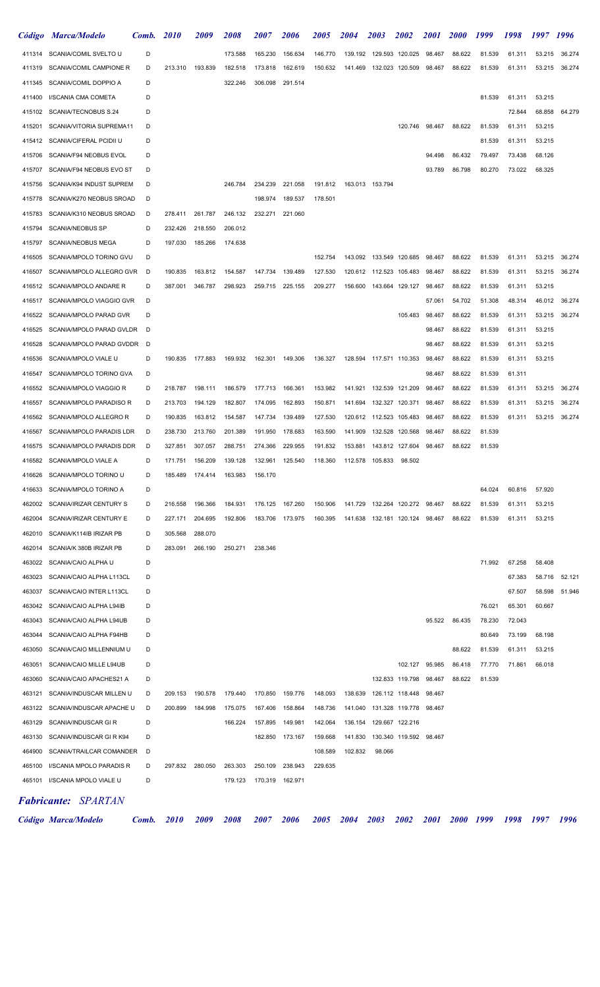|        | Código Marca/Modelo            | Comb. | 2010    | <i>2009</i> | <i><b>2008</b></i> | <i><b>2007</b></i> | <i><b>2006</b></i> | <i><b>2005</b></i> | <b>2004</b> | <i><b>2003</b></i>        | <i><b>2002</b></i> | <i>2001</i> | <i>2000</i> | 1999   | 1998   | 1997   | 1996          |
|--------|--------------------------------|-------|---------|-------------|--------------------|--------------------|--------------------|--------------------|-------------|---------------------------|--------------------|-------------|-------------|--------|--------|--------|---------------|
| 411314 | SCANIA/COMIL SVELTO U          | D     |         |             | 173.588            | 165.230            | 156.634            | 146.770            | 139.192     |                           | 129.593 120.025    | 98.467      | 88.622      | 81.539 | 61.311 | 53.215 | 36.274        |
| 411319 | SCANIA/COMIL CAMPIONE R        | D     | 213.310 | 193.839     | 182.518            | 173.818            | 162.619            | 150.632            |             | 141.469  132.023  120.509 |                    | 98.467      | 88.622      | 81.539 | 61.311 |        | 53.215 36.274 |
| 411345 | SCANIA/COMIL DOPPIO A          | D     |         |             | 322.246            | 306.098            | 291.514            |                    |             |                           |                    |             |             |        |        |        |               |
| 411400 | I/SCANIA CMA COMETA            | D     |         |             |                    |                    |                    |                    |             |                           |                    |             |             | 81.539 | 61.311 | 53.215 |               |
| 415102 | SCANIA/TECNOBUS S.24           | D     |         |             |                    |                    |                    |                    |             |                           |                    |             |             |        | 72.844 | 68.858 | 64.279        |
| 415201 | SCANIA/VITORIA SUPREMA11       | D     |         |             |                    |                    |                    |                    |             |                           | 120.746            | 98.467      | 88.622      | 81.539 | 61.311 | 53.215 |               |
| 415412 | <b>SCANIA/CIFERAL PCIDII U</b> | D     |         |             |                    |                    |                    |                    |             |                           |                    |             |             | 81.539 | 61.311 | 53.215 |               |
| 415706 | SCANIA/F94 NEOBUS EVOL         | D     |         |             |                    |                    |                    |                    |             |                           |                    | 94.498      | 86.432      | 79.497 | 73.438 | 68.126 |               |
| 415707 | SCANIA/F94 NEOBUS EVO ST       | D     |         |             |                    |                    |                    |                    |             |                           |                    | 93.789      | 86.798      | 80.270 | 73.022 | 68.325 |               |
| 415756 | SCANIA/K94 INDUST SUPREM       | D     |         |             | 246.784            | 234.239            | 221.058            | 191.812            |             | 163.013 153.794           |                    |             |             |        |        |        |               |
| 415778 | SCANIA/K270 NEOBUS SROAD       | D     |         |             |                    | 198.974            | 189.537            | 178.501            |             |                           |                    |             |             |        |        |        |               |
| 415783 | SCANIA/K310 NEOBUS SROAD       | D     | 278.411 | 261.787     | 246.132            | 232.271            | 221.060            |                    |             |                           |                    |             |             |        |        |        |               |
| 415794 | <b>SCANIA/NEOBUS SP</b>        | D     | 232.426 | 218.550     | 206.012            |                    |                    |                    |             |                           |                    |             |             |        |        |        |               |
| 415797 | <b>SCANIA/NEOBUS MEGA</b>      | D     | 197.030 | 185.266     | 174.638            |                    |                    |                    |             |                           |                    |             |             |        |        |        |               |
| 416505 | SCANIA/MPOLO TORINO GVU        | D     |         |             |                    |                    |                    | 152.754            |             | 143.092  133.549  120.685 |                    | 98.467      | 88.622      | 81.539 | 61.311 | 53.215 | 36.274        |
| 416507 | SCANIA/MPOLO ALLEGRO GVR       | D     | 190.835 | 163.812     | 154.587            | 147.734            | 139.489            | 127.530            |             | 120.612 112.523 105.483   |                    | 98.467      | 88.622      | 81.539 | 61.311 | 53.215 | 36.274        |
| 416512 | SCANIA/MPOLO ANDARE R          | D     | 387.001 | 346.787     | 298.923            | 259.715            | 225.155            | 209.277            |             | 156.600  143.664  129.127 |                    | 98.467      | 88.622      | 81.539 | 61.311 | 53.215 |               |
| 416517 | SCANIA/MPOLO VIAGGIO GVR       | D     |         |             |                    |                    |                    |                    |             |                           |                    | 57.061      | 54.702      | 51.308 | 48.314 | 46.012 | 36.274        |
| 416522 | SCANIA/MPOLO PARAD GVR         | D     |         |             |                    |                    |                    |                    |             |                           | 105.483            | 98.467      | 88.622      | 81.539 | 61.311 | 53.215 | 36.274        |
| 416525 | SCANIA/MPOLO PARAD GVLDR       | D     |         |             |                    |                    |                    |                    |             |                           |                    | 98.467      | 88.622      | 81.539 | 61.311 | 53.215 |               |
| 416528 | SCANIA/MPOLO PARAD GVDDR       | D     |         |             |                    |                    |                    |                    |             |                           |                    | 98.467      | 88.622      | 81.539 | 61.311 | 53.215 |               |
| 416536 | SCANIA/MPOLO VIALE U           | D     | 190.835 | 177.883     | 169.932            | 162.301            | 149.306            | 136.327            |             | 128.594 117.571 110.353   |                    | 98.467      | 88.622      | 81.539 | 61.311 | 53.215 |               |
| 416547 | SCANIA/MPOLO TORINO GVA        | D     |         |             |                    |                    |                    |                    |             |                           |                    | 98.467      | 88.622      | 81.539 | 61.311 |        |               |
|        |                                |       |         |             |                    |                    |                    |                    |             |                           |                    |             |             |        |        |        |               |
| 416552 | SCANIA/MPOLO VIAGGIO R         | D     | 218.787 | 198.111     | 186.579            | 177.713            | 166.361            | 153.982            | 141.921     |                           | 132.539 121.209    | 98.467      | 88.622      | 81.539 | 61.311 | 53.215 | 36.274        |
| 416557 | SCANIA/MPOLO PARADISO R        | D     | 213.703 | 194.129     | 182.807            | 174.095            | 162.893            | 150.871            | 141.694     |                           | 132.327 120.371    | 98.467      | 88.622      | 81.539 | 61.311 | 53.215 | 36.274        |
| 416562 | SCANIA/MPOLO ALLEGRO R         | D     | 190.835 | 163.812     | 154.587            | 147.734            | 139.489            | 127.530            | 120.612     | 112.523 105.483           |                    | 98.467      | 88.622      | 81.539 | 61.311 | 53.215 | 36.274        |
| 416567 | SCANIA/MPOLO PARADIS LDR       | D     | 238.730 | 213.760     | 201.389            | 191.950            | 178.683            | 163.590            | 141.909     | 132.528 120.568           |                    | 98.467      | 88.622      | 81.539 |        |        |               |
| 416575 | SCANIA/MPOLO PARADIS DDR       | D     | 327.851 | 307.057     | 288.751            | 274.366            | 229.955            | 191.832            | 153.881     |                           | 143.812 127.604    | 98.467      | 88.622      | 81.539 |        |        |               |
| 416582 | SCANIA/MPOLO VIALE A           | D     | 171.751 | 156.209     | 139.128            | 132.961            | 125.540            | 118.360            | 112.578     | 105.833                   | 98.502             |             |             |        |        |        |               |
| 416626 | SCANIA/MPOLO TORINO U          | D     | 185.489 | 174.414     | 163.983            | 156.170            |                    |                    |             |                           |                    |             |             |        |        |        |               |
| 416633 | SCANIA/MPOLO TORINO A          | D     |         |             |                    |                    |                    |                    |             |                           |                    |             |             | 64.024 | 60.816 | 57.920 |               |
| 462002 | SCANIA/IRIZAR CENTURY S        | D     | 216.558 | 196.366     | 184.931            | 176.125            | 167.260            | 150.906            | 141.729     |                           | 132.264 120.272    | 98.467      | 88.622      | 81.539 | 61.311 | 53.215 |               |
| 462004 | SCANIA/IRIZAR CENTURY E        | D     | 227.171 | 204.695     | 192.806            | 183.706            | 173.975            | 160.395            | 141.638     |                           | 132.181 120.124    | 98.467      | 88.622      | 81.539 | 61.311 | 53.215 |               |
| 462010 | SCANIA/K114IB IRIZAR PB        | D     | 305.568 | 288.070     |                    |                    |                    |                    |             |                           |                    |             |             |        |        |        |               |
| 462014 | SCANIA/K 380B IRIZAR PB        | D     | 283.091 | 266.190     | 250.271            | 238.346            |                    |                    |             |                           |                    |             |             |        |        |        |               |
| 463022 | SCANIA/CAIO ALPHA U            | D     |         |             |                    |                    |                    |                    |             |                           |                    |             |             | 71.992 | 67.258 | 58.408 |               |
| 463023 | SCANIA/CAIO ALPHA L113CL       | D     |         |             |                    |                    |                    |                    |             |                           |                    |             |             |        | 67.383 | 58.716 | 52.121        |
| 463037 | SCANIA/CAIO INTER L113CL       | D     |         |             |                    |                    |                    |                    |             |                           |                    |             |             |        | 67.507 |        | 58.598 51.946 |
| 463042 | SCANIA/CAIO ALPHA L94IB        | D     |         |             |                    |                    |                    |                    |             |                           |                    |             |             | 76.021 | 65.301 | 60.667 |               |
| 463043 | SCANIA/CAIO ALPHA L94UB        | D     |         |             |                    |                    |                    |                    |             |                           |                    | 95.522      | 86.435      | 78.230 | 72.043 |        |               |
| 463044 | SCANIA/CAIO ALPHA F94HB        | D     |         |             |                    |                    |                    |                    |             |                           |                    |             |             | 80.649 | 73.199 | 68.198 |               |
| 463050 | SCANIA/CAIO MILLENNIUM U       | D     |         |             |                    |                    |                    |                    |             |                           |                    |             | 88.622      | 81.539 | 61.311 | 53.215 |               |
| 463051 | SCANIA/CAIO MILLE L94UB        | D     |         |             |                    |                    |                    |                    |             |                           | 102.127            | 95.985      | 86.418      | 77.770 | 71.861 | 66.018 |               |
| 463060 | SCANIA/CAIO APACHES21 A        | D     |         |             |                    |                    |                    |                    |             |                           | 132.833 119.798    | 98.467      | 88.622      | 81.539 |        |        |               |
| 463121 | SCANIA/INDUSCAR MILLEN U       | D     | 209.153 | 190.578     | 179.440            | 170.850            | 159.776            | 148.093            | 138.639     |                           | 126.112 118.448    | 98.467      |             |        |        |        |               |
| 463122 | SCANIA/INDUSCAR APACHE U       | D     | 200.899 | 184.998     | 175.075            | 167.406            | 158.864            | 148.736            | 141.040     |                           | 131.328 119.778    | 98.467      |             |        |        |        |               |
| 463129 | SCANIA/INDUSCAR GIR            | D     |         |             | 166.224            | 157.895            | 149.981            | 142.064            | 136.154     |                           | 129.667 122.216    |             |             |        |        |        |               |
| 463130 | SCANIA/INDUSCAR GIRK94         | D     |         |             |                    | 182.850            | 173.167            | 159.668            | 141.830     |                           | 130.340 119.592    | 98.467      |             |        |        |        |               |
| 464900 | SCANIA/TRAILCAR COMANDER       | D     |         |             |                    |                    |                    | 108.589            | 102.832     | 98.066                    |                    |             |             |        |        |        |               |
| 465100 | I/SCANIA MPOLO PARADIS R       | D     | 297.832 | 280.050     | 263.303            | 250.109            | 238.943            | 229.635            |             |                           |                    |             |             |        |        |        |               |
| 465101 | I/SCANIA MPOLO VIALE U         | D     |         |             | 179.123            | 170.319            | 162.971            |                    |             |                           |                    |             |             |        |        |        |               |
|        | <b>Fabricante: SPARTAN</b>     |       |         |             |                    |                    |                    |                    |             |                           |                    |             |             |        |        |        |               |
|        | Código Marca/Modelo            | Comb. | 2010    | 2009        | 2008               | <i><b>2007</b></i> | 2006               | <i><b>2005</b></i> | 2004        | <i><b>2003</b></i>        | 2002               | <i>2001</i> | <b>2000</b> | 1999   | 1998   | 1997   | 1996          |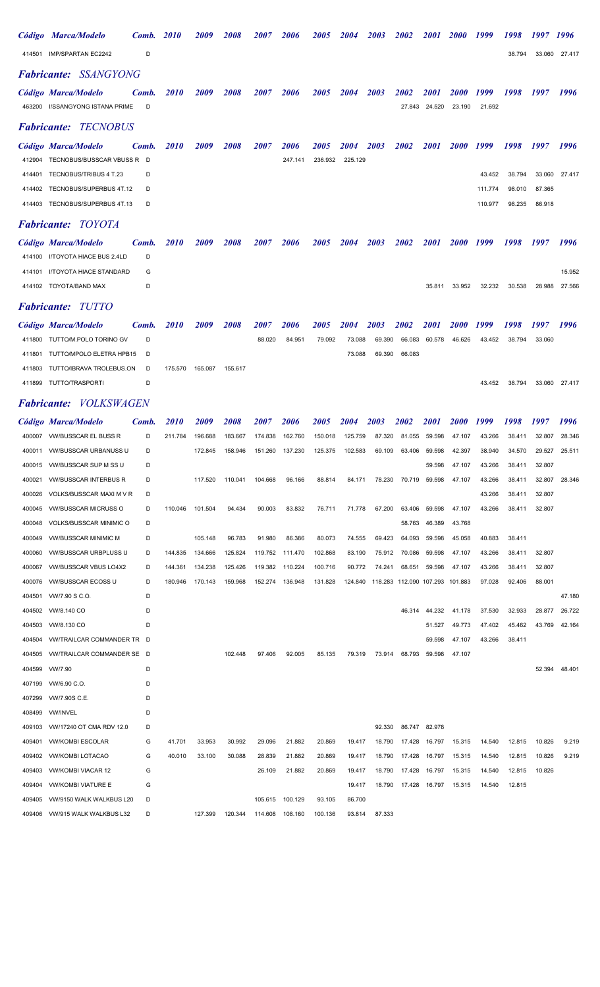|                  | Código Marca/Modelo                                     | Comb.      | <i>2010</i> | <i>2009</i>        | <i>2008</i> | <i><b>2007</b></i> | <i><b>2006</b></i> | <i><b>2005</b></i> | <b>2004</b> | 2003                                    | <i><b>2002</b></i>           | <i>2001</i>           | <i>2000</i>                  | 1999             | 1998             | 1997             | 1996          |
|------------------|---------------------------------------------------------|------------|-------------|--------------------|-------------|--------------------|--------------------|--------------------|-------------|-----------------------------------------|------------------------------|-----------------------|------------------------------|------------------|------------------|------------------|---------------|
|                  | 414501 IMP/SPARTAN EC2242                               | D          |             |                    |             |                    |                    |                    |             |                                         |                              |                       |                              |                  | 38.794           | 33.060           | 27.417        |
|                  | <b>Fabricante: SSANGYONG</b>                            |            |             |                    |             |                    |                    |                    |             |                                         |                              |                       |                              |                  |                  |                  |               |
|                  | Código Marca/Modelo<br>463200 I/SSANGYONG ISTANA PRIME  | Comb.<br>D | <i>2010</i> | <i>2009</i>        | 2008        | <i>2007</i>        | <i><b>2006</b></i> | <i><b>2005</b></i> | 2004        | 2003                                    | <i><b>2002</b></i><br>27.843 | <i>2001</i><br>24.520 | <i><b>2000</b></i><br>23.190 | 1999<br>21.692   | 1998             | 1997             | 1996          |
|                  | <b>Fabricante: TECNOBUS</b>                             |            |             |                    |             |                    |                    |                    |             |                                         |                              |                       |                              |                  |                  |                  |               |
|                  | Código Marca/Modelo                                     | Comb.      | <i>2010</i> | <i>2009</i>        | <i>2008</i> | <i><b>2007</b></i> | <i><b>2006</b></i> | <i><b>2005</b></i> | 2004        | <i><b>2003</b></i>                      | <i><b>2002</b></i>           | <i>2001</i>           | <i><b>2000</b></i>           | 1999             | 1998             | 1997             | 1996          |
| 412904           | TECNOBUS/BUSSCAR VBUSS R                                | D          |             |                    |             |                    | 247.141            | 236.932            | 225.129     |                                         |                              |                       |                              |                  |                  |                  |               |
| 414401           | TECNOBUS/TRIBUS 4 T.23                                  | D          |             |                    |             |                    |                    |                    |             |                                         |                              |                       |                              | 43.452           | 38.794           | 33.060           | 27.417        |
|                  | 414402 TECNOBUS/SUPERBUS 4T.12                          | D          |             |                    |             |                    |                    |                    |             |                                         |                              |                       |                              | 111.774          | 98.010           | 87.365           |               |
|                  | 414403 TECNOBUS/SUPERBUS 4T.13                          | D          |             |                    |             |                    |                    |                    |             |                                         |                              |                       |                              | 110.977          | 98.235           | 86.918           |               |
|                  | <b>Fabricante: TOYOTA</b>                               |            |             |                    |             |                    |                    |                    |             |                                         |                              |                       |                              |                  |                  |                  |               |
|                  | Código Marca/Modelo                                     | Comb.      | <i>2010</i> | <i>2009</i>        | 2008        | <i>2007</i>        | <i><b>2006</b></i> | <i><b>2005</b></i> | 2004        | 2003                                    | 2002                         | <i>2001</i>           | <i><b>2000</b></i>           | 1999             | 1998             | 1997             | 1996          |
|                  | 414100 I/TOYOTA HIACE BUS 2.4LD                         | D          |             |                    |             |                    |                    |                    |             |                                         |                              |                       |                              |                  |                  |                  |               |
| 414101           | I/TOYOTA HIACE STANDARD                                 | G          |             |                    |             |                    |                    |                    |             |                                         |                              |                       |                              |                  |                  |                  | 15.952        |
|                  | 414102 TOYOTA/BAND MAX                                  | D          |             |                    |             |                    |                    |                    |             |                                         |                              | 35.811                | 33.952                       | 32.232           | 30.538           | 28.988           | 27.566        |
|                  | <b>Fabricante: TUTTO</b>                                |            |             |                    |             |                    |                    |                    |             |                                         |                              |                       |                              |                  |                  |                  |               |
|                  | Código Marca/Modelo                                     | Comb.      | <i>2010</i> | <i><b>2009</b></i> | 2008        | <i><b>2007</b></i> | <i><b>2006</b></i> | <i><b>2005</b></i> | <b>2004</b> | 2003                                    | <i><b>2002</b></i>           | <i>2001</i>           | <i>2000</i>                  | 1999             | 1998             | 1997             | 1996          |
|                  | 411800 TUTTO/M.POLO TORINO GV                           | D          |             |                    |             | 88.020             | 84.951             | 79.092             | 73.088      | 69.390                                  | 66.083                       | 60.578                | 46.626                       | 43.452           | 38.794           | 33.060           |               |
|                  | 411801 TUTTO/MPOLO ELETRA HPB15                         | D          |             |                    |             |                    |                    |                    | 73.088      | 69.390                                  | 66.083                       |                       |                              |                  |                  |                  |               |
|                  | 411803 TUTTO/IBRAVA TROLEBUS.ON                         | D          | 175.570     | 165.087            | 155.617     |                    |                    |                    |             |                                         |                              |                       |                              |                  |                  |                  |               |
|                  | 411899 TUTTO/TRASPORTI                                  | D          |             |                    |             |                    |                    |                    |             |                                         |                              |                       |                              | 43.452           | 38.794           |                  | 33.060 27.417 |
|                  | <b>Fabricante: VOLKSWAGEN</b>                           |            |             |                    |             |                    |                    |                    |             |                                         |                              |                       |                              |                  |                  |                  |               |
|                  | Código Marca/Modelo                                     | Comb.      | <i>2010</i> | <i>2009</i>        | <i>2008</i> | <i><b>2007</b></i> | <i><b>2006</b></i> | <i><b>2005</b></i> | 2004        | <i><b>2003</b></i>                      | <i><b>2002</b></i>           | <i>2001</i>           | <i><b>2000</b></i>           | 1999             | 1998             | 1997             | 1996          |
|                  | 400007 WV/BUSSCAR EL BUSS R                             | D          | 211.784     | 196.688            | 183.667     | 174.838            | 162.760            | 150.018            | 125.759     | 87.320                                  | 81.055                       | 59.598                | 47.107                       | 43.266           | 38.411           | 32.807           | 28.346        |
| 400011           | <b>VW/BUSSCAR URBANUSS U</b>                            | D          |             | 172.845            | 158.946     | 151.260            | 137.230            | 125.375            | 102.583     | 69.109                                  | 63.406                       | 59.598                | 42.397                       | 38.940           | 34.570           | 29.527           | 25.511        |
|                  | 400015 WW/BUSSCAR SUP M SS U                            | D          |             |                    |             |                    |                    |                    |             |                                         |                              | 59.598                | 47.107                       | 43.266           | 38.411           | 32.807           |               |
| 400021           | <b>VW/BUSSCAR INTERBUS R</b>                            | D          |             | 117.520            | 110.041     | 104.668            | 96.166             | 88.814             | 84.171      | 78.230                                  |                              | 70.719 59.598         | 47.107                       | 43.266           | 38.411           | 32.807           | 28.346        |
| 400026<br>400045 | VOLKS/BUSSCAR MAXI M V R<br><b>VW/BUSSCAR MICRUSS O</b> | D<br>D     | 110.046     | 101.504            | 94.434      | 90.003             | 83.832             | 76.711             | 71.778      | 67.200                                  | 63.406                       | 59.598                | 47.107                       | 43.266<br>43.266 | 38.411<br>38.411 | 32.807<br>32.807 |               |
| 400048           | <b>VOLKS/BUSSCAR MINIMIC O</b>                          | D          |             |                    |             |                    |                    |                    |             |                                         | 58.763                       | 46.389                | 43.768                       |                  |                  |                  |               |
| 400049           | <b>VW/BUSSCAR MINIMIC M</b>                             | D          |             | 105.148            | 96.783      | 91.980             | 86.386             | 80.073             | 74.555      | 69.423                                  | 64.093                       | 59.598                | 45.058                       | 40.883           | 38.411           |                  |               |
| 400060           | <b>VW/BUSSCAR URBPLUSS U</b>                            | D          | 144.835     | 134.666            | 125.824     | 119.752            | 111.470            | 102.868            | 83.190      | 75.912                                  | 70.086                       | 59.598                | 47.107                       | 43.266           | 38.411           | 32.807           |               |
| 400067           | <b>VW/BUSSCAR VBUS LO4X2</b>                            | D          | 144.361     | 134.238            | 125.426     | 119.382            | 110.224            | 100.716            | 90.772      | 74.241                                  | 68.651                       | 59.598                | 47.107                       | 43.266           | 38.411           | 32.807           |               |
| 400076           | <b>VW/BUSSCAR ECOSS U</b>                               | D          | 180.946     | 170.143            | 159.968     | 152.274            | 136.948            | 131.828            |             | 124.840 118.283 112.090 107.293 101.883 |                              |                       |                              | 97.028           | 92.406           | 88.001           |               |
|                  | 404501 WW/7.90 S C.O.                                   | D          |             |                    |             |                    |                    |                    |             |                                         |                              |                       |                              |                  |                  |                  | 47.180        |
|                  | 404502 VW/8.140 CO                                      | D          |             |                    |             |                    |                    |                    |             |                                         | 46.314                       | 44.232                | 41.178                       | 37.530           | 32.933           | 28.877           | 26.722        |
|                  | 404503 VW/8.130 CO                                      | D          |             |                    |             |                    |                    |                    |             |                                         |                              | 51.527                | 49.773                       | 47.402           | 45.462           | 43.769           | 42.164        |
| 404504           | <b>VW/TRAILCAR COMMANDER TR D</b>                       |            |             |                    |             |                    |                    |                    |             |                                         |                              | 59.598                | 47.107                       | 43.266           | 38.411           |                  |               |
| 404505<br>404599 | VW/TRAILCAR COMMANDER SE D<br>VW/7.90                   | D          |             |                    | 102.448     | 97.406             | 92.005             | 85.135             | 79.319      | 73.914                                  | 68.793                       | 59.598                | 47.107                       |                  |                  | 52.394           | 48.401        |
| 407199           | VW/6.90 C.O.                                            | D          |             |                    |             |                    |                    |                    |             |                                         |                              |                       |                              |                  |                  |                  |               |
| 407299           | VW/7.90S C.E.                                           | D          |             |                    |             |                    |                    |                    |             |                                         |                              |                       |                              |                  |                  |                  |               |
| 408499           | <b>VW/INVEL</b>                                         | D          |             |                    |             |                    |                    |                    |             |                                         |                              |                       |                              |                  |                  |                  |               |
| 409103           | VW/17240 OT CMA RDV 12.0                                | D          |             |                    |             |                    |                    |                    |             | 92.330                                  |                              | 86.747 82.978         |                              |                  |                  |                  |               |
| 409401           | <b>VW/KOMBI ESCOLAR</b>                                 | G          | 41.701      | 33.953             | 30.992      | 29.096             | 21.882             | 20.869             | 19.417      | 18.790                                  | 17.428                       | 16.797                | 15.315                       | 14.540           | 12.815           | 10.826           | 9.219         |
| 409402           | <b>VW/KOMBI LOTACAO</b>                                 | G          | 40.010      | 33.100             | 30.088      | 28.839             | 21.882             | 20.869             | 19.417      | 18.790                                  | 17.428                       | 16.797                | 15.315                       | 14.540           | 12.815           | 10.826           | 9.219         |
| 409403           | <b>VW/KOMBI VIACAR 12</b>                               | G          |             |                    |             | 26.109             | 21.882             | 20.869             | 19.417      | 18.790                                  | 17.428                       | 16.797                | 15.315                       | 14.540           | 12.815           | 10.826           |               |
| 409404           | <b>VW/KOMBI VIATURE E</b>                               | G          |             |                    |             |                    |                    |                    | 19.417      | 18.790                                  | 17.428                       | 16.797                | 15.315                       | 14.540           | 12.815           |                  |               |
| 409405           | VW/9150 WALK WALKBUS L20                                | D          |             |                    |             | 105.615            | 100.129            | 93.105             | 86.700      |                                         |                              |                       |                              |                  |                  |                  |               |
| 409406           | VW/915 WALK WALKBUS L32                                 | D          |             | 127.399            | 120.344     | 114.608            | 108.160            | 100.136            | 93.814      | 87.333                                  |                              |                       |                              |                  |                  |                  |               |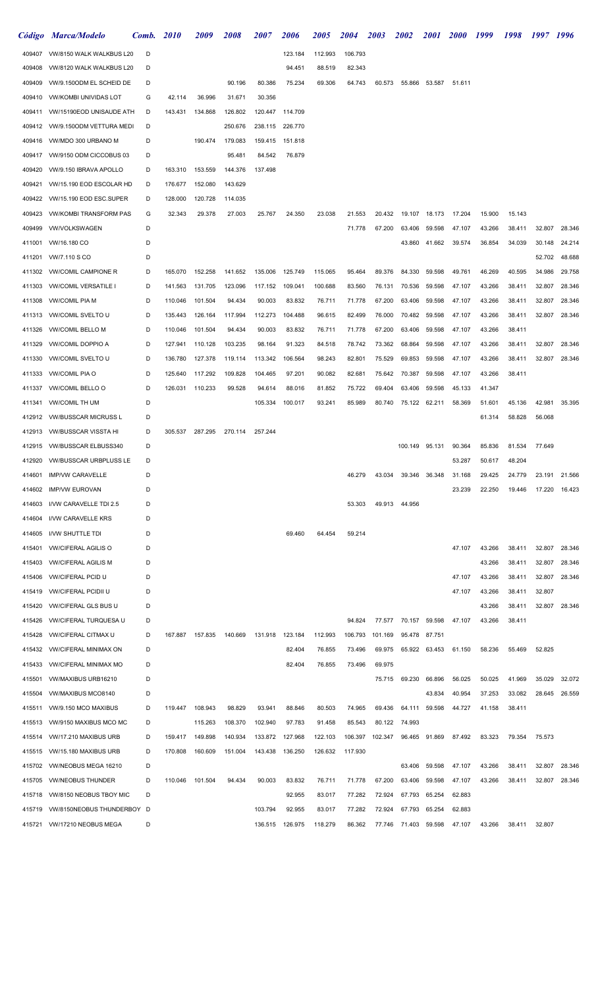|        | Código Marca/Modelo               | Comb. | <b>2010</b> | 2009    | 2008    | <i><b>2007</b></i> | <i><b>2006</b></i> | <i><b>2005</b></i> | <i>2004</i> | 2003    | <b>2002</b>    | <i>2001</i>   | <b>2000</b> | 1999   | 1998   | 1997 1996 |               |
|--------|-----------------------------------|-------|-------------|---------|---------|--------------------|--------------------|--------------------|-------------|---------|----------------|---------------|-------------|--------|--------|-----------|---------------|
| 409407 | VW/8150 WALK WALKBUS L20          | D     |             |         |         |                    | 123.184            | 112.993            | 106.793     |         |                |               |             |        |        |           |               |
| 409408 | VW/8120 WALK WALKBUS L20          | D     |             |         |         |                    | 94.451             | 88.519             | 82.343      |         |                |               |             |        |        |           |               |
| 409409 | VW/9.150ODM EL SCHEID DE          | D     |             |         | 90.196  | 80.386             | 75.234             | 69.306             | 64.743      | 60.573  | 55.866         | 53.587        | 51.611      |        |        |           |               |
| 409410 | <b>VW/KOMBI UNIVIDAS LOT</b>      | G     | 42.114      | 36.996  | 31.671  | 30.356             |                    |                    |             |         |                |               |             |        |        |           |               |
| 409411 | VW/15190EOD UNISAUDE ATH          | D     | 143.431     | 134.868 | 126.802 | 120.447            | 114.709            |                    |             |         |                |               |             |        |        |           |               |
| 409412 | VW/9.150ODM VETTURA MEDI          | D     |             |         | 250.676 | 238.115            | 226.770            |                    |             |         |                |               |             |        |        |           |               |
| 409416 | VW/MDO 300 URBANO M               | D     |             | 190.474 | 179.083 | 159.415            | 151.818            |                    |             |         |                |               |             |        |        |           |               |
| 409417 | VW/9150 ODM CICCOBUS 03           | D     |             |         | 95.481  | 84.542             | 76.879             |                    |             |         |                |               |             |        |        |           |               |
| 409420 | VW/9.150 IBRAVA APOLLO            | D     | 163.310     | 153.559 | 144.376 | 137.498            |                    |                    |             |         |                |               |             |        |        |           |               |
| 409421 | VW/15.190 EOD ESCOLAR HD          | D     | 176.677     | 152.080 | 143.629 |                    |                    |                    |             |         |                |               |             |        |        |           |               |
| 409422 | VW/15.190 EOD ESC.SUPER           | D     | 128.000     | 120.728 | 114.035 |                    |                    |                    |             |         |                |               |             |        |        |           |               |
| 409423 | <b>VW/KOMBI TRANSFORM PAS</b>     | G     | 32.343      | 29.378  | 27.003  | 25.767             | 24.350             | 23.038             | 21.553      | 20.432  | 19.107         | 18.173        | 17.204      | 15.900 | 15.143 |           |               |
| 409499 | <b>VW/VOLKSWAGEN</b>              | D     |             |         |         |                    |                    |                    | 71.778      | 67.200  | 63.406         | 59.598        | 47.107      | 43.266 | 38.411 | 32.807    | 28.346        |
| 411001 | VW/16.180 CO                      | D     |             |         |         |                    |                    |                    |             |         | 43.860         | 41.662        | 39.574      | 36.854 | 34.039 | 30.148    | 24.214        |
| 411201 | <b>VW/7.110 S CO</b>              | D     |             |         |         |                    |                    |                    |             |         |                |               |             |        |        | 52.702    | 48.688        |
| 411302 | <b>VW/COMIL CAMPIONE R</b>        | D     | 165.070     | 152.258 | 141.652 | 135.006            | 125.749            | 115.065            | 95.464      | 89.376  | 84.330         | 59.598        | 49.761      | 46.269 | 40.595 | 34.986    | 29.758        |
| 411303 | <b>VW/COMIL VERSATILE I</b>       | D     | 141.563     | 131.705 | 123.096 | 117.152            | 109.041            | 100.688            | 83.560      | 76.131  | 70.536         | 59.598        | 47.107      | 43.266 | 38.411 | 32.807    | 28.346        |
| 411308 | <b>VW/COMIL PIA M</b>             | D     | 110.046     | 101.504 | 94.434  | 90.003             | 83.832             | 76.711             | 71.778      | 67.200  | 63.406         | 59.598        | 47.107      | 43.266 | 38.411 | 32.807    | 28.346        |
| 411313 | <b>VW/COMIL SVELTO U</b>          | D     | 135.443     | 126.164 | 117.994 | 112.273            | 104.488            | 96.615             | 82.499      | 76.000  | 70.482         | 59.598        | 47.107      | 43.266 | 38.411 | 32.807    | 28.346        |
| 411326 | <b>VW/COMIL BELLO M</b>           | D     | 110.046     | 101.504 | 94.434  | 90.003             | 83.832             | 76.711             | 71.778      | 67.200  | 63.406         | 59.598        | 47.107      | 43.266 | 38.411 |           |               |
| 411329 | <b>VW/COMIL DOPPIO A</b>          | D     | 127.941     | 110.128 | 103.235 | 98.164             | 91.323             | 84.518             | 78.742      | 73.362  | 68.864         | 59.598        | 47.107      | 43.266 | 38.411 | 32.807    | 28.346        |
| 411330 | <b>VW/COMIL SVELTO U</b>          | D     | 136.780     | 127.378 | 119.114 | 113.342            | 106.564            | 98.243             | 82.801      | 75.529  | 69.853         | 59.598        | 47.107      | 43.266 | 38.411 | 32.807    | 28.346        |
| 411333 | <b>VW/COMIL PIA O</b>             | D     | 125.640     | 117.292 | 109.828 | 104.465            | 97.201             | 90.082             | 82.681      | 75.642  | 70.387         | 59.598        | 47.107      | 43.266 | 38.411 |           |               |
| 411337 | <b>VW/COMIL BELLO O</b>           | D     | 126.031     | 110.233 | 99.528  | 94.614             | 88.016             | 81.852             | 75.722      | 69.404  | 63.406         | 59.598        | 45.133      | 41.347 |        |           |               |
| 411341 | <b>VW/COMIL TH UM</b>             | D     |             |         |         | 105.334            | 100.017            | 93.241             | 85.989      | 80.740  |                | 75.122 62.211 | 58.369      | 51.601 | 45.136 | 42.981    | 35.395        |
| 412912 | <b>VW/BUSSCAR MICRUSS L</b>       | D     |             |         |         |                    |                    |                    |             |         |                |               |             | 61.314 | 58.828 | 56.068    |               |
| 412913 | <b>VW/BUSSCAR VISSTA HI</b>       | D     | 305.537     | 287.295 | 270.114 | 257.244            |                    |                    |             |         |                |               |             |        |        |           |               |
| 412915 | <b>VW/BUSSCAR ELBUSS340</b>       | D     |             |         |         |                    |                    |                    |             |         | 100.149 95.131 |               | 90.364      | 85.836 | 81.534 | 77.649    |               |
| 412920 | <b>VW/BUSSCAR URBPLUSS LE</b>     | D     |             |         |         |                    |                    |                    |             |         |                |               | 53.287      | 50.617 | 48.204 |           |               |
| 414601 | <b>IMP/VW CARAVELLE</b>           | D     |             |         |         |                    |                    |                    | 46.279      | 43.034  |                | 39.346 36.348 | 31.168      | 29.425 | 24.779 | 23.191    | 21.566        |
| 414602 | <b>IMP/VW EUROVAN</b>             | D     |             |         |         |                    |                    |                    |             |         |                |               | 23.239      | 22.250 | 19.446 | 17.220    | 16.423        |
| 414603 | I/VW CARAVELLE TDI 2.5            | D     |             |         |         |                    |                    |                    | 53.303      |         | 49.913 44.956  |               |             |        |        |           |               |
| 414604 | <b>I/VW CARAVELLE KRS</b>         | D     |             |         |         |                    |                    |                    |             |         |                |               |             |        |        |           |               |
| 414605 | I/VW SHUTTLE TDI                  | D     |             |         |         |                    | 69.460             | 64.454             | 59.214      |         |                |               |             |        |        |           |               |
| 415401 | <b><i>VW/CIFERAL AGILIS O</i></b> | D     |             |         |         |                    |                    |                    |             |         |                |               | 47.107      | 43.266 | 38.411 | 32.807    | 28.346        |
| 415403 | <b>VW/CIFERAL AGILIS M</b>        | D     |             |         |         |                    |                    |                    |             |         |                |               |             | 43.266 | 38.411 | 32.807    | 28.346        |
| 415406 | <b>VW/CIFERAL PCID U</b>          | D     |             |         |         |                    |                    |                    |             |         |                |               | 47.107      | 43.266 | 38.411 | 32.807    | 28.346        |
| 415419 | <b>VW/CIFERAL PCIDII U</b>        | D     |             |         |         |                    |                    |                    |             |         |                |               | 47.107      | 43.266 | 38.411 | 32.807    |               |
| 415420 | <b>VW/CIFERAL GLS BUS U</b>       | D     |             |         |         |                    |                    |                    |             |         |                |               |             | 43.266 | 38.411 | 32.807    | 28.346        |
| 415426 | <b>VW/CIFERAL TURQUESA U</b>      | D     |             |         |         |                    |                    |                    | 94.824      | 77.577  | 70.157         | 59.598        | 47.107      | 43.266 | 38.411 |           |               |
| 415428 | <b>VW/CIFERAL CITMAX U</b>        | D     | 167.887     | 157.835 | 140.669 | 131.918            | 123.184            | 112.993            | 106.793     | 101.169 | 95.478         | 87.751        |             |        |        |           |               |
| 415432 | <b>VW/CIFERAL MINIMAX ON</b>      | D     |             |         |         |                    | 82.404             | 76.855             | 73.496      | 69.975  |                | 65.922 63.453 | 61.150      | 58.236 | 55.469 | 52.825    |               |
| 415433 | <b>VW/CIFERAL MINIMAX MO</b>      | D     |             |         |         |                    | 82.404             | 76.855             | 73.496      | 69.975  |                |               |             |        |        |           |               |
| 415501 | <b>VW/MAXIBUS URB16210</b>        | D     |             |         |         |                    |                    |                    |             | 75.715  | 69.230         | 66.896        | 56.025      | 50.025 | 41.969 | 35.029    | 32.072        |
| 415504 | <b>VW/MAXIBUS MCO8140</b>         | D     |             |         |         |                    |                    |                    |             |         |                | 43.834        | 40.954      | 37.253 | 33.082 | 28.645    | 26.559        |
| 415511 | VW/9.150 MCO MAXIBUS              | D     | 119.447     | 108.943 | 98.829  | 93.941             | 88.846             | 80.503             | 74.965      | 69.436  | 64.111         | 59.598        | 44.727      | 41.158 | 38.411 |           |               |
| 415513 | VW/9150 MAXIBUS MCO MC            | D     |             | 115.263 | 108.370 | 102.940            | 97.783             | 91.458             | 85.543      | 80.122  | 74.993         |               |             |        |        |           |               |
| 415514 | VW/17.210 MAXIBUS URB             | D     | 159.417     | 149.898 | 140.934 | 133.872            | 127.968            | 122.103            | 106.397     | 102.347 |                | 96.465 91.869 | 87.492      | 83.323 | 79.354 | 75.573    |               |
| 415515 | VW/15.180 MAXIBUS URB             | D     | 170.808     | 160.609 | 151.004 | 143.438            | 136.250            | 126.632            | 117.930     |         |                |               |             |        |        |           |               |
| 415702 | VW/NEOBUS MEGA 16210              | D     |             |         |         |                    |                    |                    |             |         | 63.406         | 59.598        | 47.107      | 43.266 | 38.411 | 32.807    | 28.346        |
| 415705 | <b>VW/NEOBUS THUNDER</b>          | D     | 110.046     | 101.504 | 94.434  | 90.003             | 83.832             | 76.711             | 71.778      | 67.200  | 63.406         | 59.598        | 47.107      | 43.266 | 38.411 |           | 32.807 28.346 |
| 415718 | VW/8150 NEOBUS TBOY MIC           | D     |             |         |         |                    | 92.955             | 83.017             | 77.282      | 72.924  | 67.793         | 65.254        | 62.883      |        |        |           |               |
| 415719 | VW/8150NEOBUS THUNDERBOY D        |       |             |         |         | 103.794            | 92.955             | 83.017             | 77.282      | 72.924  | 67.793         | 65.254        | 62.883      |        |        |           |               |
|        | 415721 VW/17210 NEOBUS MEGA       | D     |             |         |         | 136.515 126.975    |                    | 118.279            | 86.362      | 77.746  | 71.403         | 59.598        | 47.107      | 43.266 | 38.411 | 32.807    |               |
|        |                                   |       |             |         |         |                    |                    |                    |             |         |                |               |             |        |        |           |               |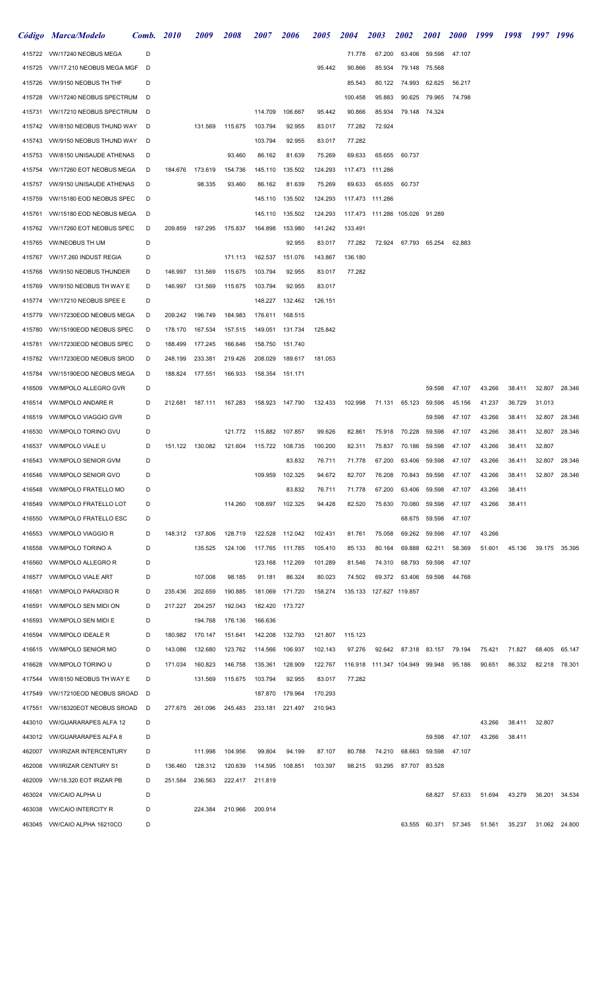|                  | Código Marca/Modelo                                | Comb.  | <b>2010</b> | 2009               | <i><b>2008</b></i> | <i><b>2007</b></i> | <i><b>2006</b></i> | <i><b>2005</b></i> | <i><b>2004</b></i> | <i>2003</i>               | <b>2002</b>   | <i>2001</i>   | <b>2000</b> | 1999   | 1998   | 1997 1996 |               |
|------------------|----------------------------------------------------|--------|-------------|--------------------|--------------------|--------------------|--------------------|--------------------|--------------------|---------------------------|---------------|---------------|-------------|--------|--------|-----------|---------------|
|                  | 415722 VW/17240 NEOBUS MEGA                        | D      |             |                    |                    |                    |                    |                    | 71.778             | 67.200                    | 63.406        | 59.598        | 47.107      |        |        |           |               |
| 415725           | VW/17.210 NEOBUS MEGA MGF                          | D      |             |                    |                    |                    |                    | 95.442             | 90.866             | 85.934                    | 79.148        | 75.568        |             |        |        |           |               |
| 415726           | VW/9150 NEOBUS TH THF                              | D      |             |                    |                    |                    |                    |                    | 85.543             | 80.122                    | 74.993        | 62.625        | 56.217      |        |        |           |               |
| 415728           | VW/17240 NEOBUS SPECTRUM                           | D      |             |                    |                    |                    |                    |                    | 100.458            | 95.883                    | 90.625        | 79.965        | 74.798      |        |        |           |               |
| 415731           | VW/17210 NEOBUS SPECTRUM                           | D      |             |                    |                    | 114.709            | 106.667            | 95.442             | 90.866             | 85.934                    | 79.148 74.324 |               |             |        |        |           |               |
| 415742           | VW/8150 NEOBUS THUND WAY                           | D      |             | 131.569            | 115.675            | 103.794            | 92.955             | 83.017             | 77.282             | 72.924                    |               |               |             |        |        |           |               |
| 415743           | VW/9150 NEOBUS THUND WAY                           | D      |             |                    |                    | 103.794            | 92.955             | 83.017             | 77.282             |                           |               |               |             |        |        |           |               |
| 415753           | <b>VW/8150 UNISAUDE ATHENAS</b>                    | D      |             |                    | 93.460             | 86.162             | 81.639             | 75.269             | 69.633             | 65.655                    | 60.737        |               |             |        |        |           |               |
| 415754           | VW/17260 EOT NEOBUS MEGA                           | D      | 184.676     | 173.619            | 154.736            | 145.110            | 135.502            | 124.293            |                    | 117.473 111.286           |               |               |             |        |        |           |               |
| 415757           | VW/9150 UNISAUDE ATHENAS                           | D      |             | 98.335             | 93.460             | 86.162             | 81.639             | 75.269             | 69.633             | 65.655                    | 60.737        |               |             |        |        |           |               |
| 415759           | VW/15180 EOD NEOBUS SPEC                           | D      |             |                    |                    | 145.110            | 135.502            | 124.293            |                    | 117.473 111.286           |               |               |             |        |        |           |               |
| 415761           | VW/15180 EOD NEOBUS MEGA                           | D      |             |                    |                    | 145.110            | 135.502            | 124.293            |                    |                           |               | 91.289        |             |        |        |           |               |
| 415762           | VW/17260 EOT NEOBUS SPEC                           | D      |             | 209.859 197.295    | 175.837            | 164.898            | 153.980            | 141.242            | 133.491            |                           |               |               |             |        |        |           |               |
| 415765           | <b>VW/NEOBUS TH UM</b>                             | D      |             |                    |                    |                    | 92.955             | 83.017             | 77.282             | 72.924                    |               | 67.793 65.254 | 62.883      |        |        |           |               |
| 415767           | VW/17.260 INDUST REGIA                             | D      |             |                    | 171.113            | 162.537            | 151.076            | 143.867            | 136.180            |                           |               |               |             |        |        |           |               |
| 415768           | VW/9150 NEOBUS THUNDER                             | D      | 146.997     | 131.569            | 115.675            | 103.794            | 92.955             | 83.017             | 77.282             |                           |               |               |             |        |        |           |               |
| 415769           | VW/9150 NEOBUS TH WAY E                            | D      | 146.997     | 131.569            | 115.675            | 103.794            | 92.955             | 83.017             |                    |                           |               |               |             |        |        |           |               |
| 415774           | VW/17210 NEOBUS SPEE E                             | D      | 209.242     |                    | 184.983            | 148.227            | 132.462<br>168.515 | 126.151            |                    |                           |               |               |             |        |        |           |               |
| 415779<br>415780 | VW/17230EOD NEOBUS MEGA<br>VW/15190EOD NEOBUS SPEC | D<br>D | 178.170     | 196.749<br>167.534 | 157.515            | 176.611<br>149.051 | 131.734            | 125.842            |                    |                           |               |               |             |        |        |           |               |
| 415781           | VW/17230EOD NEOBUS SPEC                            | D      | 188.499     | 177.245            | 166.646            | 158.750            | 151.740            |                    |                    |                           |               |               |             |        |        |           |               |
| 415782           | VW/17230EOD NEOBUS SROD                            | D      | 248.199     | 233.381            | 219.426            | 208.029            | 189.617            | 181.053            |                    |                           |               |               |             |        |        |           |               |
| 415784           | VW/15190EOD NEOBUS MEGA                            | D      | 188.824     | 177.551            | 166.933            | 158.354            | 151.171            |                    |                    |                           |               |               |             |        |        |           |               |
| 416509           | VW/MPOLO ALLEGRO GVR                               | D      |             |                    |                    |                    |                    |                    |                    |                           |               | 59.598        | 47.107      | 43.266 | 38.411 | 32.807    | 28.346        |
| 416514           | <b>VW/MPOLO ANDARE R</b>                           | D      | 212.681     | 187.111            | 167.283            | 158.923 147.790    |                    | 132.433            | 102.998            | 71.131                    | 65.123        | 59.598        | 45.156      | 41.237 | 36.729 | 31.013    |               |
| 416519           | <b>VW/MPOLO VIAGGIO GVR</b>                        | D      |             |                    |                    |                    |                    |                    |                    |                           |               | 59.598        | 47.107      | 43.266 | 38.411 | 32.807    | 28.346        |
| 416530           | <b>VW/MPOLO TORINO GVU</b>                         | D      |             |                    | 121.772            | 115.882            | 107.857            | 99.626             | 82.861             | 75.918                    | 70.228        | 59.598        | 47.107      | 43.266 | 38.411 | 32.807    | 28.346        |
| 416537           | <b>VW/MPOLO VIALE U</b>                            | D      |             | 151.122 130.082    | 121.604 115.722    |                    | 108.735            | 100.200            | 82.311             | 75.837                    | 70.186        | 59.598        | 47.107      | 43.266 | 38.411 | 32.807    |               |
|                  | 416543 VW/MPOLO SENIOR GVM                         | D      |             |                    |                    |                    | 83.832             | 76.711             | 71.778             | 67.200                    | 63.406        | 59.598        | 47.107      | 43.266 | 38.411 | 32.807    | 28.346        |
| 416546           | <b>VW/MPOLO SENIOR GVO</b>                         | D      |             |                    |                    | 109.959            | 102.325            | 94.672             | 82.707             | 76.208                    | 70.843        | 59.598        | 47.107      | 43.266 | 38.411 |           | 32.807 28.346 |
| 416548           | <b>VW/MPOLO FRATELLO MO</b>                        | D      |             |                    |                    |                    | 83.832             | 76.711             | 71.778             | 67.200                    | 63.406        | 59.598        | 47.107      | 43.266 | 38.411 |           |               |
| 416549           | <b>VW/MPOLO FRATELLO LOT</b>                       | D      |             |                    | 114.260            | 108.697            | 102.325            | 94.428             | 82.520             | 75.630                    | 70.080        | 59.598        | 47.107      | 43.266 | 38.411 |           |               |
| 416550           | <b>VW/MPOLO FRATELLO ESC</b>                       | D      |             |                    |                    |                    |                    |                    |                    |                           | 68.675        | 59.598        | 47.107      |        |        |           |               |
| 416553           | <b>VW/MPOLO VIAGGIO R</b>                          | D      |             | 148.312 137.806    | 128.719            |                    | 122.528 112.042    | 102.431            | 81.761             | 75.058                    | 69.262        | 59.598        | 47.107      | 43.266 |        |           |               |
| 416558           | <b>VW/MPOLO TORINO A</b>                           | D      |             | 135.525            | 124.106            |                    | 117.765 111.785    | 105.410            | 85.133             | 80.164                    | 69.888        | 62.211        | 58.369      | 51.601 | 45.136 | 39.175    | 35.395        |
| 416560           | <b>VW/MPOLO ALLEGRO R</b>                          | D      |             |                    |                    | 123.168            | 112.269            | 101.289            | 81.546             | 74.310                    | 68.793        | 59.598        | 47.107      |        |        |           |               |
| 416577           | <b>VW/MPOLO VIALE ART</b>                          | D      |             | 107.008            | 98.185             | 91.181             | 86.324             | 80.023             | 74.502             | 69.372                    | 63.406        | 59.598        | 44.768      |        |        |           |               |
| 416581           | <b>VW/MPOLO PARADISO R</b>                         | D      | 235.436     | 202.659            | 190.885            | 181.069            | 171.720            | 158.274            |                    | 135.133  127.627  119.857 |               |               |             |        |        |           |               |
| 416591           | <b>VW/MPOLO SEN MIDI ON</b>                        | D      | 217.227     | 204.257            | 192.043            | 182.420            | 173.727            |                    |                    |                           |               |               |             |        |        |           |               |
| 416593           | <b>VW/MPOLO SEN MIDI E</b>                         | D      |             | 194.768            | 176.136            | 166.636            |                    |                    |                    |                           |               |               |             |        |        |           |               |
| 416594           | <b>VW/MPOLO IDEALE R</b>                           | D      | 180.982     | 170.147            | 151.641            | 142.208            | 132.793            | 121.807            | 115.123            |                           |               |               |             |        |        |           |               |
| 416615           | <b>VW/MPOLO SENIOR MO</b>                          | D      | 143.086     | 132.680            | 123.762            | 114.566            | 106.937            | 102.143            | 97.276             | 92.642                    | 87.318        | 83.157        | 79.194      | 75.421 | 71.827 | 68.405    | 65.147        |
| 416628           | <b>VW/MPOLO TORINO U</b>                           | D      | 171.034     | 160.823            | 146.758            | 135.361            | 128.909            | 122.767            |                    | 116.918  111.347  104.949 |               | 99.948        | 95.186      | 90.651 | 86.332 | 82.218    | 78.301        |
| 417544           | VW/8150 NEOBUS TH WAY E                            | D      |             | 131.569            | 115.675            | 103.794            | 92.955             | 83.017             | 77.282             |                           |               |               |             |        |        |           |               |
| 417549           | VW/17210EOD NEOBUS SROAD                           | D      |             |                    |                    | 187.870            | 179.964            | 170.293            |                    |                           |               |               |             |        |        |           |               |
| 417551           | VW/18320EOT NEOBUS SROAD                           | D      | 277.675     | 261.096            | 245.483            | 233.181            | 221.497            | 210.943            |                    |                           |               |               |             |        |        |           |               |
| 443010           | <b>VW/GUARARAPES ALFA 12</b>                       | D      |             |                    |                    |                    |                    |                    |                    |                           |               |               |             | 43.266 | 38.411 | 32.807    |               |
| 443012           | <b>VW/GUARARAPES ALFA 8</b>                        | D      |             |                    |                    |                    |                    |                    |                    |                           |               | 59.598        | 47.107      | 43.266 | 38.411 |           |               |
| 462007           | <b><i>VW/IRIZAR INTERCENTURY</i></b>               | D      |             | 111.998            | 104.956            | 99.804             | 94.199             | 87.107             | 80.788             | 74.210                    | 68.663        | 59.598        | 47.107      |        |        |           |               |
| 462008           | <b>VW/IRIZAR CENTURY S1</b>                        | D      | 136.460     | 128.312            | 120.639            | 114.595            | 108.851            | 103.397            | 98.215             | 93.295                    | 87.707        | 83.528        |             |        |        |           |               |
| 462009           | VW/18.320 EOT IRIZAR PB                            | D      | 251.584     | 236.563            | 222.417            | 211.819            |                    |                    |                    |                           |               |               |             |        |        |           |               |
| 463024           | <b>VW/CAIO ALPHA U</b>                             | D      |             |                    |                    |                    |                    |                    |                    |                           |               | 68.827        | 57.633      | 51.694 | 43.279 | 36.201    | 34.534        |
| 463038           | <b><i>VW/CAIO INTERCITY R</i></b>                  | D      |             | 224.384            | 210.966            | 200.914            |                    |                    |                    |                           |               |               |             |        |        |           |               |
| 463045           | VW/CAIO ALPHA 16210CO                              | D      |             |                    |                    |                    |                    |                    |                    |                           | 63.555        | 60.371        | 57.345      | 51.561 | 35.237 | 31.062    | 24.800        |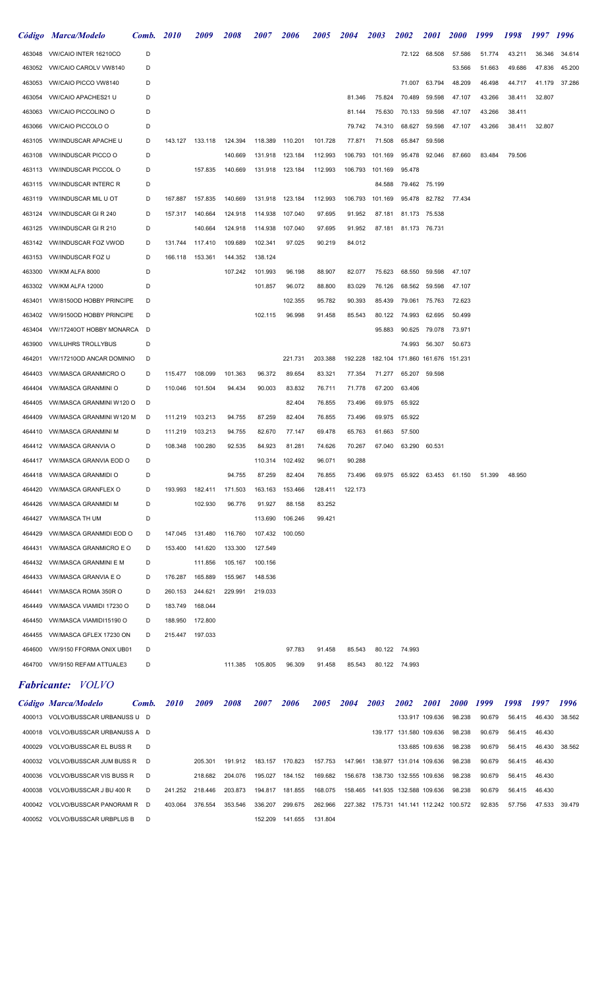|        | Código Marca/Modelo            | Comb. | <b>2010</b> | <i><b>2009</b></i> | 2008    | <i><b>2007</b></i> | <i><b>2006</b></i> | <i><b>2005</b></i> | 2004    | 2003    | <i><b>2002</b></i>          | <i>2001</i>   | <b>2000</b> | 1999   | 1998   | 1997   | 1996   |
|--------|--------------------------------|-------|-------------|--------------------|---------|--------------------|--------------------|--------------------|---------|---------|-----------------------------|---------------|-------------|--------|--------|--------|--------|
| 463048 | <b>VW/CAIO INTER 16210CO</b>   | D     |             |                    |         |                    |                    |                    |         |         |                             | 72.122 68.508 | 57.586      | 51.774 | 43.211 | 36.346 | 34.614 |
| 463052 | VW/CAIO CAROLV VW8140          | D     |             |                    |         |                    |                    |                    |         |         |                             |               | 53.566      | 51.663 | 49.686 | 47.836 | 45.200 |
| 463053 | VW/CAIO PICCO VW8140           | D     |             |                    |         |                    |                    |                    |         |         | 71.007                      | 63.794        | 48.209      | 46.498 | 44.717 | 41.179 | 37.286 |
| 463054 | VW/CAIO APACHES21 U            | D     |             |                    |         |                    |                    |                    | 81.346  | 75.824  | 70.489                      | 59.598        | 47.107      | 43.266 | 38.411 | 32.807 |        |
| 463063 | <b>VW/CAIO PICCOLINO O</b>     | D     |             |                    |         |                    |                    |                    | 81.144  | 75.630  | 70.133                      | 59.598        | 47.107      | 43.266 | 38.411 |        |        |
| 463066 | <b>VW/CAIO PICCOLO O</b>       | D     |             |                    |         |                    |                    |                    | 79.742  | 74.310  | 68.627                      | 59.598        | 47.107      | 43.266 | 38.411 | 32.807 |        |
| 463105 | <b>VW/INDUSCAR APACHE U</b>    | D     | 143.127     | 133.118            | 124.394 | 118.389            | 110.201            | 101.728            | 77.871  | 71.508  | 65.847                      | 59.598        |             |        |        |        |        |
| 463108 | <b>VW/INDUSCAR PICCO O</b>     | D     |             |                    | 140.669 | 131.918            | 123.184            | 112.993            | 106.793 | 101.169 | 95.478                      | 92.046        | 87.660      | 83.484 | 79.506 |        |        |
| 463113 | <b>VW/INDUSCAR PICCOL O</b>    | D     |             | 157.835            | 140.669 | 131.918            | 123.184            | 112.993            | 106.793 | 101.169 | 95.478                      |               |             |        |        |        |        |
| 463115 | <b>VW/INDUSCAR INTERC R</b>    | D     |             |                    |         |                    |                    |                    |         | 84.588  | 79.462                      | 75.199        |             |        |        |        |        |
| 463119 | <b>VW/INDUSCAR MIL U OT</b>    | D     | 167.887     | 157.835            | 140.669 | 131.918            | 123.184            | 112.993            | 106.793 | 101.169 | 95.478                      | 82.782        | 77.434      |        |        |        |        |
| 463124 | <b>VW/INDUSCAR GIR 240</b>     | D     | 157.317     | 140.664            | 124.918 | 114.938            | 107.040            | 97.695             | 91.952  | 87.181  | 81.173                      | 75.538        |             |        |        |        |        |
| 463125 | <b>VW/INDUSCAR GIR 210</b>     | D     |             | 140.664            | 124.918 | 114.938            | 107.040            | 97.695             | 91.952  | 87.181  |                             | 81.173 76.731 |             |        |        |        |        |
| 463142 | <b>VW/INDUSCAR FOZ VWOD</b>    | D     | 131.744     | 117.410            | 109.689 | 102.341            | 97.025             | 90.219             | 84.012  |         |                             |               |             |        |        |        |        |
| 463153 | <b>VW/INDUSCAR FOZ U</b>       | D     | 166.118     | 153.361            | 144.352 | 138.124            |                    |                    |         |         |                             |               |             |        |        |        |        |
| 463300 | VW/KM ALFA 8000                | D     |             |                    | 107.242 | 101.993            | 96.198             | 88.907             | 82.077  | 75.623  | 68.550                      | 59.598        | 47.107      |        |        |        |        |
| 463302 | <b>VW/KM ALFA 12000</b>        | D     |             |                    |         | 101.857            | 96.072             | 88.800             | 83.029  | 76.126  | 68.562                      | 59.598        | 47.107      |        |        |        |        |
| 463401 | VW/8150OD HOBBY PRINCIPE       | D     |             |                    |         |                    | 102.355            | 95.782             | 90.393  | 85.439  | 79.061                      | 75.763        | 72.623      |        |        |        |        |
| 463402 | VW/9150OD HOBBY PRINCIPE       | D     |             |                    |         | 102.115            | 96.998             | 91.458             | 85.543  | 80.122  | 74.993                      | 62.695        | 50.499      |        |        |        |        |
| 463404 | VW/17240OT HOBBY MONARCA       | D     |             |                    |         |                    |                    |                    |         | 95.883  | 90.625                      | 79.078        | 73.971      |        |        |        |        |
| 463900 | <b>VW/LUHRS TROLLYBUS</b>      | D     |             |                    |         |                    |                    |                    |         |         | 74.993                      | 56.307        | 50.673      |        |        |        |        |
| 464201 | VW/17210OD ANCAR DOMINIO       | D     |             |                    |         |                    | 221.731            | 203.388            | 192.228 |         | 182.104 171.860             | 161.676       | 151.231     |        |        |        |        |
| 464403 | <b>VW/MASCA GRANMICRO O</b>    | D     | 115.477     | 108.099            | 101.363 | 96.372             | 89.654             | 83.321             | 77.354  | 71.277  | 65.207                      | 59.598        |             |        |        |        |        |
| 464404 | <b>VW/MASCA GRANMINI O</b>     | D     | 110.046     | 101.504            | 94.434  | 90.003             | 83.832             | 76.711             | 71.778  | 67.200  | 63.406                      |               |             |        |        |        |        |
| 464405 | VW/MASCA GRANMINI W120 O       | D     |             |                    |         |                    | 82.404             | 76.855             | 73.496  | 69.975  | 65.922                      |               |             |        |        |        |        |
| 464409 | VW/MASCA GRANMINI W120 M       | D     | 111.219     | 103.213            | 94.755  | 87.259             | 82.404             | 76.855             | 73.496  | 69.975  | 65.922                      |               |             |        |        |        |        |
| 464410 | <b>VW/MASCA GRANMINI M</b>     | D     | 111.219     | 103.213            | 94.755  | 82.670             | 77.147             | 69.478             | 65.763  | 61.663  | 57.500                      |               |             |        |        |        |        |
|        | 464412 VW/MASCA GRANVIA O      | D     | 108.348     | 100.280            | 92.535  | 84.923             | 81.281             | 74.626             | 70.267  | 67.040  | 63.290                      | 60.531        |             |        |        |        |        |
| 464417 | VW/MASCA GRANVIA EOD O         |       |             |                    |         | 110.314            | 102.492            | 96.071             | 90.288  |         |                             |               |             |        |        |        |        |
| 464418 | VW/MASCA GRANMIDI O            | D     |             |                    | 94.755  | 87.259             | 82.404             | 76.855             | 73.496  |         | 69.975 65.922 63.453 61.150 |               |             | 51.399 | 48.950 |        |        |
| 464420 | <b>VW/MASCA GRANFLEX O</b>     | D     | 193.993     | 182.411            | 171.503 | 163.163            | 153.466            | 128.411            | 122.173 |         |                             |               |             |        |        |        |        |
| 464426 | <b>VW/MASCA GRANMIDI M</b>     | D     |             | 102.930            | 96.776  | 91.927             | 88.158             | 83.252             |         |         |                             |               |             |        |        |        |        |
| 464427 | VW/MASCA TH UM                 | D     |             |                    |         | 113.690            | 106.246            | 99.421             |         |         |                             |               |             |        |        |        |        |
| 464429 | <b>VW/MASCA GRANMIDI EOD O</b> | D     | 147.045     | 131.480            | 116.760 | 107.432            | 100.050            |                    |         |         |                             |               |             |        |        |        |        |
| 464431 | <b>VW/MASCA GRANMICRO E O</b>  | D     | 153.400     | 141.620            | 133.300 | 127.549            |                    |                    |         |         |                             |               |             |        |        |        |        |
| 464432 | <b>VW/MASCA GRANMINI E M</b>   | D     |             | 111.856            | 105.167 | 100.156            |                    |                    |         |         |                             |               |             |        |        |        |        |
| 464433 | <b>VW/MASCA GRANVIA E O</b>    | D     | 176.287     | 165.889            | 155.967 | 148.536            |                    |                    |         |         |                             |               |             |        |        |        |        |
| 464441 | VW/MASCA ROMA 350R O           | D     | 260.153     | 244.621            | 229.991 | 219.033            |                    |                    |         |         |                             |               |             |        |        |        |        |
| 464449 | VW/MASCA VIAMIDI 17230 O       | D     | 183.749     | 168.044            |         |                    |                    |                    |         |         |                             |               |             |        |        |        |        |
| 464450 | VW/MASCA VIAMIDI15190 O        | D     | 188.950     | 172.800            |         |                    |                    |                    |         |         |                             |               |             |        |        |        |        |
| 464455 | VW/MASCA GFLEX 17230 ON        | D     | 215.447     | 197.033            |         |                    |                    |                    |         |         |                             |               |             |        |        |        |        |
| 464600 | VW/9150 FFORMA ONIX UB01       | D     |             |                    |         |                    | 97.783             | 91.458             | 85.543  |         | 80.122 74.993               |               |             |        |        |        |        |
| 464700 | VW/9150 REFAM ATTUALE3         | D     |             |                    | 111.385 | 105.805            | 96.309             | 91.458             | 85.543  |         | 80.122 74.993               |               |             |        |        |        |        |
|        |                                |       |             |                    |         |                    |                    |                    |         |         |                             |               |             |        |        |        |        |

#### Fabricante: VOLVO

|        | Código Marca/Modelo               | Comb. | <i>2010</i> | 2009    | 2008    | 2007    | 2006    | 2005    | 2004    | 2003                               | 2002                    | 2001                    | <b>2000</b> | 1999   | 1998   | 1997   | 1996   |
|--------|-----------------------------------|-------|-------------|---------|---------|---------|---------|---------|---------|------------------------------------|-------------------------|-------------------------|-------------|--------|--------|--------|--------|
| 400013 | VOLVO/BUSSCAR URBANUSS U D        |       |             |         |         |         |         |         |         |                                    |                         | 133.917 109.636         | 98.238      | 90.679 | 56.415 | 46.430 | 38.562 |
|        | 400018 VOLVO/BUSSCAR URBANUSS A D |       |             |         |         |         |         |         |         |                                    | 139.177 131.580 109.636 |                         | 98.238      | 90.679 | 56.415 | 46.430 |        |
| 400029 | VOLVO/BUSSCAR EL BUSS R           | D     |             |         |         |         |         |         |         |                                    |                         | 133.685 109.636         | 98.238      | 90.679 | 56.415 | 46.430 | 38.562 |
|        | 400032 VOLVO/BUSSCAR JUM BUSS R D |       |             | 205.301 | 191.912 | 183.157 | 170.823 | 157.753 | 147.961 |                                    | 138.977 131.014 109.636 |                         | 98.238      | 90.679 | 56.415 | 46.430 |        |
| 400036 | VOLVO/BUSSCAR VIS BUSS R          | D     |             | 218.682 | 204.076 | 195.027 | 184.152 | 169.682 |         | 156.678  138.730  132.555  109.636 |                         |                         | 98.238      | 90.679 | 56.415 | 46.430 |        |
| 400038 | VOLVO/BUSSCAR J BU 400 R          | D.    | 241.252     | 218.446 | 203.873 | 194.817 | 181.855 | 168.075 |         | 158.465 141.935 132.588 109.636    |                         |                         | 98.238      | 90.679 | 56.415 | 46.430 |        |
| 400042 | VOLVO/BUSSCAR PANORAMI R          | D     | 403.064     | 376.554 | 353.546 | 336.207 | 299.675 | 262.966 |         | 227.382 175.731                    |                         | 141.141 112.242 100.572 |             | 92.835 | 57.756 | 47.533 | 39.479 |
| 400052 | VOLVO/BUSSCAR URBPLUS B           | D     |             |         |         | 152.209 | 141.655 | 131.804 |         |                                    |                         |                         |             |        |        |        |        |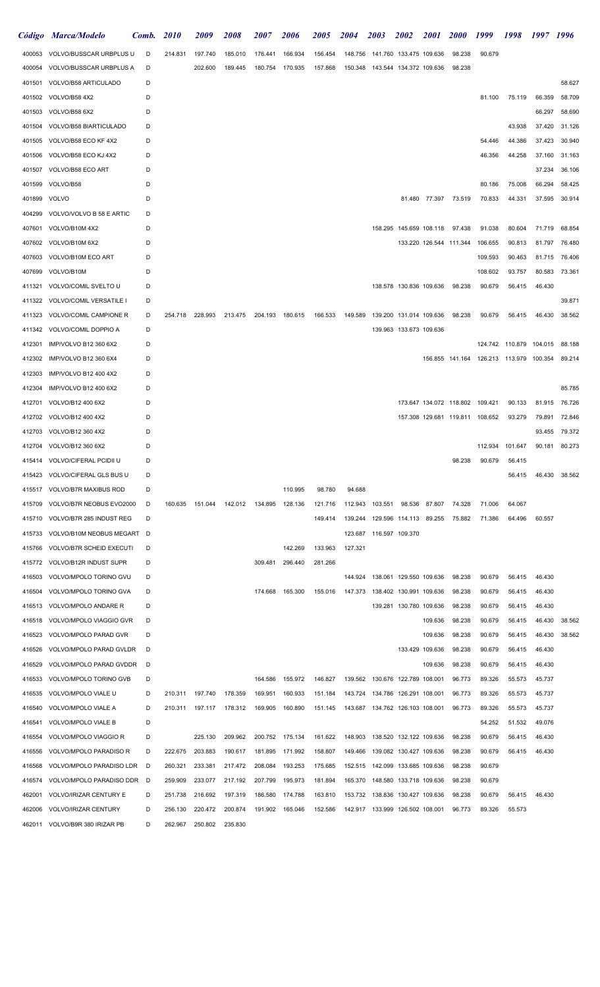|        | Código Marca/Modelo             | Comb. | <i>2010</i> | <i>2009</i>     | <i><b>2008</b></i> | <i><b>2007</b></i>      | <i><b>2006</b></i> | <i><b>2005</b></i> | <i><b>2004</b></i> | <i>2003</i>                        | 2002                    | <i><b>2001</b></i> | <b>2000</b>                     | 1999                                    | 1998                    | 1997 1996 |               |
|--------|---------------------------------|-------|-------------|-----------------|--------------------|-------------------------|--------------------|--------------------|--------------------|------------------------------------|-------------------------|--------------------|---------------------------------|-----------------------------------------|-------------------------|-----------|---------------|
|        | 400053 VOLVO/BUSSCAR URBPLUS U  | D     | 214.831     | 197.740         | 185.010            | 176.441                 | 166.934            | 156.454            | 148.756            | 141.760 133.475 109.636            |                         |                    | 98.238                          | 90.679                                  |                         |           |               |
| 400054 | VOLVO/BUSSCAR URBPLUS A         | D     |             | 202.600         | 189.445            | 180.754                 | 170.935            | 157.868            |                    | 150.348  143.544  134.372  109.636 |                         |                    | 98.238                          |                                         |                         |           |               |
| 401501 | VOLVO/B58 ARTICULADO            | D     |             |                 |                    |                         |                    |                    |                    |                                    |                         |                    |                                 |                                         |                         |           | 58.627        |
| 401502 | VOLVO/B58 4X2                   | D     |             |                 |                    |                         |                    |                    |                    |                                    |                         |                    |                                 | 81.100                                  | 75.119                  | 66.359    | 58.709        |
| 401503 | VOLVO/B58 6X2                   | D     |             |                 |                    |                         |                    |                    |                    |                                    |                         |                    |                                 |                                         |                         | 66.297    | 58.690        |
| 401504 | VOLVO/B58 BIARTICULADO          | D     |             |                 |                    |                         |                    |                    |                    |                                    |                         |                    |                                 |                                         | 43.938                  | 37.420    | 31.126        |
| 401505 | VOLVO/B58 ECO KF 4X2            | D     |             |                 |                    |                         |                    |                    |                    |                                    |                         |                    |                                 | 54.446                                  | 44.386                  | 37.423    | 30.940        |
| 401506 | VOLVO/B58 ECO KJ 4X2            | D     |             |                 |                    |                         |                    |                    |                    |                                    |                         |                    |                                 | 46.356                                  | 44.258                  | 37.160    | 31.163        |
| 401507 | VOLVO/B58 ECO ART               | D     |             |                 |                    |                         |                    |                    |                    |                                    |                         |                    |                                 |                                         |                         | 37.234    | 36.106        |
| 401599 | VOLVO/B58                       | D     |             |                 |                    |                         |                    |                    |                    |                                    |                         |                    |                                 | 80.186                                  | 75.008                  | 66.294    | 58.425        |
| 401899 | VOLVO                           | D     |             |                 |                    |                         |                    |                    |                    |                                    |                         |                    | 81.480 77.397 73.519            | 70.833                                  | 44.331                  | 37.595    | 30.914        |
| 404299 | VOLVO/VOLVO B 58 E ARTIC        | D     |             |                 |                    |                         |                    |                    |                    |                                    |                         |                    |                                 |                                         |                         |           |               |
| 407601 | VOLVO/B10M 4X2                  | D     |             |                 |                    |                         |                    |                    |                    |                                    |                         |                    | 158.295 145.659 108.118 97.438  | 91.038                                  | 80.604                  | 71.719    | 68.854        |
| 407602 | VOLVO/B10M 6X2                  | D     |             |                 |                    |                         |                    |                    |                    |                                    |                         |                    | 133.220 126.544 111.344         | 106.655                                 | 90.813                  | 81.797    | 76.480        |
| 407603 | VOLVO/B10M ECO ART              | D     |             |                 |                    |                         |                    |                    |                    |                                    |                         |                    |                                 | 109.593                                 | 90.463                  | 81.715    | 76.406        |
| 407699 | VOLVO/B10M                      | D     |             |                 |                    |                         |                    |                    |                    |                                    |                         |                    |                                 | 108.602                                 | 93.757                  | 80.583    | 73.361        |
| 411321 | VOLVO/COMIL SVELTO U            | D     |             |                 |                    |                         |                    |                    |                    |                                    | 138.578 130.836 109.636 |                    | 98.238                          | 90.679                                  | 56.415                  | 46.430    |               |
| 411322 | VOLVO/COMIL VERSATILE I         | D     |             |                 |                    |                         |                    |                    |                    |                                    |                         |                    |                                 |                                         |                         |           | 39.871        |
| 411323 | VOLVO/COMIL CAMPIONE R          | D     | 254.718     | 228.993         |                    | 213.475 204.193 180.615 |                    | 166.533            |                    | 149.589  139.200  131.014  109.636 |                         |                    | 98.238                          | 90.679                                  | 56.415                  | 46.430    | 38.562        |
|        | 411342 VOLVO/COMIL DOPPIO A     | D     |             |                 |                    |                         |                    |                    |                    |                                    | 139.963 133.673 109.636 |                    |                                 |                                         |                         |           |               |
| 412301 | IMP/VOLVO B12 360 6X2           | D     |             |                 |                    |                         |                    |                    |                    |                                    |                         |                    |                                 |                                         | 124.742 110.879 104.015 |           | 88.188        |
| 412302 | IMP/VOLVO B12 360 6X4           | D     |             |                 |                    |                         |                    |                    |                    |                                    |                         |                    |                                 | 156.855 141.164 126.213 113.979 100.354 |                         |           | 89.214        |
| 412303 | IMP/VOLVO B12 400 4X2           | D     |             |                 |                    |                         |                    |                    |                    |                                    |                         |                    |                                 |                                         |                         |           |               |
| 412304 | IMP/VOLVO B12 400 6X2           | D     |             |                 |                    |                         |                    |                    |                    |                                    |                         |                    |                                 |                                         |                         |           | 85.785        |
| 412701 | VOLVO/B12 400 6X2               | D     |             |                 |                    |                         |                    |                    |                    |                                    |                         |                    | 173.647 134.072 118.802 109.421 |                                         | 90.133                  | 81.915    | 76.726        |
|        | 412702 VOLVO/B12 400 4X2        | D     |             |                 |                    |                         |                    |                    |                    |                                    |                         |                    |                                 | 157.308 129.681 119.811 108.652         | 93.279                  | 79.891    | 72.846        |
| 412703 | VOLVO/B12 360 4X2               | D     |             |                 |                    |                         |                    |                    |                    |                                    |                         |                    |                                 |                                         |                         | 93.455    | 79.372        |
|        | 412704 VOLVO/B12 360 6X2        | D     |             |                 |                    |                         |                    |                    |                    |                                    |                         |                    |                                 | 112.934                                 | 101.647                 | 90.181    | 80.273        |
|        | 415414 VOLVO/CIFERAL PCIDII U   | D     |             |                 |                    |                         |                    |                    |                    |                                    |                         |                    | 98.238                          | 90.679                                  | 56.415                  |           |               |
| 415423 | VOLVO/CIFERAL GLS BUS U         | D     |             |                 |                    |                         |                    |                    |                    |                                    |                         |                    |                                 |                                         | 56.415                  |           | 46.430 38.562 |
| 415517 | <b>VOLVO/B7R MAXIBUS ROD</b>    | D     |             |                 |                    |                         | 110.995            | 98.780             | 94.688             |                                    |                         |                    |                                 |                                         |                         |           |               |
| 415709 | VOLVO/B7R NEOBUS EVO2000        | D     | 160.635     | 151.044         | 142.012            | 134.895 128.136         |                    | 121.716            |                    | 112.943 103.551 98.536 87.807      |                         |                    | 74.328                          | 71.006                                  | 64.067                  |           |               |
| 415710 | VOLVO/B7R 285 INDUST REG        | D     |             |                 |                    |                         |                    | 149.414            |                    |                                    |                         | 89.255             | 75.882                          | 71.386                                  | 64.496                  | 60.557    |               |
| 415733 | VOLVO/B10M NEOBUS MEGART D      |       |             |                 |                    |                         |                    |                    |                    | 123.687  116.597  109.370          |                         |                    |                                 |                                         |                         |           |               |
| 415766 | <b>VOLVO/B7R SCHEID EXECUTI</b> | D     |             |                 |                    |                         | 142.269            | 133.963            | 127.321            |                                    |                         |                    |                                 |                                         |                         |           |               |
| 415772 | VOLVO/B12R INDUST SUPR          | D     |             |                 |                    | 309.481                 | 296.440            | 281.266            |                    |                                    |                         |                    |                                 |                                         |                         |           |               |
| 416503 | VOLVO/MPOLO TORINO GVU          | D     |             |                 |                    |                         |                    |                    |                    | 144.924  138.061  129.550  109.636 |                         |                    | 98.238                          | 90.679                                  | 56.415                  | 46.430    |               |
| 416504 | VOLVO/MPOLO TORINO GVA          | D     |             |                 |                    | 174.668                 | 165.300            | 155.016            |                    | 147.373  138.402  130.991  109.636 |                         |                    | 98.238                          | 90.679                                  | 56.415                  | 46.430    |               |
| 416513 | VOLVO/MPOLO ANDARE R            | D     |             |                 |                    |                         |                    |                    |                    |                                    | 139.281 130.780 109.636 |                    | 98.238                          | 90.679                                  | 56.415                  | 46.430    |               |
| 416518 | VOLVO/MPOLO VIAGGIO GVR         | D     |             |                 |                    |                         |                    |                    |                    |                                    |                         | 109.636            | 98.238                          | 90.679                                  | 56.415                  | 46.430    | 38.562        |
| 416523 | VOLVO/MPOLO PARAD GVR           | D     |             |                 |                    |                         |                    |                    |                    |                                    |                         | 109.636            | 98.238                          | 90.679                                  | 56.415                  | 46.430    | 38.562        |
| 416526 | VOLVO/MPOLO PARAD GVLDR         | D     |             |                 |                    |                         |                    |                    |                    |                                    |                         | 133.429 109.636    | 98.238                          | 90.679                                  | 56.415                  | 46.430    |               |
| 416529 | VOLVO/MPOLO PARAD GVDDR         | D     |             |                 |                    |                         |                    |                    |                    |                                    |                         | 109.636            | 98.238                          | 90.679                                  | 56.415                  | 46.430    |               |
| 416533 | VOLVO/MPOLO TORINO GVB          | D     |             |                 |                    | 164.586                 | 155.972            | 146.827            |                    | 139.562 130.676 122.789 108.001    |                         |                    | 96.773                          | 89.326                                  | 55.573                  | 45.737    |               |
| 416535 | VOLVO/MPOLO VIALE U             | D     |             | 210.311 197.740 | 178.359            | 169.951                 | 160.933            | 151.184            |                    | 143.724 134.786 126.291 108.001    |                         |                    | 96.773                          | 89.326                                  | 55.573                  | 45.737    |               |
| 416540 | VOLVO/MPOLO VIALE A             | D     |             | 210.311 197.117 | 178.312            | 169.905                 | 160.890            | 151.145            |                    |                                    |                         |                    | 96.773                          | 89.326                                  | 55.573                  | 45.737    |               |
| 416541 | VOLVO/MPOLO VIALE B             | D     |             |                 |                    |                         |                    |                    |                    |                                    |                         |                    |                                 | 54.252                                  | 51.532                  | 49.076    |               |
| 416554 | VOLVO/MPOLO VIAGGIO R           | D     |             | 225.130         | 209.962            | 200.752                 | 175.134            | 161.622            | 148.903            | 138.520 132.122 109.636            |                         |                    | 98.238                          | 90.679                                  | 56.415                  | 46.430    |               |
| 416556 | VOLVO/MPOLO PARADISO R          | D     | 222.675     | 203.883         | 190.617            | 181.895                 | 171.992            | 158.807            |                    | 149.466  139.082  130.427  109.636 |                         |                    | 98.238                          | 90.679                                  | 56.415                  | 46.430    |               |
| 416568 | VOLVO/MPOLO PARADISO LDR        | D     | 260.321     | 233.381         | 217.472            | 208.084                 | 193.253            | 175.685            |                    | 152.515 142.099 133.685 109.636    |                         |                    | 98.238                          | 90.679                                  |                         |           |               |
| 416574 | VOLVO/MPOLO PARADISO DDR D      |       | 259.909     | 233.077         | 217.192            | 207.799                 | 195.973            | 181.894            |                    | 165.370  148.580  133.718  109.636 |                         |                    | 98.238                          | 90.679                                  |                         |           |               |
| 462001 | VOLVO/IRIZAR CENTURY E          | D     | 251.738     | 216.692         | 197.319            | 186.580                 | 174.788            | 163.810            |                    | 153.732 138.836 130.427 109.636    |                         |                    | 98.238                          | 90.679                                  | 56.415                  | 46.430    |               |
| 462006 | VOLVO/IRIZAR CENTURY            | D     | 256.130     | 220.472         | 200.874            |                         | 191.902 165.046    | 152.586            |                    | 142.917 133.999 126.502 108.001    |                         |                    | 96.773                          | 89.326                                  | 55.573                  |           |               |
| 462011 | VOLVO/B9R 380 IRIZAR PB         | D     | 262.967     | 250.802         | 235.830            |                         |                    |                    |                    |                                    |                         |                    |                                 |                                         |                         |           |               |
|        |                                 |       |             |                 |                    |                         |                    |                    |                    |                                    |                         |                    |                                 |                                         |                         |           |               |